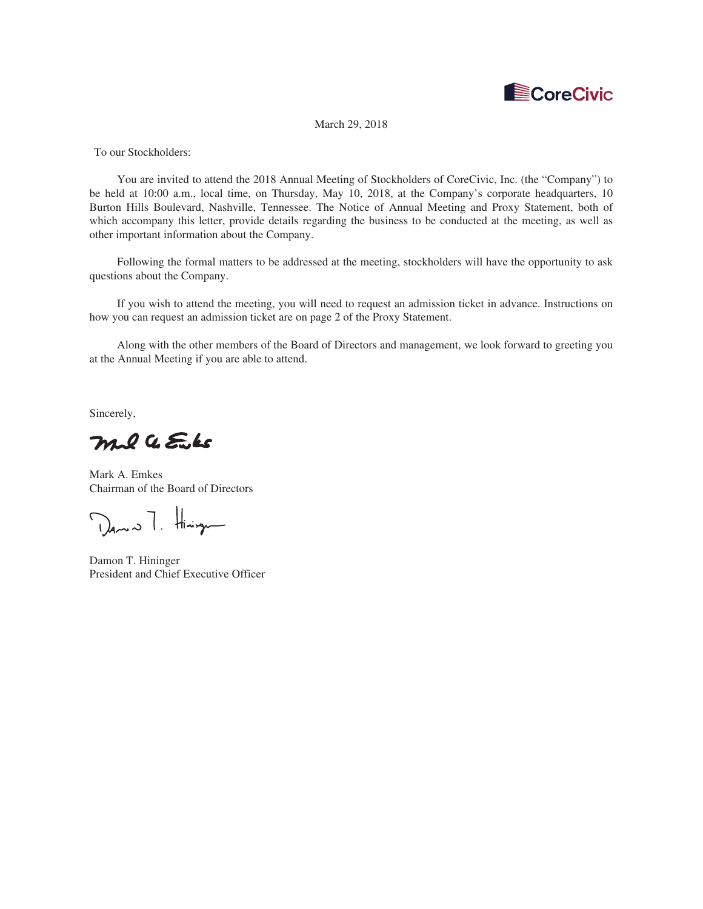

March 29, 2018

To our Stockholders:

You are invited to attend the 2018 Annual Meeting of Stockholders of CoreCivic, Inc. (the "Company") to be held at 10:00 a.m., local time, on Thursday, May 10, 2018, at the Company's corporate headquarters, 10 Burton Hills Boulevard, Nashville, Tennessee. The Notice of Annual Meeting and Proxy Statement, both of which accompany this letter, provide details regarding the business to be conducted at the meeting, as well as other important information about the Company.

Following the formal matters to be addressed at the meeting, stockholders will have the opportunity to ask questions about the Company.

If you wish to attend the meeting, you will need to request an admission ticket in advance. Instructions on how you can request an admission ticket are on page 2 of the Proxy Statement.

Along with the other members of the Board of Directors and management, we look forward to greeting you at the Annual Meeting if you are able to attend.

Sincerely,

mil a Euks

Mark A. Emkes Chairman of the Board of Directors

Dans T. Hining

Damon T. Hininger President and Chief Executive Officer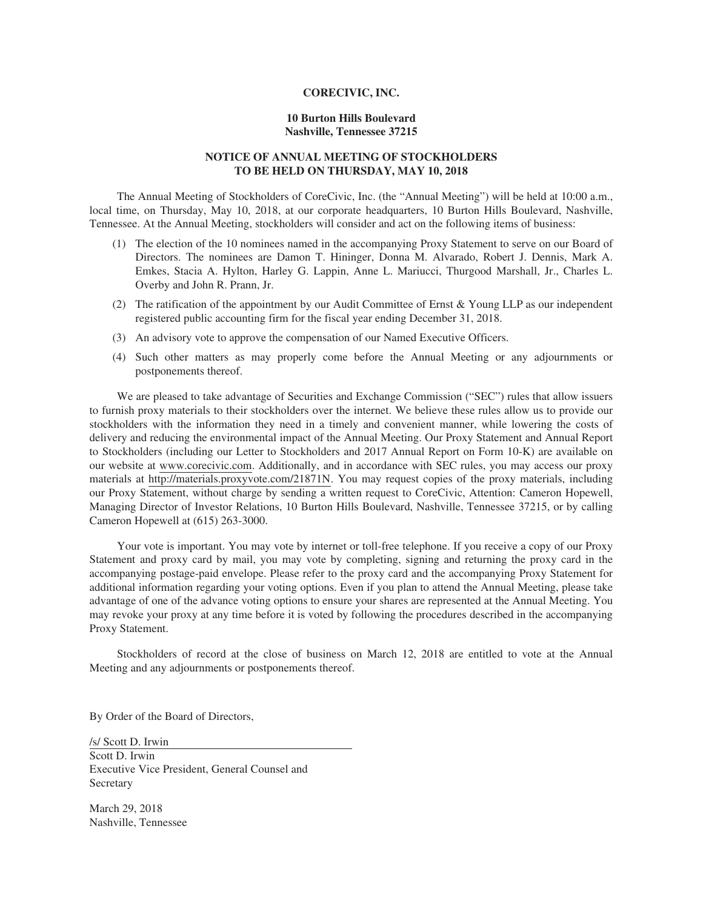## **CORECIVIC, INC.**

## **10 Burton Hills Boulevard Nashville, Tennessee 37215**

## **NOTICE OF ANNUAL MEETING OF STOCKHOLDERS TO BE HELD ON THURSDAY, MAY 10, 2018**

The Annual Meeting of Stockholders of CoreCivic, Inc. (the "Annual Meeting") will be held at 10:00 a.m., local time, on Thursday, May 10, 2018, at our corporate headquarters, 10 Burton Hills Boulevard, Nashville, Tennessee. At the Annual Meeting, stockholders will consider and act on the following items of business:

- (1) The election of the 10 nominees named in the accompanying Proxy Statement to serve on our Board of Directors. The nominees are Damon T. Hininger, Donna M. Alvarado, Robert J. Dennis, Mark A. Emkes, Stacia A. Hylton, Harley G. Lappin, Anne L. Mariucci, Thurgood Marshall, Jr., Charles L. Overby and John R. Prann, Jr.
- (2) The ratification of the appointment by our Audit Committee of Ernst & Young LLP as our independent registered public accounting firm for the fiscal year ending December 31, 2018.
- (3) An advisory vote to approve the compensation of our Named Executive Officers.
- (4) Such other matters as may properly come before the Annual Meeting or any adjournments or postponements thereof.

We are pleased to take advantage of Securities and Exchange Commission ("SEC") rules that allow issuers to furnish proxy materials to their stockholders over the internet. We believe these rules allow us to provide our stockholders with the information they need in a timely and convenient manner, while lowering the costs of delivery and reducing the environmental impact of the Annual Meeting. Our Proxy Statement and Annual Report to Stockholders (including our Letter to Stockholders and 2017 Annual Report on Form 10-K) are available on our website at www.corecivic.com. Additionally, and in accordance with SEC rules, you may access our proxy materials at http://materials.proxyvote.com/21871N. You may request copies of the proxy materials, including our Proxy Statement, without charge by sending a written request to CoreCivic, Attention: Cameron Hopewell, Managing Director of Investor Relations, 10 Burton Hills Boulevard, Nashville, Tennessee 37215, or by calling Cameron Hopewell at (615) 263-3000.

Your vote is important. You may vote by internet or toll-free telephone. If you receive a copy of our Proxy Statement and proxy card by mail, you may vote by completing, signing and returning the proxy card in the accompanying postage-paid envelope. Please refer to the proxy card and the accompanying Proxy Statement for additional information regarding your voting options. Even if you plan to attend the Annual Meeting, please take advantage of one of the advance voting options to ensure your shares are represented at the Annual Meeting. You may revoke your proxy at any time before it is voted by following the procedures described in the accompanying Proxy Statement.

Stockholders of record at the close of business on March 12, 2018 are entitled to vote at the Annual Meeting and any adjournments or postponements thereof.

By Order of the Board of Directors,

/s/ Scott D. Irwin Scott D. Irwin Executive Vice President, General Counsel and Secretary

March 29, 2018 Nashville, Tennessee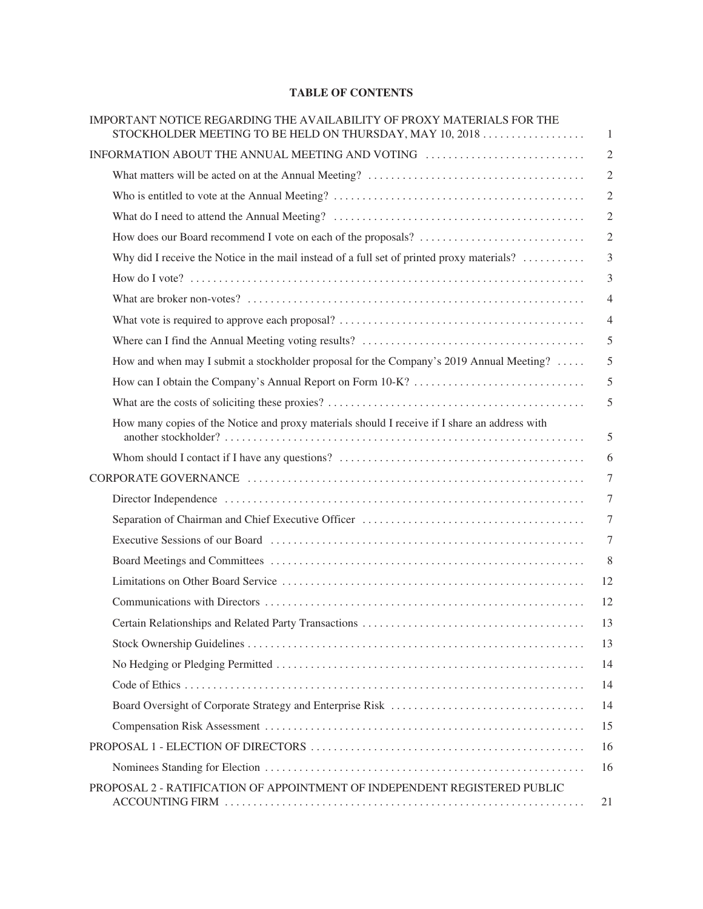# **TABLE OF CONTENTS**

| IMPORTANT NOTICE REGARDING THE AVAILABILITY OF PROXY MATERIALS FOR THE<br>STOCKHOLDER MEETING TO BE HELD ON THURSDAY, MAY 10, 2018 | $\mathbf{1}$     |
|------------------------------------------------------------------------------------------------------------------------------------|------------------|
| INFORMATION ABOUT THE ANNUAL MEETING AND VOTING                                                                                    | $\sqrt{2}$       |
|                                                                                                                                    | $\mathfrak{2}$   |
|                                                                                                                                    | $\overline{2}$   |
|                                                                                                                                    | $\sqrt{2}$       |
|                                                                                                                                    | $\sqrt{2}$       |
| Why did I receive the Notice in the mail instead of a full set of printed proxy materials? $\dots$                                 | 3                |
|                                                                                                                                    | $\mathfrak{Z}$   |
|                                                                                                                                    | $\overline{4}$   |
|                                                                                                                                    | $\overline{4}$   |
|                                                                                                                                    | 5                |
| How and when may I submit a stockholder proposal for the Company's 2019 Annual Meeting?                                            | 5                |
|                                                                                                                                    | 5                |
|                                                                                                                                    | 5                |
| How many copies of the Notice and proxy materials should I receive if I share an address with                                      | 5                |
|                                                                                                                                    | 6                |
|                                                                                                                                    | $\tau$           |
|                                                                                                                                    | $\tau$           |
|                                                                                                                                    | $\boldsymbol{7}$ |
|                                                                                                                                    | $\tau$           |
|                                                                                                                                    | 8                |
|                                                                                                                                    | 12               |
|                                                                                                                                    | 12               |
|                                                                                                                                    | 13               |
|                                                                                                                                    | 13               |
|                                                                                                                                    | 14               |
|                                                                                                                                    | 14               |
|                                                                                                                                    | 14               |
|                                                                                                                                    | 15               |
|                                                                                                                                    | 16               |
|                                                                                                                                    | 16               |
| PROPOSAL 2 - RATIFICATION OF APPOINTMENT OF INDEPENDENT REGISTERED PUBLIC                                                          | 21               |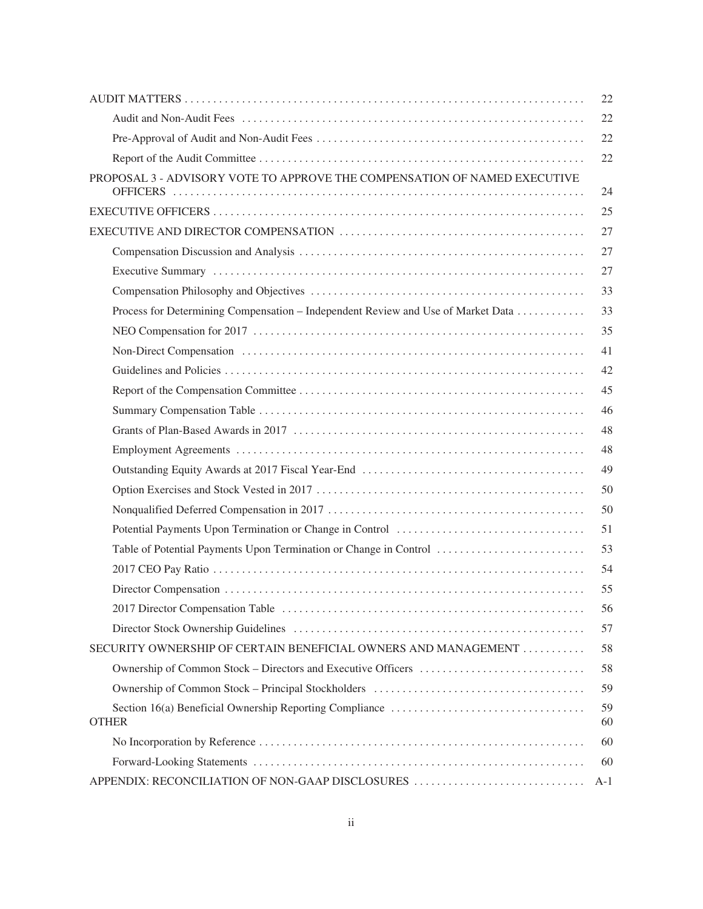|                                                                                  | 22       |
|----------------------------------------------------------------------------------|----------|
|                                                                                  | 22       |
|                                                                                  | 22       |
|                                                                                  | 22       |
| PROPOSAL 3 - ADVISORY VOTE TO APPROVE THE COMPENSATION OF NAMED EXECUTIVE        | 24       |
|                                                                                  | 25       |
|                                                                                  | 27       |
|                                                                                  | 27       |
|                                                                                  | 27       |
|                                                                                  | 33       |
| Process for Determining Compensation – Independent Review and Use of Market Data | 33       |
|                                                                                  | 35       |
|                                                                                  | 41       |
|                                                                                  | 42       |
|                                                                                  | 45       |
|                                                                                  | 46       |
|                                                                                  | 48       |
|                                                                                  | 48       |
|                                                                                  | 49       |
|                                                                                  | 50       |
|                                                                                  | 50       |
|                                                                                  | 51       |
| Table of Potential Payments Upon Termination or Change in Control                | 53       |
|                                                                                  | 54       |
|                                                                                  | 55       |
|                                                                                  | 56       |
|                                                                                  | 57       |
| SECURITY OWNERSHIP OF CERTAIN BENEFICIAL OWNERS AND MANAGEMENT                   | 58       |
|                                                                                  | 58       |
|                                                                                  | 59       |
| <b>OTHER</b>                                                                     | 59<br>60 |
|                                                                                  | 60       |
|                                                                                  | 60       |
| APPENDIX: RECONCILIATION OF NON-GAAP DISCLOSURES                                 | A-1      |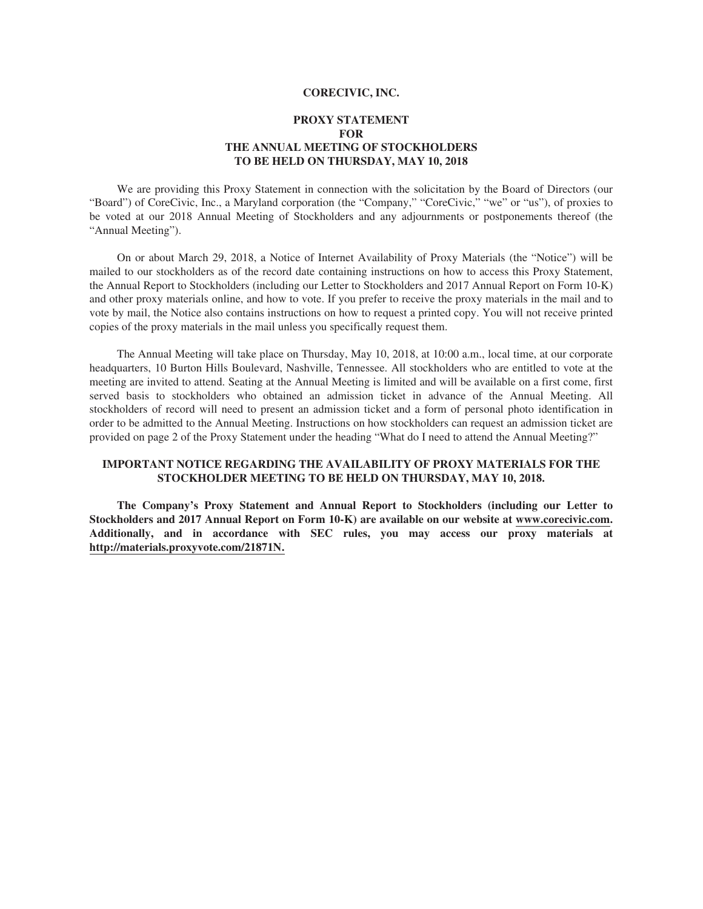## **CORECIVIC, INC.**

## **PROXY STATEMENT FOR THE ANNUAL MEETING OF STOCKHOLDERS TO BE HELD ON THURSDAY, MAY 10, 2018**

We are providing this Proxy Statement in connection with the solicitation by the Board of Directors (our "Board") of CoreCivic, Inc., a Maryland corporation (the "Company," "CoreCivic," "we" or "us"), of proxies to be voted at our 2018 Annual Meeting of Stockholders and any adjournments or postponements thereof (the "Annual Meeting").

On or about March 29, 2018, a Notice of Internet Availability of Proxy Materials (the "Notice") will be mailed to our stockholders as of the record date containing instructions on how to access this Proxy Statement, the Annual Report to Stockholders (including our Letter to Stockholders and 2017 Annual Report on Form 10-K) and other proxy materials online, and how to vote. If you prefer to receive the proxy materials in the mail and to vote by mail, the Notice also contains instructions on how to request a printed copy. You will not receive printed copies of the proxy materials in the mail unless you specifically request them.

The Annual Meeting will take place on Thursday, May 10, 2018, at 10:00 a.m., local time, at our corporate headquarters, 10 Burton Hills Boulevard, Nashville, Tennessee. All stockholders who are entitled to vote at the meeting are invited to attend. Seating at the Annual Meeting is limited and will be available on a first come, first served basis to stockholders who obtained an admission ticket in advance of the Annual Meeting. All stockholders of record will need to present an admission ticket and a form of personal photo identification in order to be admitted to the Annual Meeting. Instructions on how stockholders can request an admission ticket are provided on page 2 of the Proxy Statement under the heading "What do I need to attend the Annual Meeting?"

## **IMPORTANT NOTICE REGARDING THE AVAILABILITY OF PROXY MATERIALS FOR THE STOCKHOLDER MEETING TO BE HELD ON THURSDAY, MAY 10, 2018.**

**The Company's Proxy Statement and Annual Report to Stockholders (including our Letter to Stockholders and 2017 Annual Report on Form 10-K) are available on our website at www.corecivic.com. Additionally, and in accordance with SEC rules, you may access our proxy materials at http://materials.proxyvote.com/21871N.**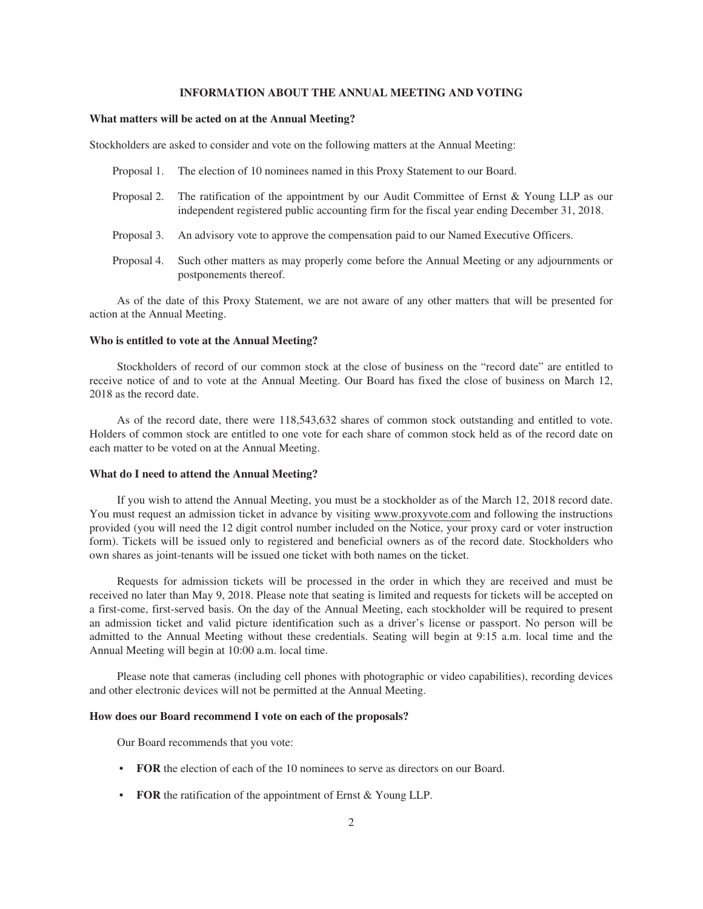## **INFORMATION ABOUT THE ANNUAL MEETING AND VOTING**

## **What matters will be acted on at the Annual Meeting?**

Stockholders are asked to consider and vote on the following matters at the Annual Meeting:

- Proposal 1. The election of 10 nominees named in this Proxy Statement to our Board.
- Proposal 2. The ratification of the appointment by our Audit Committee of Ernst & Young LLP as our independent registered public accounting firm for the fiscal year ending December 31, 2018.
- Proposal 3. An advisory vote to approve the compensation paid to our Named Executive Officers.
- Proposal 4. Such other matters as may properly come before the Annual Meeting or any adjournments or postponements thereof.

As of the date of this Proxy Statement, we are not aware of any other matters that will be presented for action at the Annual Meeting.

### **Who is entitled to vote at the Annual Meeting?**

Stockholders of record of our common stock at the close of business on the "record date" are entitled to receive notice of and to vote at the Annual Meeting. Our Board has fixed the close of business on March 12, 2018 as the record date.

As of the record date, there were 118,543,632 shares of common stock outstanding and entitled to vote. Holders of common stock are entitled to one vote for each share of common stock held as of the record date on each matter to be voted on at the Annual Meeting.

## **What do I need to attend the Annual Meeting?**

If you wish to attend the Annual Meeting, you must be a stockholder as of the March 12, 2018 record date. You must request an admission ticket in advance by visiting www.proxyvote.com and following the instructions provided (you will need the 12 digit control number included on the Notice, your proxy card or voter instruction form). Tickets will be issued only to registered and beneficial owners as of the record date. Stockholders who own shares as joint-tenants will be issued one ticket with both names on the ticket.

Requests for admission tickets will be processed in the order in which they are received and must be received no later than May 9, 2018. Please note that seating is limited and requests for tickets will be accepted on a first-come, first-served basis. On the day of the Annual Meeting, each stockholder will be required to present an admission ticket and valid picture identification such as a driver's license or passport. No person will be admitted to the Annual Meeting without these credentials. Seating will begin at 9:15 a.m. local time and the Annual Meeting will begin at 10:00 a.m. local time.

Please note that cameras (including cell phones with photographic or video capabilities), recording devices and other electronic devices will not be permitted at the Annual Meeting.

## **How does our Board recommend I vote on each of the proposals?**

Our Board recommends that you vote:

- **FOR** the election of each of the 10 nominees to serve as directors on our Board.
- **FOR** the ratification of the appointment of Ernst & Young LLP.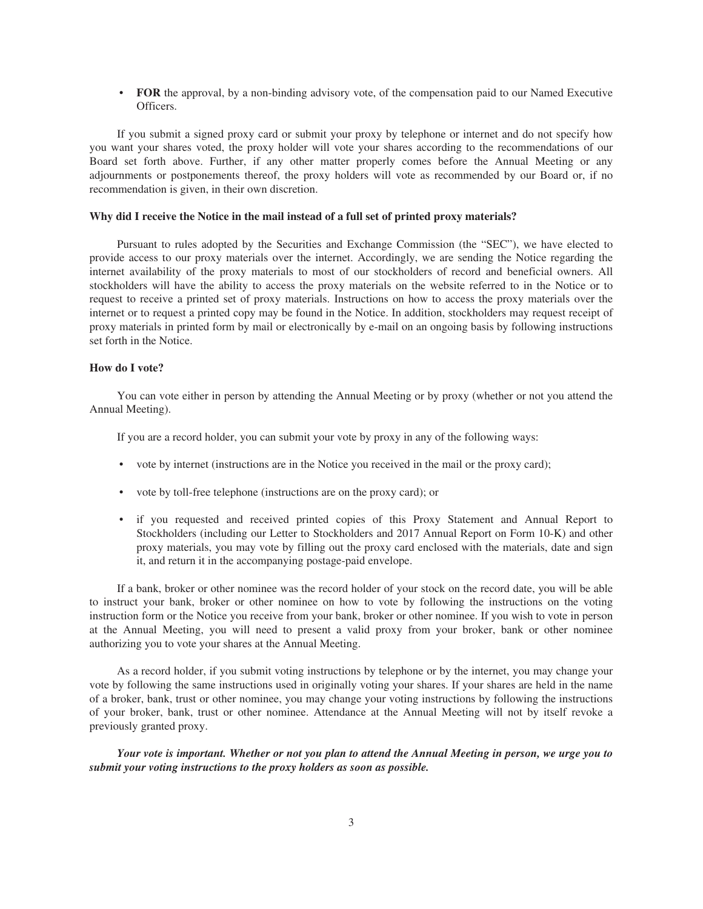• **FOR** the approval, by a non-binding advisory vote, of the compensation paid to our Named Executive Officers.

If you submit a signed proxy card or submit your proxy by telephone or internet and do not specify how you want your shares voted, the proxy holder will vote your shares according to the recommendations of our Board set forth above. Further, if any other matter properly comes before the Annual Meeting or any adjournments or postponements thereof, the proxy holders will vote as recommended by our Board or, if no recommendation is given, in their own discretion.

## **Why did I receive the Notice in the mail instead of a full set of printed proxy materials?**

Pursuant to rules adopted by the Securities and Exchange Commission (the "SEC"), we have elected to provide access to our proxy materials over the internet. Accordingly, we are sending the Notice regarding the internet availability of the proxy materials to most of our stockholders of record and beneficial owners. All stockholders will have the ability to access the proxy materials on the website referred to in the Notice or to request to receive a printed set of proxy materials. Instructions on how to access the proxy materials over the internet or to request a printed copy may be found in the Notice. In addition, stockholders may request receipt of proxy materials in printed form by mail or electronically by e-mail on an ongoing basis by following instructions set forth in the Notice.

## **How do I vote?**

You can vote either in person by attending the Annual Meeting or by proxy (whether or not you attend the Annual Meeting).

If you are a record holder, you can submit your vote by proxy in any of the following ways:

- vote by internet (instructions are in the Notice you received in the mail or the proxy card);
- vote by toll-free telephone (instructions are on the proxy card); or
- if you requested and received printed copies of this Proxy Statement and Annual Report to Stockholders (including our Letter to Stockholders and 2017 Annual Report on Form 10-K) and other proxy materials, you may vote by filling out the proxy card enclosed with the materials, date and sign it, and return it in the accompanying postage-paid envelope.

If a bank, broker or other nominee was the record holder of your stock on the record date, you will be able to instruct your bank, broker or other nominee on how to vote by following the instructions on the voting instruction form or the Notice you receive from your bank, broker or other nominee. If you wish to vote in person at the Annual Meeting, you will need to present a valid proxy from your broker, bank or other nominee authorizing you to vote your shares at the Annual Meeting.

As a record holder, if you submit voting instructions by telephone or by the internet, you may change your vote by following the same instructions used in originally voting your shares. If your shares are held in the name of a broker, bank, trust or other nominee, you may change your voting instructions by following the instructions of your broker, bank, trust or other nominee. Attendance at the Annual Meeting will not by itself revoke a previously granted proxy.

*Your vote is important. Whether or not you plan to attend the Annual Meeting in person, we urge you to submit your voting instructions to the proxy holders as soon as possible.*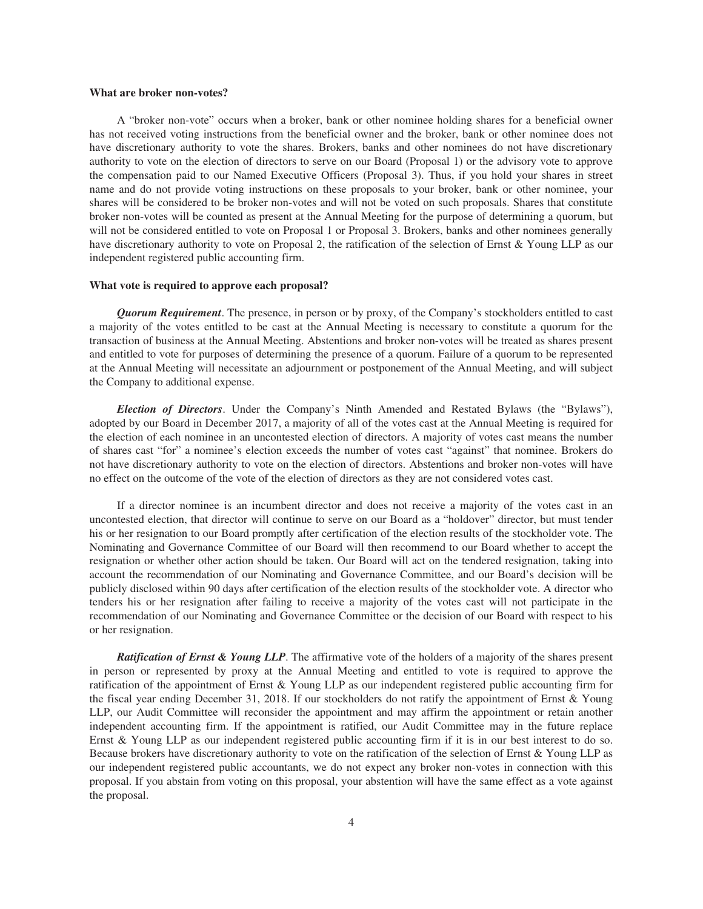## **What are broker non-votes?**

A "broker non-vote" occurs when a broker, bank or other nominee holding shares for a beneficial owner has not received voting instructions from the beneficial owner and the broker, bank or other nominee does not have discretionary authority to vote the shares. Brokers, banks and other nominees do not have discretionary authority to vote on the election of directors to serve on our Board (Proposal 1) or the advisory vote to approve the compensation paid to our Named Executive Officers (Proposal 3). Thus, if you hold your shares in street name and do not provide voting instructions on these proposals to your broker, bank or other nominee, your shares will be considered to be broker non-votes and will not be voted on such proposals. Shares that constitute broker non-votes will be counted as present at the Annual Meeting for the purpose of determining a quorum, but will not be considered entitled to vote on Proposal 1 or Proposal 3. Brokers, banks and other nominees generally have discretionary authority to vote on Proposal 2, the ratification of the selection of Ernst & Young LLP as our independent registered public accounting firm.

## **What vote is required to approve each proposal?**

*Quorum Requirement*. The presence, in person or by proxy, of the Company's stockholders entitled to cast a majority of the votes entitled to be cast at the Annual Meeting is necessary to constitute a quorum for the transaction of business at the Annual Meeting. Abstentions and broker non-votes will be treated as shares present and entitled to vote for purposes of determining the presence of a quorum. Failure of a quorum to be represented at the Annual Meeting will necessitate an adjournment or postponement of the Annual Meeting, and will subject the Company to additional expense.

*Election of Directors*. Under the Company's Ninth Amended and Restated Bylaws (the "Bylaws"), adopted by our Board in December 2017, a majority of all of the votes cast at the Annual Meeting is required for the election of each nominee in an uncontested election of directors. A majority of votes cast means the number of shares cast "for" a nominee's election exceeds the number of votes cast "against" that nominee. Brokers do not have discretionary authority to vote on the election of directors. Abstentions and broker non-votes will have no effect on the outcome of the vote of the election of directors as they are not considered votes cast.

If a director nominee is an incumbent director and does not receive a majority of the votes cast in an uncontested election, that director will continue to serve on our Board as a "holdover" director, but must tender his or her resignation to our Board promptly after certification of the election results of the stockholder vote. The Nominating and Governance Committee of our Board will then recommend to our Board whether to accept the resignation or whether other action should be taken. Our Board will act on the tendered resignation, taking into account the recommendation of our Nominating and Governance Committee, and our Board's decision will be publicly disclosed within 90 days after certification of the election results of the stockholder vote. A director who tenders his or her resignation after failing to receive a majority of the votes cast will not participate in the recommendation of our Nominating and Governance Committee or the decision of our Board with respect to his or her resignation.

*Ratification of Ernst & Young LLP*. The affirmative vote of the holders of a majority of the shares present in person or represented by proxy at the Annual Meeting and entitled to vote is required to approve the ratification of the appointment of Ernst & Young LLP as our independent registered public accounting firm for the fiscal year ending December 31, 2018. If our stockholders do not ratify the appointment of Ernst & Young LLP, our Audit Committee will reconsider the appointment and may affirm the appointment or retain another independent accounting firm. If the appointment is ratified, our Audit Committee may in the future replace Ernst & Young LLP as our independent registered public accounting firm if it is in our best interest to do so. Because brokers have discretionary authority to vote on the ratification of the selection of Ernst & Young LLP as our independent registered public accountants, we do not expect any broker non-votes in connection with this proposal. If you abstain from voting on this proposal, your abstention will have the same effect as a vote against the proposal.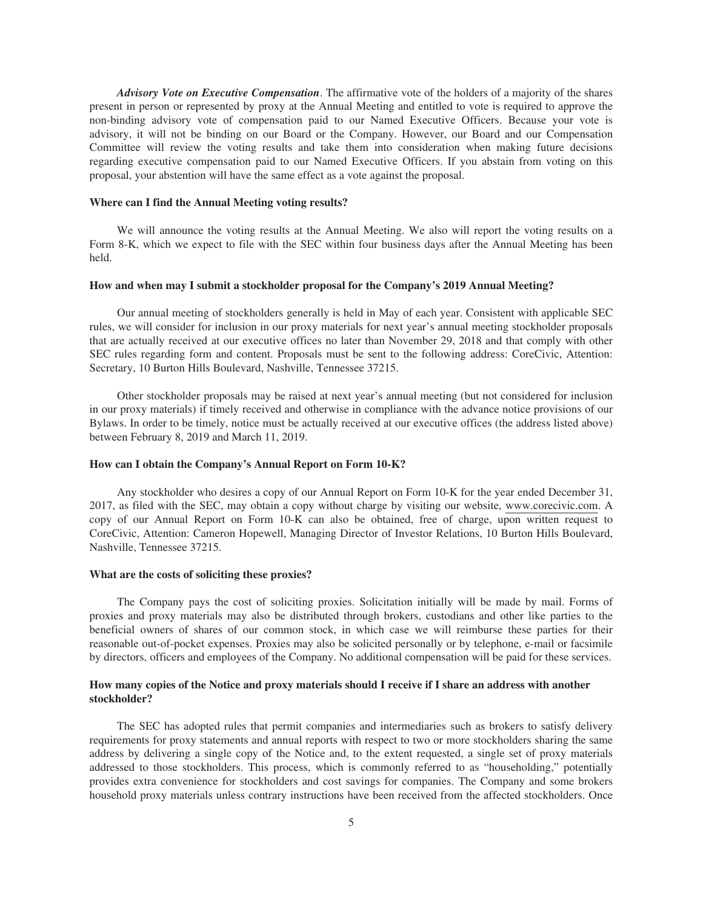*Advisory Vote on Executive Compensation*. The affirmative vote of the holders of a majority of the shares present in person or represented by proxy at the Annual Meeting and entitled to vote is required to approve the non-binding advisory vote of compensation paid to our Named Executive Officers. Because your vote is advisory, it will not be binding on our Board or the Company. However, our Board and our Compensation Committee will review the voting results and take them into consideration when making future decisions regarding executive compensation paid to our Named Executive Officers. If you abstain from voting on this proposal, your abstention will have the same effect as a vote against the proposal.

## **Where can I find the Annual Meeting voting results?**

We will announce the voting results at the Annual Meeting. We also will report the voting results on a Form 8-K, which we expect to file with the SEC within four business days after the Annual Meeting has been held.

## **How and when may I submit a stockholder proposal for the Company's 2019 Annual Meeting?**

Our annual meeting of stockholders generally is held in May of each year. Consistent with applicable SEC rules, we will consider for inclusion in our proxy materials for next year's annual meeting stockholder proposals that are actually received at our executive offices no later than November 29, 2018 and that comply with other SEC rules regarding form and content. Proposals must be sent to the following address: CoreCivic, Attention: Secretary, 10 Burton Hills Boulevard, Nashville, Tennessee 37215.

Other stockholder proposals may be raised at next year's annual meeting (but not considered for inclusion in our proxy materials) if timely received and otherwise in compliance with the advance notice provisions of our Bylaws. In order to be timely, notice must be actually received at our executive offices (the address listed above) between February 8, 2019 and March 11, 2019.

## **How can I obtain the Company's Annual Report on Form 10-K?**

Any stockholder who desires a copy of our Annual Report on Form 10-K for the year ended December 31, 2017, as filed with the SEC, may obtain a copy without charge by visiting our website, www.corecivic.com. A copy of our Annual Report on Form 10-K can also be obtained, free of charge, upon written request to CoreCivic, Attention: Cameron Hopewell, Managing Director of Investor Relations, 10 Burton Hills Boulevard, Nashville, Tennessee 37215.

## **What are the costs of soliciting these proxies?**

The Company pays the cost of soliciting proxies. Solicitation initially will be made by mail. Forms of proxies and proxy materials may also be distributed through brokers, custodians and other like parties to the beneficial owners of shares of our common stock, in which case we will reimburse these parties for their reasonable out-of-pocket expenses. Proxies may also be solicited personally or by telephone, e-mail or facsimile by directors, officers and employees of the Company. No additional compensation will be paid for these services.

## **How many copies of the Notice and proxy materials should I receive if I share an address with another stockholder?**

The SEC has adopted rules that permit companies and intermediaries such as brokers to satisfy delivery requirements for proxy statements and annual reports with respect to two or more stockholders sharing the same address by delivering a single copy of the Notice and, to the extent requested, a single set of proxy materials addressed to those stockholders. This process, which is commonly referred to as "householding," potentially provides extra convenience for stockholders and cost savings for companies. The Company and some brokers household proxy materials unless contrary instructions have been received from the affected stockholders. Once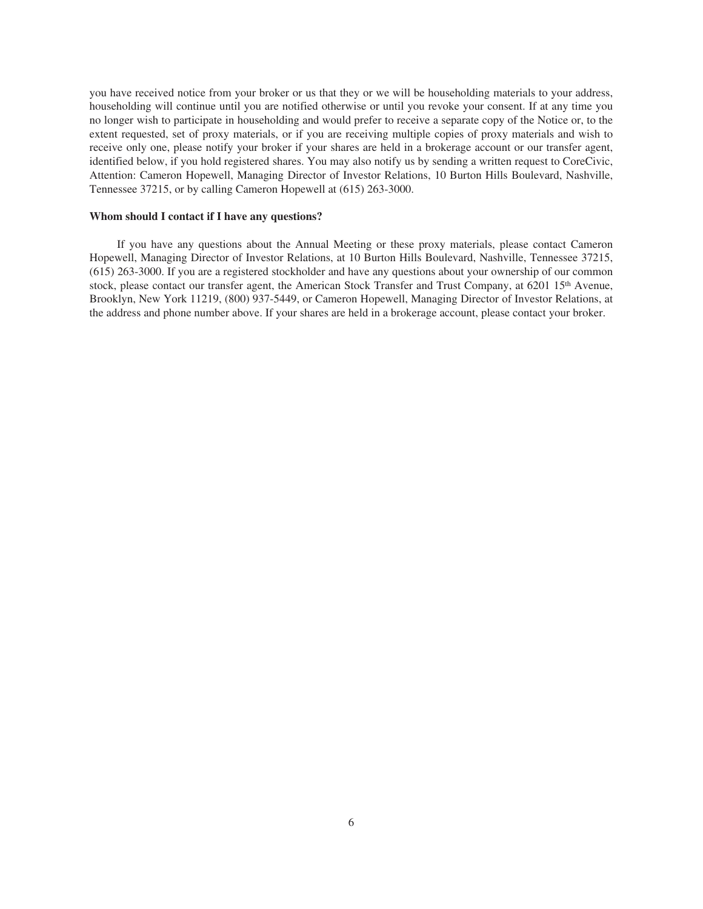you have received notice from your broker or us that they or we will be householding materials to your address, householding will continue until you are notified otherwise or until you revoke your consent. If at any time you no longer wish to participate in householding and would prefer to receive a separate copy of the Notice or, to the extent requested, set of proxy materials, or if you are receiving multiple copies of proxy materials and wish to receive only one, please notify your broker if your shares are held in a brokerage account or our transfer agent, identified below, if you hold registered shares. You may also notify us by sending a written request to CoreCivic, Attention: Cameron Hopewell, Managing Director of Investor Relations, 10 Burton Hills Boulevard, Nashville, Tennessee 37215, or by calling Cameron Hopewell at (615) 263-3000.

## **Whom should I contact if I have any questions?**

If you have any questions about the Annual Meeting or these proxy materials, please contact Cameron Hopewell, Managing Director of Investor Relations, at 10 Burton Hills Boulevard, Nashville, Tennessee 37215, (615) 263-3000. If you are a registered stockholder and have any questions about your ownership of our common stock, please contact our transfer agent, the American Stock Transfer and Trust Company, at 6201 15<sup>th</sup> Avenue, Brooklyn, New York 11219, (800) 937-5449, or Cameron Hopewell, Managing Director of Investor Relations, at the address and phone number above. If your shares are held in a brokerage account, please contact your broker.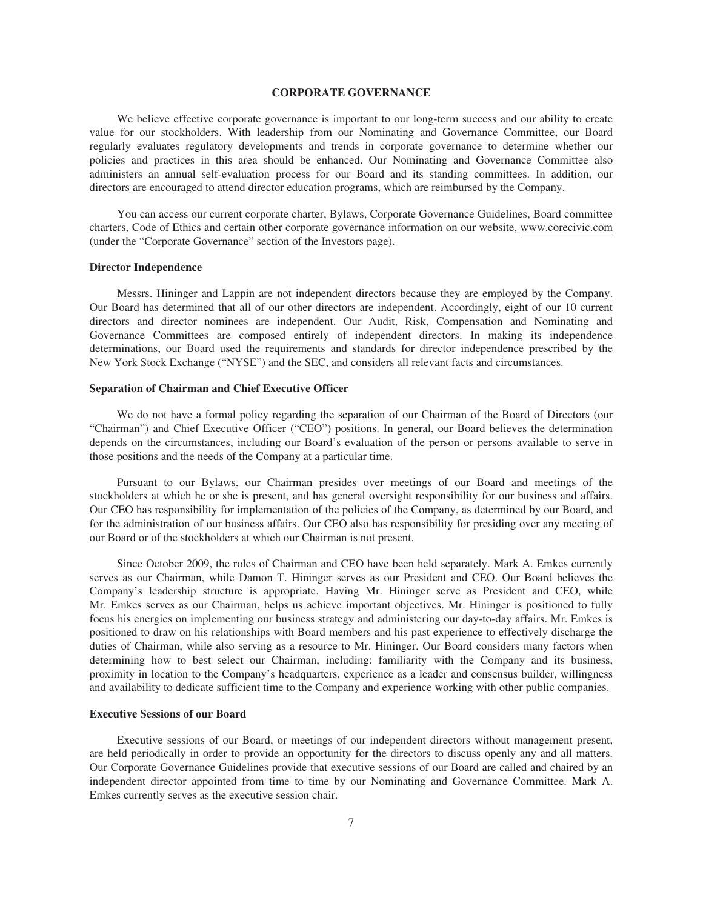## **CORPORATE GOVERNANCE**

We believe effective corporate governance is important to our long-term success and our ability to create value for our stockholders. With leadership from our Nominating and Governance Committee, our Board regularly evaluates regulatory developments and trends in corporate governance to determine whether our policies and practices in this area should be enhanced. Our Nominating and Governance Committee also administers an annual self-evaluation process for our Board and its standing committees. In addition, our directors are encouraged to attend director education programs, which are reimbursed by the Company.

You can access our current corporate charter, Bylaws, Corporate Governance Guidelines, Board committee charters, Code of Ethics and certain other corporate governance information on our website, www.corecivic.com (under the "Corporate Governance" section of the Investors page).

## **Director Independence**

Messrs. Hininger and Lappin are not independent directors because they are employed by the Company. Our Board has determined that all of our other directors are independent. Accordingly, eight of our 10 current directors and director nominees are independent. Our Audit, Risk, Compensation and Nominating and Governance Committees are composed entirely of independent directors. In making its independence determinations, our Board used the requirements and standards for director independence prescribed by the New York Stock Exchange ("NYSE") and the SEC, and considers all relevant facts and circumstances.

## **Separation of Chairman and Chief Executive Officer**

We do not have a formal policy regarding the separation of our Chairman of the Board of Directors (our "Chairman") and Chief Executive Officer ("CEO") positions. In general, our Board believes the determination depends on the circumstances, including our Board's evaluation of the person or persons available to serve in those positions and the needs of the Company at a particular time.

Pursuant to our Bylaws, our Chairman presides over meetings of our Board and meetings of the stockholders at which he or she is present, and has general oversight responsibility for our business and affairs. Our CEO has responsibility for implementation of the policies of the Company, as determined by our Board, and for the administration of our business affairs. Our CEO also has responsibility for presiding over any meeting of our Board or of the stockholders at which our Chairman is not present.

Since October 2009, the roles of Chairman and CEO have been held separately. Mark A. Emkes currently serves as our Chairman, while Damon T. Hininger serves as our President and CEO. Our Board believes the Company's leadership structure is appropriate. Having Mr. Hininger serve as President and CEO, while Mr. Emkes serves as our Chairman, helps us achieve important objectives. Mr. Hininger is positioned to fully focus his energies on implementing our business strategy and administering our day-to-day affairs. Mr. Emkes is positioned to draw on his relationships with Board members and his past experience to effectively discharge the duties of Chairman, while also serving as a resource to Mr. Hininger. Our Board considers many factors when determining how to best select our Chairman, including: familiarity with the Company and its business, proximity in location to the Company's headquarters, experience as a leader and consensus builder, willingness and availability to dedicate sufficient time to the Company and experience working with other public companies.

## **Executive Sessions of our Board**

Executive sessions of our Board, or meetings of our independent directors without management present, are held periodically in order to provide an opportunity for the directors to discuss openly any and all matters. Our Corporate Governance Guidelines provide that executive sessions of our Board are called and chaired by an independent director appointed from time to time by our Nominating and Governance Committee. Mark A. Emkes currently serves as the executive session chair.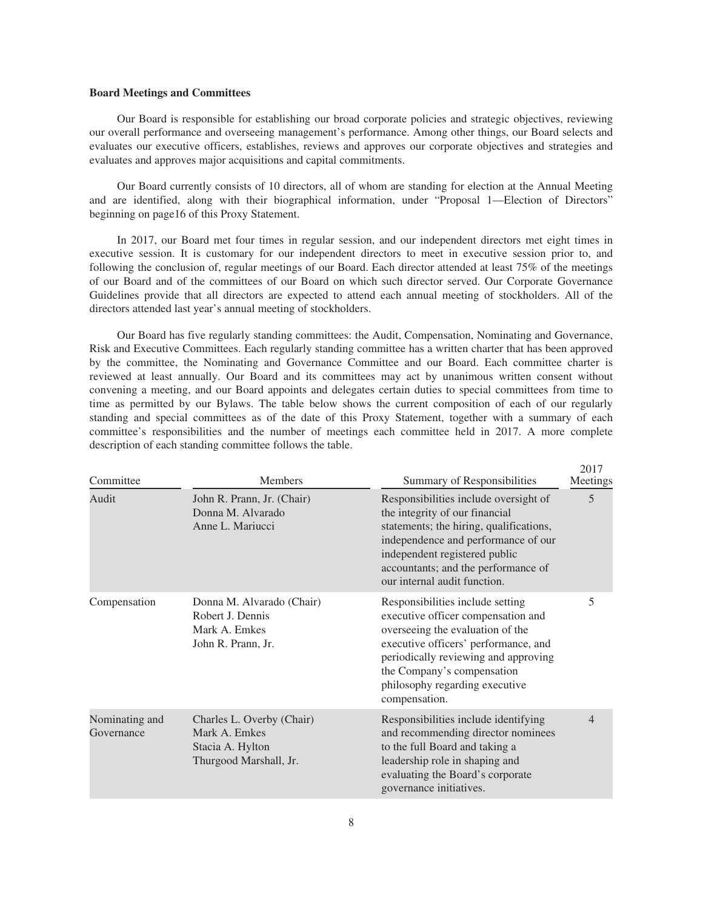## **Board Meetings and Committees**

Our Board is responsible for establishing our broad corporate policies and strategic objectives, reviewing our overall performance and overseeing management's performance. Among other things, our Board selects and evaluates our executive officers, establishes, reviews and approves our corporate objectives and strategies and evaluates and approves major acquisitions and capital commitments.

Our Board currently consists of 10 directors, all of whom are standing for election at the Annual Meeting and are identified, along with their biographical information, under "Proposal 1—Election of Directors" beginning on page16 of this Proxy Statement.

In 2017, our Board met four times in regular session, and our independent directors met eight times in executive session. It is customary for our independent directors to meet in executive session prior to, and following the conclusion of, regular meetings of our Board. Each director attended at least 75% of the meetings of our Board and of the committees of our Board on which such director served. Our Corporate Governance Guidelines provide that all directors are expected to attend each annual meeting of stockholders. All of the directors attended last year's annual meeting of stockholders.

Our Board has five regularly standing committees: the Audit, Compensation, Nominating and Governance, Risk and Executive Committees. Each regularly standing committee has a written charter that has been approved by the committee, the Nominating and Governance Committee and our Board. Each committee charter is reviewed at least annually. Our Board and its committees may act by unanimous written consent without convening a meeting, and our Board appoints and delegates certain duties to special committees from time to time as permitted by our Bylaws. The table below shows the current composition of each of our regularly standing and special committees as of the date of this Proxy Statement, together with a summary of each committee's responsibilities and the number of meetings each committee held in 2017. A more complete description of each standing committee follows the table.

| Committee                    | <b>Members</b>                                                                           | Summary of Responsibilities                                                                                                                                                                                                                                                 | 2017<br>Meetings<br>5 |  |
|------------------------------|------------------------------------------------------------------------------------------|-----------------------------------------------------------------------------------------------------------------------------------------------------------------------------------------------------------------------------------------------------------------------------|-----------------------|--|
| Audit                        | John R. Prann, Jr. (Chair)<br>Donna M. Alvarado<br>Anne L. Mariucci                      | Responsibilities include oversight of<br>the integrity of our financial<br>statements; the hiring, qualifications,<br>independence and performance of our<br>independent registered public<br>accountants; and the performance of<br>our internal audit function.           |                       |  |
| Compensation                 | Donna M. Alvarado (Chair)<br>Robert J. Dennis<br>Mark A. Emkes<br>John R. Prann, Jr.     | Responsibilities include setting<br>executive officer compensation and<br>overseeing the evaluation of the<br>executive officers' performance, and<br>periodically reviewing and approving<br>the Company's compensation<br>philosophy regarding executive<br>compensation. | 5                     |  |
| Nominating and<br>Governance | Charles L. Overby (Chair)<br>Mark A. Emkes<br>Stacia A. Hylton<br>Thurgood Marshall, Jr. | Responsibilities include identifying<br>and recommending director nominees<br>to the full Board and taking a<br>leadership role in shaping and<br>evaluating the Board's corporate<br>governance initiatives.                                                               | 4                     |  |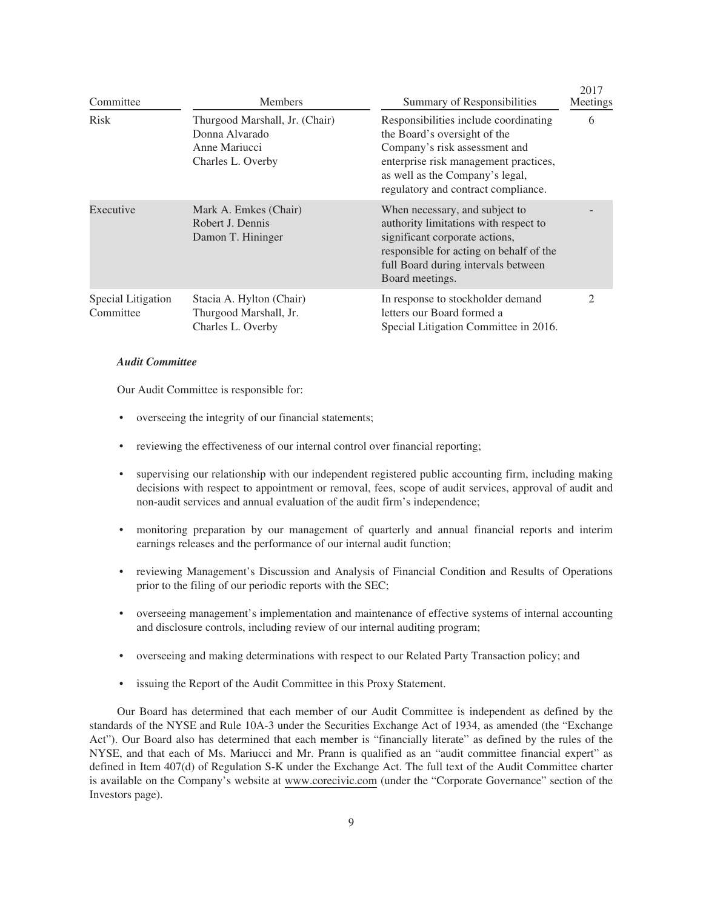| Committee                       | <b>Members</b>                                                                         | Summary of Responsibilities                                                                                                                                                                                               | 20T/<br>Meetings            |
|---------------------------------|----------------------------------------------------------------------------------------|---------------------------------------------------------------------------------------------------------------------------------------------------------------------------------------------------------------------------|-----------------------------|
| <b>Risk</b>                     | Thurgood Marshall, Jr. (Chair)<br>Donna Alvarado<br>Anne Mariucci<br>Charles L. Overby | Responsibilities include coordinating<br>the Board's oversight of the<br>Company's risk assessment and<br>enterprise risk management practices,<br>as well as the Company's legal,<br>regulatory and contract compliance. | 6                           |
| Executive                       | Mark A. Emkes (Chair)<br>Robert J. Dennis<br>Damon T. Hininger                         | When necessary, and subject to<br>authority limitations with respect to<br>significant corporate actions,<br>responsible for acting on behalf of the<br>full Board during intervals between<br>Board meetings.            |                             |
| Special Litigation<br>Committee | Stacia A. Hylton (Chair)<br>Thurgood Marshall, Jr.<br>Charles L. Overby                | In response to stockholder demand<br>letters our Board formed a<br>Special Litigation Committee in 2016.                                                                                                                  | $\mathcal{D}_{\mathcal{L}}$ |

 $2017$ 

## *Audit Committee*

Our Audit Committee is responsible for:

- overseeing the integrity of our financial statements;
- reviewing the effectiveness of our internal control over financial reporting;
- supervising our relationship with our independent registered public accounting firm, including making decisions with respect to appointment or removal, fees, scope of audit services, approval of audit and non-audit services and annual evaluation of the audit firm's independence;
- monitoring preparation by our management of quarterly and annual financial reports and interim earnings releases and the performance of our internal audit function;
- reviewing Management's Discussion and Analysis of Financial Condition and Results of Operations prior to the filing of our periodic reports with the SEC;
- overseeing management's implementation and maintenance of effective systems of internal accounting and disclosure controls, including review of our internal auditing program;
- overseeing and making determinations with respect to our Related Party Transaction policy; and
- issuing the Report of the Audit Committee in this Proxy Statement.

Our Board has determined that each member of our Audit Committee is independent as defined by the standards of the NYSE and Rule 10A-3 under the Securities Exchange Act of 1934, as amended (the "Exchange Act"). Our Board also has determined that each member is "financially literate" as defined by the rules of the NYSE, and that each of Ms. Mariucci and Mr. Prann is qualified as an "audit committee financial expert" as defined in Item 407(d) of Regulation S-K under the Exchange Act. The full text of the Audit Committee charter is available on the Company's website at www.corecivic.com (under the "Corporate Governance" section of the Investors page).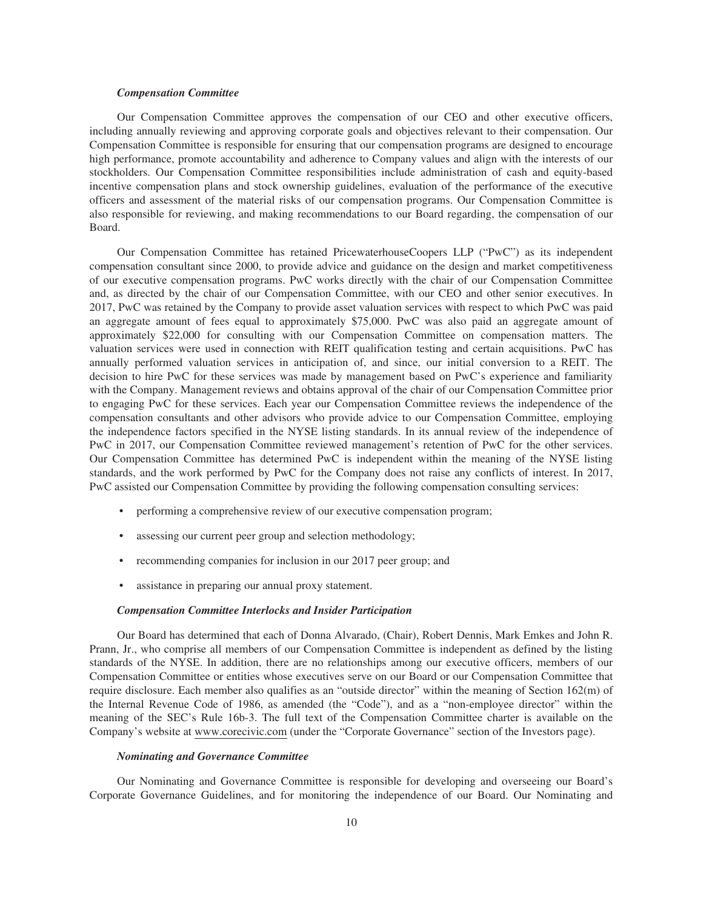## *Compensation Committee*

Our Compensation Committee approves the compensation of our CEO and other executive officers, including annually reviewing and approving corporate goals and objectives relevant to their compensation. Our Compensation Committee is responsible for ensuring that our compensation programs are designed to encourage high performance, promote accountability and adherence to Company values and align with the interests of our stockholders. Our Compensation Committee responsibilities include administration of cash and equity-based incentive compensation plans and stock ownership guidelines, evaluation of the performance of the executive officers and assessment of the material risks of our compensation programs. Our Compensation Committee is also responsible for reviewing, and making recommendations to our Board regarding, the compensation of our Board.

Our Compensation Committee has retained PricewaterhouseCoopers LLP ("PwC") as its independent compensation consultant since 2000, to provide advice and guidance on the design and market competitiveness of our executive compensation programs. PwC works directly with the chair of our Compensation Committee and, as directed by the chair of our Compensation Committee, with our CEO and other senior executives. In 2017, PwC was retained by the Company to provide asset valuation services with respect to which PwC was paid an aggregate amount of fees equal to approximately \$75,000. PwC was also paid an aggregate amount of approximately \$22,000 for consulting with our Compensation Committee on compensation matters. The valuation services were used in connection with REIT qualification testing and certain acquisitions. PwC has annually performed valuation services in anticipation of, and since, our initial conversion to a REIT. The decision to hire PwC for these services was made by management based on PwC's experience and familiarity with the Company. Management reviews and obtains approval of the chair of our Compensation Committee prior to engaging PwC for these services. Each year our Compensation Committee reviews the independence of the compensation consultants and other advisors who provide advice to our Compensation Committee, employing the independence factors specified in the NYSE listing standards. In its annual review of the independence of PwC in 2017, our Compensation Committee reviewed management's retention of PwC for the other services. Our Compensation Committee has determined PwC is independent within the meaning of the NYSE listing standards, and the work performed by PwC for the Company does not raise any conflicts of interest. In 2017, PwC assisted our Compensation Committee by providing the following compensation consulting services:

- performing a comprehensive review of our executive compensation program;
- assessing our current peer group and selection methodology;
- recommending companies for inclusion in our 2017 peer group; and
- assistance in preparing our annual proxy statement.

## *Compensation Committee Interlocks and Insider Participation*

Our Board has determined that each of Donna Alvarado, (Chair), Robert Dennis, Mark Emkes and John R. Prann, Jr., who comprise all members of our Compensation Committee is independent as defined by the listing standards of the NYSE. In addition, there are no relationships among our executive officers, members of our Compensation Committee or entities whose executives serve on our Board or our Compensation Committee that require disclosure. Each member also qualifies as an "outside director" within the meaning of Section 162(m) of the Internal Revenue Code of 1986, as amended (the "Code"), and as a "non-employee director" within the meaning of the SEC's Rule 16b-3. The full text of the Compensation Committee charter is available on the Company's website at www.corecivic.com (under the "Corporate Governance" section of the Investors page).

#### *Nominating and Governance Committee*

Our Nominating and Governance Committee is responsible for developing and overseeing our Board's Corporate Governance Guidelines, and for monitoring the independence of our Board. Our Nominating and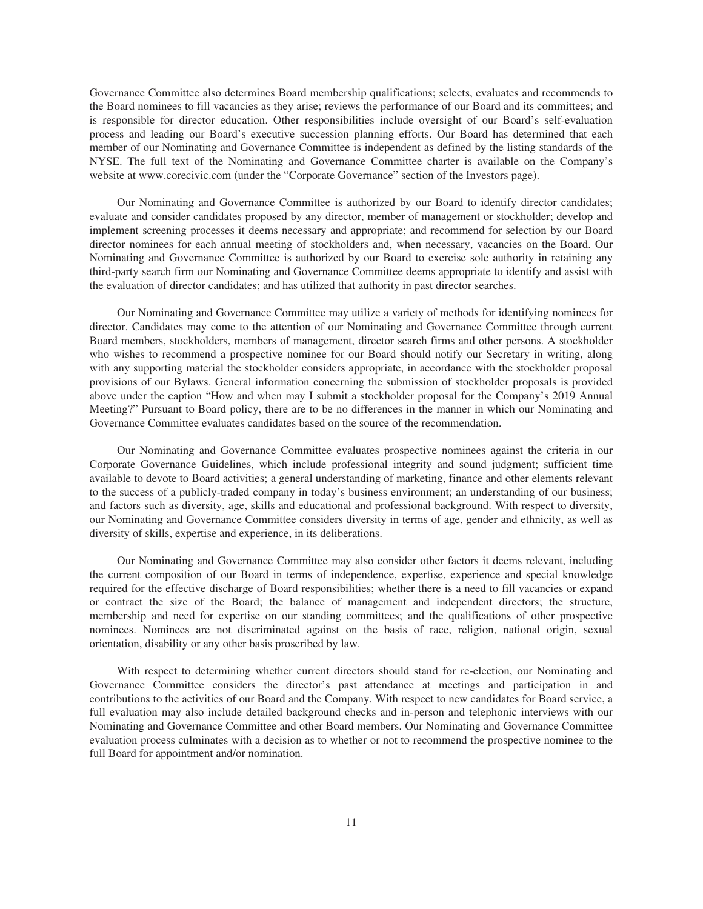Governance Committee also determines Board membership qualifications; selects, evaluates and recommends to the Board nominees to fill vacancies as they arise; reviews the performance of our Board and its committees; and is responsible for director education. Other responsibilities include oversight of our Board's self-evaluation process and leading our Board's executive succession planning efforts. Our Board has determined that each member of our Nominating and Governance Committee is independent as defined by the listing standards of the NYSE. The full text of the Nominating and Governance Committee charter is available on the Company's website at www.corecivic.com (under the "Corporate Governance" section of the Investors page).

Our Nominating and Governance Committee is authorized by our Board to identify director candidates; evaluate and consider candidates proposed by any director, member of management or stockholder; develop and implement screening processes it deems necessary and appropriate; and recommend for selection by our Board director nominees for each annual meeting of stockholders and, when necessary, vacancies on the Board. Our Nominating and Governance Committee is authorized by our Board to exercise sole authority in retaining any third-party search firm our Nominating and Governance Committee deems appropriate to identify and assist with the evaluation of director candidates; and has utilized that authority in past director searches.

Our Nominating and Governance Committee may utilize a variety of methods for identifying nominees for director. Candidates may come to the attention of our Nominating and Governance Committee through current Board members, stockholders, members of management, director search firms and other persons. A stockholder who wishes to recommend a prospective nominee for our Board should notify our Secretary in writing, along with any supporting material the stockholder considers appropriate, in accordance with the stockholder proposal provisions of our Bylaws. General information concerning the submission of stockholder proposals is provided above under the caption "How and when may I submit a stockholder proposal for the Company's 2019 Annual Meeting?" Pursuant to Board policy, there are to be no differences in the manner in which our Nominating and Governance Committee evaluates candidates based on the source of the recommendation.

Our Nominating and Governance Committee evaluates prospective nominees against the criteria in our Corporate Governance Guidelines, which include professional integrity and sound judgment; sufficient time available to devote to Board activities; a general understanding of marketing, finance and other elements relevant to the success of a publicly-traded company in today's business environment; an understanding of our business; and factors such as diversity, age, skills and educational and professional background. With respect to diversity, our Nominating and Governance Committee considers diversity in terms of age, gender and ethnicity, as well as diversity of skills, expertise and experience, in its deliberations.

Our Nominating and Governance Committee may also consider other factors it deems relevant, including the current composition of our Board in terms of independence, expertise, experience and special knowledge required for the effective discharge of Board responsibilities; whether there is a need to fill vacancies or expand or contract the size of the Board; the balance of management and independent directors; the structure, membership and need for expertise on our standing committees; and the qualifications of other prospective nominees. Nominees are not discriminated against on the basis of race, religion, national origin, sexual orientation, disability or any other basis proscribed by law.

With respect to determining whether current directors should stand for re-election, our Nominating and Governance Committee considers the director's past attendance at meetings and participation in and contributions to the activities of our Board and the Company. With respect to new candidates for Board service, a full evaluation may also include detailed background checks and in-person and telephonic interviews with our Nominating and Governance Committee and other Board members. Our Nominating and Governance Committee evaluation process culminates with a decision as to whether or not to recommend the prospective nominee to the full Board for appointment and/or nomination.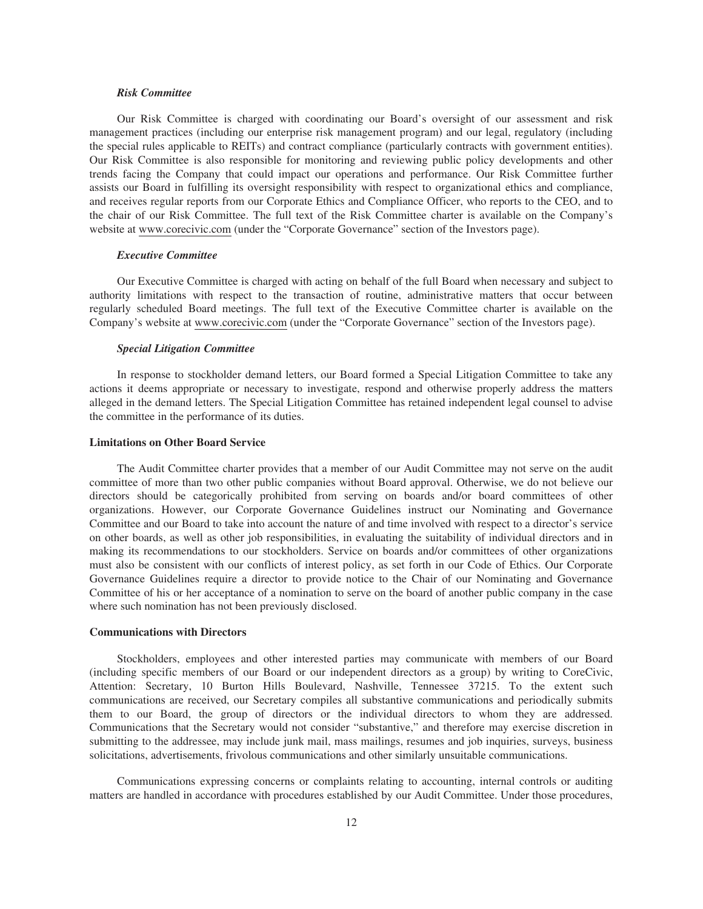## *Risk Committee*

Our Risk Committee is charged with coordinating our Board's oversight of our assessment and risk management practices (including our enterprise risk management program) and our legal, regulatory (including the special rules applicable to REITs) and contract compliance (particularly contracts with government entities). Our Risk Committee is also responsible for monitoring and reviewing public policy developments and other trends facing the Company that could impact our operations and performance. Our Risk Committee further assists our Board in fulfilling its oversight responsibility with respect to organizational ethics and compliance, and receives regular reports from our Corporate Ethics and Compliance Officer, who reports to the CEO, and to the chair of our Risk Committee. The full text of the Risk Committee charter is available on the Company's website at www.corecivic.com (under the "Corporate Governance" section of the Investors page).

## *Executive Committee*

Our Executive Committee is charged with acting on behalf of the full Board when necessary and subject to authority limitations with respect to the transaction of routine, administrative matters that occur between regularly scheduled Board meetings. The full text of the Executive Committee charter is available on the Company's website at www.corecivic.com (under the "Corporate Governance" section of the Investors page).

## *Special Litigation Committee*

In response to stockholder demand letters, our Board formed a Special Litigation Committee to take any actions it deems appropriate or necessary to investigate, respond and otherwise properly address the matters alleged in the demand letters. The Special Litigation Committee has retained independent legal counsel to advise the committee in the performance of its duties.

## **Limitations on Other Board Service**

The Audit Committee charter provides that a member of our Audit Committee may not serve on the audit committee of more than two other public companies without Board approval. Otherwise, we do not believe our directors should be categorically prohibited from serving on boards and/or board committees of other organizations. However, our Corporate Governance Guidelines instruct our Nominating and Governance Committee and our Board to take into account the nature of and time involved with respect to a director's service on other boards, as well as other job responsibilities, in evaluating the suitability of individual directors and in making its recommendations to our stockholders. Service on boards and/or committees of other organizations must also be consistent with our conflicts of interest policy, as set forth in our Code of Ethics. Our Corporate Governance Guidelines require a director to provide notice to the Chair of our Nominating and Governance Committee of his or her acceptance of a nomination to serve on the board of another public company in the case where such nomination has not been previously disclosed.

#### **Communications with Directors**

Stockholders, employees and other interested parties may communicate with members of our Board (including specific members of our Board or our independent directors as a group) by writing to CoreCivic, Attention: Secretary, 10 Burton Hills Boulevard, Nashville, Tennessee 37215. To the extent such communications are received, our Secretary compiles all substantive communications and periodically submits them to our Board, the group of directors or the individual directors to whom they are addressed. Communications that the Secretary would not consider "substantive," and therefore may exercise discretion in submitting to the addressee, may include junk mail, mass mailings, resumes and job inquiries, surveys, business solicitations, advertisements, frivolous communications and other similarly unsuitable communications.

Communications expressing concerns or complaints relating to accounting, internal controls or auditing matters are handled in accordance with procedures established by our Audit Committee. Under those procedures,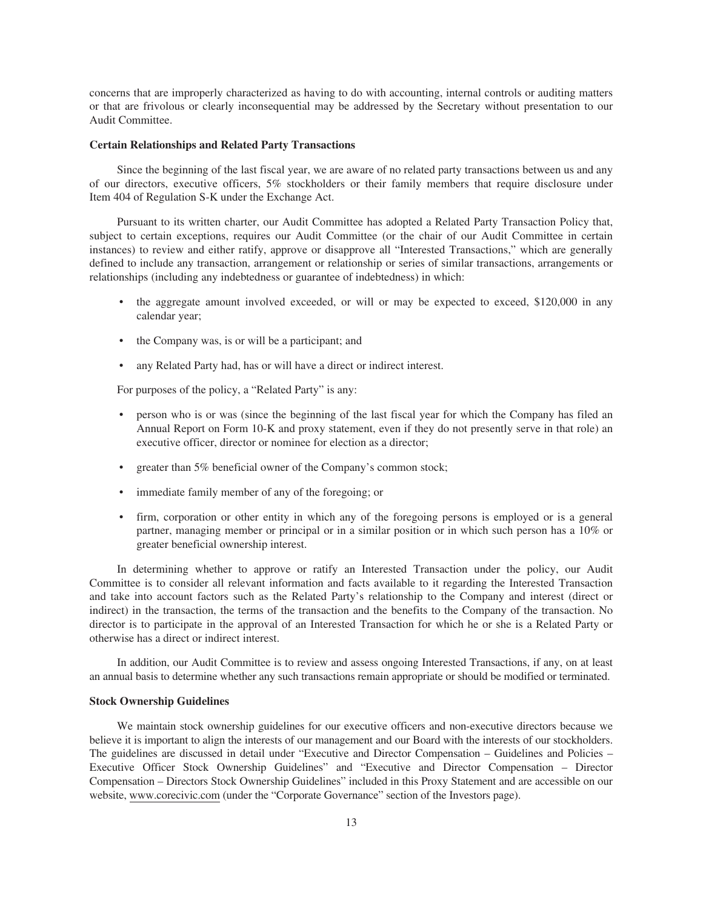concerns that are improperly characterized as having to do with accounting, internal controls or auditing matters or that are frivolous or clearly inconsequential may be addressed by the Secretary without presentation to our Audit Committee.

### **Certain Relationships and Related Party Transactions**

Since the beginning of the last fiscal year, we are aware of no related party transactions between us and any of our directors, executive officers, 5% stockholders or their family members that require disclosure under Item 404 of Regulation S-K under the Exchange Act.

Pursuant to its written charter, our Audit Committee has adopted a Related Party Transaction Policy that, subject to certain exceptions, requires our Audit Committee (or the chair of our Audit Committee in certain instances) to review and either ratify, approve or disapprove all "Interested Transactions," which are generally defined to include any transaction, arrangement or relationship or series of similar transactions, arrangements or relationships (including any indebtedness or guarantee of indebtedness) in which:

- the aggregate amount involved exceeded, or will or may be expected to exceed, \$120,000 in any calendar year;
- the Company was, is or will be a participant; and
- any Related Party had, has or will have a direct or indirect interest.

For purposes of the policy, a "Related Party" is any:

- person who is or was (since the beginning of the last fiscal year for which the Company has filed an Annual Report on Form 10-K and proxy statement, even if they do not presently serve in that role) an executive officer, director or nominee for election as a director;
- greater than 5% beneficial owner of the Company's common stock;
- immediate family member of any of the foregoing; or
- firm, corporation or other entity in which any of the foregoing persons is employed or is a general partner, managing member or principal or in a similar position or in which such person has a 10% or greater beneficial ownership interest.

In determining whether to approve or ratify an Interested Transaction under the policy, our Audit Committee is to consider all relevant information and facts available to it regarding the Interested Transaction and take into account factors such as the Related Party's relationship to the Company and interest (direct or indirect) in the transaction, the terms of the transaction and the benefits to the Company of the transaction. No director is to participate in the approval of an Interested Transaction for which he or she is a Related Party or otherwise has a direct or indirect interest.

In addition, our Audit Committee is to review and assess ongoing Interested Transactions, if any, on at least an annual basis to determine whether any such transactions remain appropriate or should be modified or terminated.

## **Stock Ownership Guidelines**

We maintain stock ownership guidelines for our executive officers and non-executive directors because we believe it is important to align the interests of our management and our Board with the interests of our stockholders. The guidelines are discussed in detail under "Executive and Director Compensation – Guidelines and Policies – Executive Officer Stock Ownership Guidelines" and "Executive and Director Compensation – Director Compensation – Directors Stock Ownership Guidelines" included in this Proxy Statement and are accessible on our website, www.corecivic.com (under the "Corporate Governance" section of the Investors page).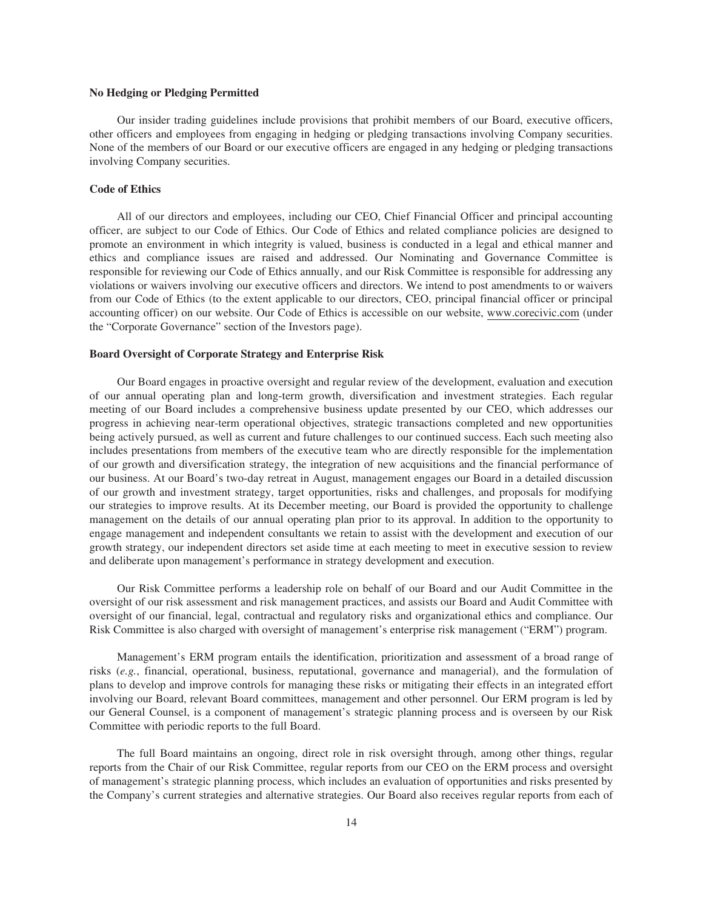## **No Hedging or Pledging Permitted**

Our insider trading guidelines include provisions that prohibit members of our Board, executive officers, other officers and employees from engaging in hedging or pledging transactions involving Company securities. None of the members of our Board or our executive officers are engaged in any hedging or pledging transactions involving Company securities.

## **Code of Ethics**

All of our directors and employees, including our CEO, Chief Financial Officer and principal accounting officer, are subject to our Code of Ethics. Our Code of Ethics and related compliance policies are designed to promote an environment in which integrity is valued, business is conducted in a legal and ethical manner and ethics and compliance issues are raised and addressed. Our Nominating and Governance Committee is responsible for reviewing our Code of Ethics annually, and our Risk Committee is responsible for addressing any violations or waivers involving our executive officers and directors. We intend to post amendments to or waivers from our Code of Ethics (to the extent applicable to our directors, CEO, principal financial officer or principal accounting officer) on our website. Our Code of Ethics is accessible on our website, www.corecivic.com (under the "Corporate Governance" section of the Investors page).

## **Board Oversight of Corporate Strategy and Enterprise Risk**

Our Board engages in proactive oversight and regular review of the development, evaluation and execution of our annual operating plan and long-term growth, diversification and investment strategies. Each regular meeting of our Board includes a comprehensive business update presented by our CEO, which addresses our progress in achieving near-term operational objectives, strategic transactions completed and new opportunities being actively pursued, as well as current and future challenges to our continued success. Each such meeting also includes presentations from members of the executive team who are directly responsible for the implementation of our growth and diversification strategy, the integration of new acquisitions and the financial performance of our business. At our Board's two-day retreat in August, management engages our Board in a detailed discussion of our growth and investment strategy, target opportunities, risks and challenges, and proposals for modifying our strategies to improve results. At its December meeting, our Board is provided the opportunity to challenge management on the details of our annual operating plan prior to its approval. In addition to the opportunity to engage management and independent consultants we retain to assist with the development and execution of our growth strategy, our independent directors set aside time at each meeting to meet in executive session to review and deliberate upon management's performance in strategy development and execution.

Our Risk Committee performs a leadership role on behalf of our Board and our Audit Committee in the oversight of our risk assessment and risk management practices, and assists our Board and Audit Committee with oversight of our financial, legal, contractual and regulatory risks and organizational ethics and compliance. Our Risk Committee is also charged with oversight of management's enterprise risk management ("ERM") program.

Management's ERM program entails the identification, prioritization and assessment of a broad range of risks (*e.g.*, financial, operational, business, reputational, governance and managerial), and the formulation of plans to develop and improve controls for managing these risks or mitigating their effects in an integrated effort involving our Board, relevant Board committees, management and other personnel. Our ERM program is led by our General Counsel, is a component of management's strategic planning process and is overseen by our Risk Committee with periodic reports to the full Board.

The full Board maintains an ongoing, direct role in risk oversight through, among other things, regular reports from the Chair of our Risk Committee, regular reports from our CEO on the ERM process and oversight of management's strategic planning process, which includes an evaluation of opportunities and risks presented by the Company's current strategies and alternative strategies. Our Board also receives regular reports from each of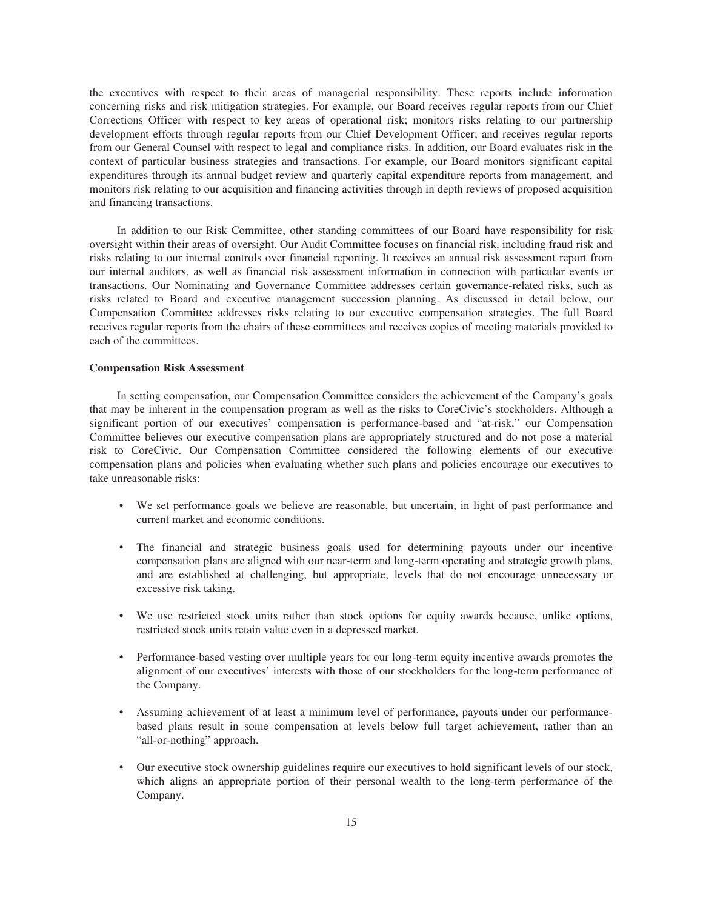the executives with respect to their areas of managerial responsibility. These reports include information concerning risks and risk mitigation strategies. For example, our Board receives regular reports from our Chief Corrections Officer with respect to key areas of operational risk; monitors risks relating to our partnership development efforts through regular reports from our Chief Development Officer; and receives regular reports from our General Counsel with respect to legal and compliance risks. In addition, our Board evaluates risk in the context of particular business strategies and transactions. For example, our Board monitors significant capital expenditures through its annual budget review and quarterly capital expenditure reports from management, and monitors risk relating to our acquisition and financing activities through in depth reviews of proposed acquisition and financing transactions.

In addition to our Risk Committee, other standing committees of our Board have responsibility for risk oversight within their areas of oversight. Our Audit Committee focuses on financial risk, including fraud risk and risks relating to our internal controls over financial reporting. It receives an annual risk assessment report from our internal auditors, as well as financial risk assessment information in connection with particular events or transactions. Our Nominating and Governance Committee addresses certain governance-related risks, such as risks related to Board and executive management succession planning. As discussed in detail below, our Compensation Committee addresses risks relating to our executive compensation strategies. The full Board receives regular reports from the chairs of these committees and receives copies of meeting materials provided to each of the committees.

## **Compensation Risk Assessment**

In setting compensation, our Compensation Committee considers the achievement of the Company's goals that may be inherent in the compensation program as well as the risks to CoreCivic's stockholders. Although a significant portion of our executives' compensation is performance-based and "at-risk," our Compensation Committee believes our executive compensation plans are appropriately structured and do not pose a material risk to CoreCivic. Our Compensation Committee considered the following elements of our executive compensation plans and policies when evaluating whether such plans and policies encourage our executives to take unreasonable risks:

- We set performance goals we believe are reasonable, but uncertain, in light of past performance and current market and economic conditions.
- The financial and strategic business goals used for determining payouts under our incentive compensation plans are aligned with our near-term and long-term operating and strategic growth plans, and are established at challenging, but appropriate, levels that do not encourage unnecessary or excessive risk taking.
- We use restricted stock units rather than stock options for equity awards because, unlike options, restricted stock units retain value even in a depressed market.
- Performance-based vesting over multiple years for our long-term equity incentive awards promotes the alignment of our executives' interests with those of our stockholders for the long-term performance of the Company.
- Assuming achievement of at least a minimum level of performance, payouts under our performancebased plans result in some compensation at levels below full target achievement, rather than an "all-or-nothing" approach.
- Our executive stock ownership guidelines require our executives to hold significant levels of our stock, which aligns an appropriate portion of their personal wealth to the long-term performance of the Company.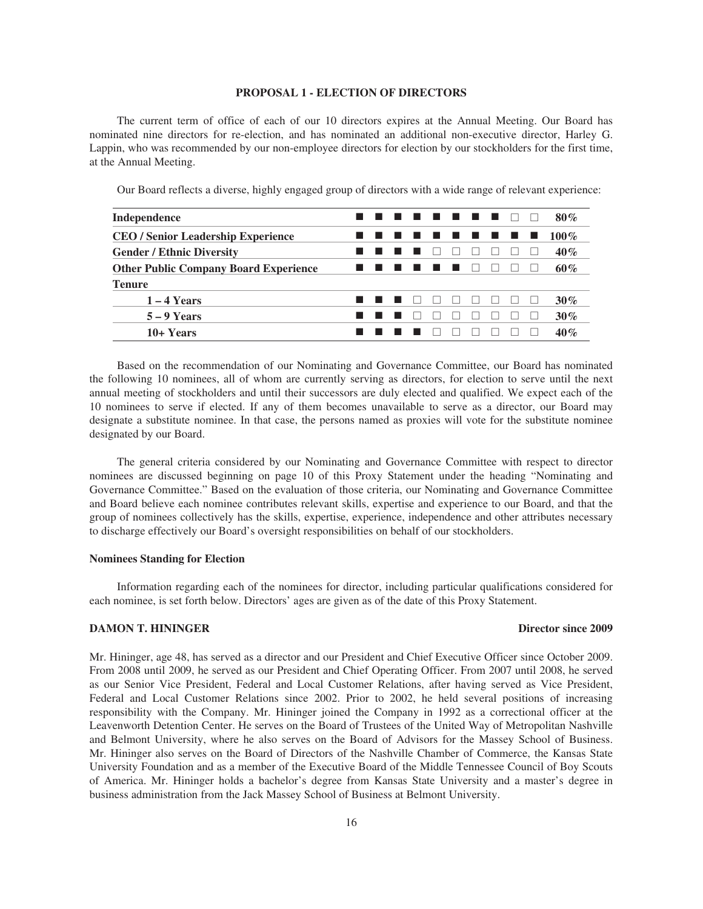## **PROPOSAL 1 - ELECTION OF DIRECTORS**

The current term of office of each of our 10 directors expires at the Annual Meeting. Our Board has nominated nine directors for re-election, and has nominated an additional non-executive director, Harley G. Lappin, who was recommended by our non-employee directors for election by our stockholders for the first time, at the Annual Meeting.

Our Board reflects a diverse, highly engaged group of directors with a wide range of relevant experience:

| Independence                                 |  | . |  |  |  | 80%     |
|----------------------------------------------|--|---|--|--|--|---------|
| <b>CEO / Senior Leadership Experience</b>    |  | . |  |  |  | $100\%$ |
| <b>Gender / Ethnic Diversity</b>             |  |   |  |  |  | $40\%$  |
| <b>Other Public Company Board Experience</b> |  |   |  |  |  | 60%     |
| <b>Tenure</b>                                |  |   |  |  |  |         |
| $1 - 4$ Years                                |  |   |  |  |  | 30%     |
| $5 - 9$ Years                                |  |   |  |  |  | 30%     |
| 10+ Years                                    |  |   |  |  |  | 40%     |

Based on the recommendation of our Nominating and Governance Committee, our Board has nominated the following 10 nominees, all of whom are currently serving as directors, for election to serve until the next annual meeting of stockholders and until their successors are duly elected and qualified. We expect each of the 10 nominees to serve if elected. If any of them becomes unavailable to serve as a director, our Board may designate a substitute nominee. In that case, the persons named as proxies will vote for the substitute nominee designated by our Board.

The general criteria considered by our Nominating and Governance Committee with respect to director nominees are discussed beginning on page 10 of this Proxy Statement under the heading "Nominating and Governance Committee." Based on the evaluation of those criteria, our Nominating and Governance Committee and Board believe each nominee contributes relevant skills, expertise and experience to our Board, and that the group of nominees collectively has the skills, expertise, experience, independence and other attributes necessary to discharge effectively our Board's oversight responsibilities on behalf of our stockholders.

#### **Nominees Standing for Election**

Information regarding each of the nominees for director, including particular qualifications considered for each nominee, is set forth below. Directors' ages are given as of the date of this Proxy Statement.

## **DAMON T. HININGER DIRECT SINCE 2009**

Mr. Hininger, age 48, has served as a director and our President and Chief Executive Officer since October 2009. From 2008 until 2009, he served as our President and Chief Operating Officer. From 2007 until 2008, he served as our Senior Vice President, Federal and Local Customer Relations, after having served as Vice President, Federal and Local Customer Relations since 2002. Prior to 2002, he held several positions of increasing responsibility with the Company. Mr. Hininger joined the Company in 1992 as a correctional officer at the Leavenworth Detention Center. He serves on the Board of Trustees of the United Way of Metropolitan Nashville and Belmont University, where he also serves on the Board of Advisors for the Massey School of Business. Mr. Hininger also serves on the Board of Directors of the Nashville Chamber of Commerce, the Kansas State University Foundation and as a member of the Executive Board of the Middle Tennessee Council of Boy Scouts of America. Mr. Hininger holds a bachelor's degree from Kansas State University and a master's degree in business administration from the Jack Massey School of Business at Belmont University.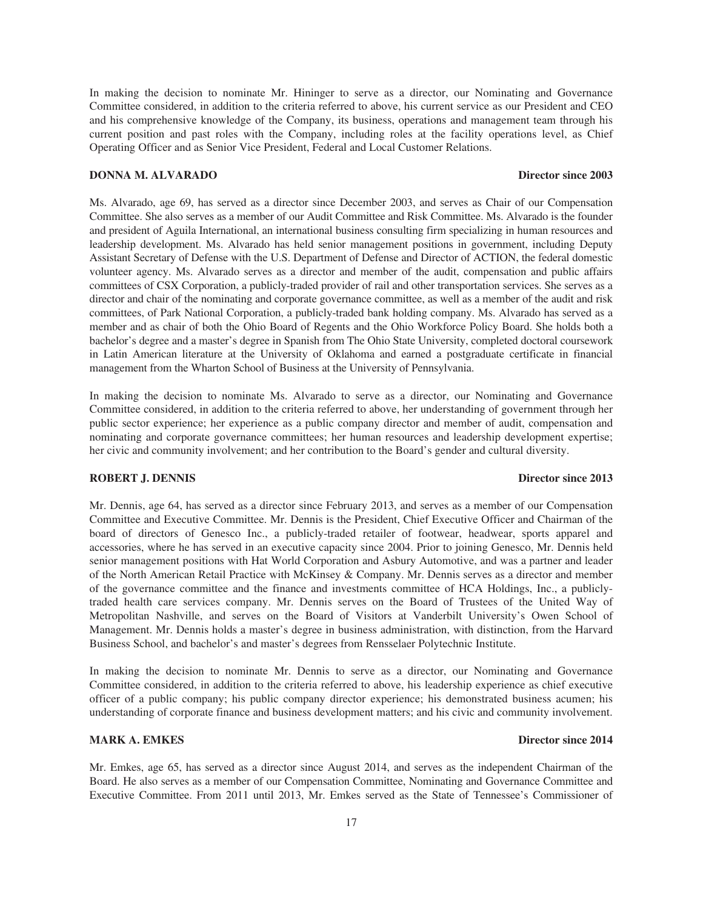In making the decision to nominate Mr. Hininger to serve as a director, our Nominating and Governance Committee considered, in addition to the criteria referred to above, his current service as our President and CEO and his comprehensive knowledge of the Company, its business, operations and management team through his current position and past roles with the Company, including roles at the facility operations level, as Chief Operating Officer and as Senior Vice President, Federal and Local Customer Relations.

## **DONNA M. ALVARADO** Director since 2003

Ms. Alvarado, age 69, has served as a director since December 2003, and serves as Chair of our Compensation Committee. She also serves as a member of our Audit Committee and Risk Committee. Ms. Alvarado is the founder and president of Aguila International, an international business consulting firm specializing in human resources and leadership development. Ms. Alvarado has held senior management positions in government, including Deputy Assistant Secretary of Defense with the U.S. Department of Defense and Director of ACTION, the federal domestic volunteer agency. Ms. Alvarado serves as a director and member of the audit, compensation and public affairs committees of CSX Corporation, a publicly-traded provider of rail and other transportation services. She serves as a director and chair of the nominating and corporate governance committee, as well as a member of the audit and risk committees, of Park National Corporation, a publicly-traded bank holding company. Ms. Alvarado has served as a member and as chair of both the Ohio Board of Regents and the Ohio Workforce Policy Board. She holds both a bachelor's degree and a master's degree in Spanish from The Ohio State University, completed doctoral coursework in Latin American literature at the University of Oklahoma and earned a postgraduate certificate in financial management from the Wharton School of Business at the University of Pennsylvania.

In making the decision to nominate Ms. Alvarado to serve as a director, our Nominating and Governance Committee considered, in addition to the criteria referred to above, her understanding of government through her public sector experience; her experience as a public company director and member of audit, compensation and nominating and corporate governance committees; her human resources and leadership development expertise; her civic and community involvement; and her contribution to the Board's gender and cultural diversity.

## **ROBERT J. DENNIS** Director since 2013

Mr. Dennis, age 64, has served as a director since February 2013, and serves as a member of our Compensation Committee and Executive Committee. Mr. Dennis is the President, Chief Executive Officer and Chairman of the board of directors of Genesco Inc., a publicly-traded retailer of footwear, headwear, sports apparel and accessories, where he has served in an executive capacity since 2004. Prior to joining Genesco, Mr. Dennis held senior management positions with Hat World Corporation and Asbury Automotive, and was a partner and leader of the North American Retail Practice with McKinsey & Company. Mr. Dennis serves as a director and member of the governance committee and the finance and investments committee of HCA Holdings, Inc., a publiclytraded health care services company. Mr. Dennis serves on the Board of Trustees of the United Way of Metropolitan Nashville, and serves on the Board of Visitors at Vanderbilt University's Owen School of Management. Mr. Dennis holds a master's degree in business administration, with distinction, from the Harvard Business School, and bachelor's and master's degrees from Rensselaer Polytechnic Institute.

In making the decision to nominate Mr. Dennis to serve as a director, our Nominating and Governance Committee considered, in addition to the criteria referred to above, his leadership experience as chief executive officer of a public company; his public company director experience; his demonstrated business acumen; his understanding of corporate finance and business development matters; and his civic and community involvement.

Mr. Emkes, age 65, has served as a director since August 2014, and serves as the independent Chairman of the Board. He also serves as a member of our Compensation Committee, Nominating and Governance Committee and Executive Committee. From 2011 until 2013, Mr. Emkes served as the State of Tennessee's Commissioner of

## **MARK A. EMKES** Director since 2014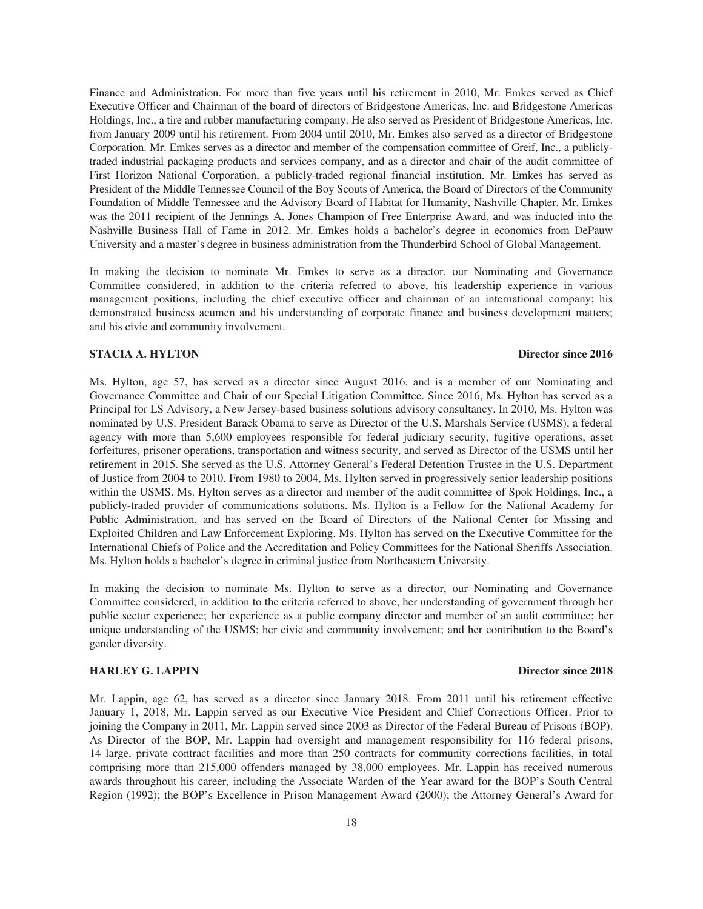Finance and Administration. For more than five years until his retirement in 2010, Mr. Emkes served as Chief Executive Officer and Chairman of the board of directors of Bridgestone Americas, Inc. and Bridgestone Americas Holdings, Inc., a tire and rubber manufacturing company. He also served as President of Bridgestone Americas, Inc. from January 2009 until his retirement. From 2004 until 2010, Mr. Emkes also served as a director of Bridgestone Corporation. Mr. Emkes serves as a director and member of the compensation committee of Greif, Inc., a publiclytraded industrial packaging products and services company, and as a director and chair of the audit committee of First Horizon National Corporation, a publicly-traded regional financial institution. Mr. Emkes has served as President of the Middle Tennessee Council of the Boy Scouts of America, the Board of Directors of the Community Foundation of Middle Tennessee and the Advisory Board of Habitat for Humanity, Nashville Chapter. Mr. Emkes was the 2011 recipient of the Jennings A. Jones Champion of Free Enterprise Award, and was inducted into the Nashville Business Hall of Fame in 2012. Mr. Emkes holds a bachelor's degree in economics from DePauw University and a master's degree in business administration from the Thunderbird School of Global Management.

In making the decision to nominate Mr. Emkes to serve as a director, our Nominating and Governance Committee considered, in addition to the criteria referred to above, his leadership experience in various management positions, including the chief executive officer and chairman of an international company; his demonstrated business acumen and his understanding of corporate finance and business development matters; and his civic and community involvement.

## **STACIA A. HYLTON** Director since 2016

Ms. Hylton, age 57, has served as a director since August 2016, and is a member of our Nominating and Governance Committee and Chair of our Special Litigation Committee. Since 2016, Ms. Hylton has served as a Principal for LS Advisory, a New Jersey-based business solutions advisory consultancy. In 2010, Ms. Hylton was nominated by U.S. President Barack Obama to serve as Director of the U.S. Marshals Service (USMS), a federal agency with more than 5,600 employees responsible for federal judiciary security, fugitive operations, asset forfeitures, prisoner operations, transportation and witness security, and served as Director of the USMS until her retirement in 2015. She served as the U.S. Attorney General's Federal Detention Trustee in the U.S. Department of Justice from 2004 to 2010. From 1980 to 2004, Ms. Hylton served in progressively senior leadership positions within the USMS. Ms. Hylton serves as a director and member of the audit committee of Spok Holdings, Inc., a publicly-traded provider of communications solutions. Ms. Hylton is a Fellow for the National Academy for Public Administration, and has served on the Board of Directors of the National Center for Missing and Exploited Children and Law Enforcement Exploring. Ms. Hylton has served on the Executive Committee for the International Chiefs of Police and the Accreditation and Policy Committees for the National Sheriffs Association. Ms. Hylton holds a bachelor's degree in criminal justice from Northeastern University.

In making the decision to nominate Ms. Hylton to serve as a director, our Nominating and Governance Committee considered, in addition to the criteria referred to above, her understanding of government through her public sector experience; her experience as a public company director and member of an audit committee; her unique understanding of the USMS; her civic and community involvement; and her contribution to the Board's gender diversity.

## **HARLEY G. LAPPIN Director since 2018**

Mr. Lappin, age 62, has served as a director since January 2018. From 2011 until his retirement effective January 1, 2018, Mr. Lappin served as our Executive Vice President and Chief Corrections Officer. Prior to joining the Company in 2011, Mr. Lappin served since 2003 as Director of the Federal Bureau of Prisons (BOP). As Director of the BOP, Mr. Lappin had oversight and management responsibility for 116 federal prisons, 14 large, private contract facilities and more than 250 contracts for community corrections facilities, in total comprising more than 215,000 offenders managed by 38,000 employees. Mr. Lappin has received numerous awards throughout his career, including the Associate Warden of the Year award for the BOP's South Central Region (1992); the BOP's Excellence in Prison Management Award (2000); the Attorney General's Award for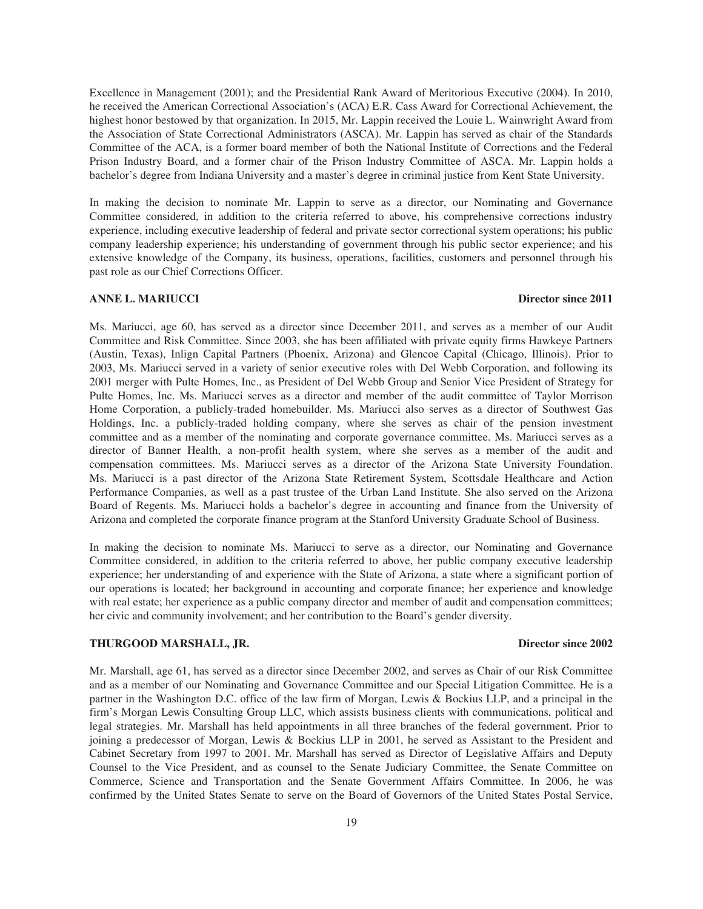Excellence in Management (2001); and the Presidential Rank Award of Meritorious Executive (2004). In 2010, he received the American Correctional Association's (ACA) E.R. Cass Award for Correctional Achievement, the highest honor bestowed by that organization. In 2015, Mr. Lappin received the Louie L. Wainwright Award from the Association of State Correctional Administrators (ASCA). Mr. Lappin has served as chair of the Standards Committee of the ACA, is a former board member of both the National Institute of Corrections and the Federal Prison Industry Board, and a former chair of the Prison Industry Committee of ASCA. Mr. Lappin holds a bachelor's degree from Indiana University and a master's degree in criminal justice from Kent State University.

In making the decision to nominate Mr. Lappin to serve as a director, our Nominating and Governance Committee considered, in addition to the criteria referred to above, his comprehensive corrections industry experience, including executive leadership of federal and private sector correctional system operations; his public company leadership experience; his understanding of government through his public sector experience; and his extensive knowledge of the Company, its business, operations, facilities, customers and personnel through his past role as our Chief Corrections Officer.

#### **ANNE L. MARIUCCI Director since 2011**

Ms. Mariucci, age 60, has served as a director since December 2011, and serves as a member of our Audit Committee and Risk Committee. Since 2003, she has been affiliated with private equity firms Hawkeye Partners (Austin, Texas), Inlign Capital Partners (Phoenix, Arizona) and Glencoe Capital (Chicago, Illinois). Prior to 2003, Ms. Mariucci served in a variety of senior executive roles with Del Webb Corporation, and following its 2001 merger with Pulte Homes, Inc., as President of Del Webb Group and Senior Vice President of Strategy for Pulte Homes, Inc. Ms. Mariucci serves as a director and member of the audit committee of Taylor Morrison Home Corporation, a publicly-traded homebuilder. Ms. Mariucci also serves as a director of Southwest Gas Holdings, Inc. a publicly-traded holding company, where she serves as chair of the pension investment committee and as a member of the nominating and corporate governance committee. Ms. Mariucci serves as a director of Banner Health, a non-profit health system, where she serves as a member of the audit and compensation committees. Ms. Mariucci serves as a director of the Arizona State University Foundation. Ms. Mariucci is a past director of the Arizona State Retirement System, Scottsdale Healthcare and Action Performance Companies, as well as a past trustee of the Urban Land Institute. She also served on the Arizona Board of Regents. Ms. Mariucci holds a bachelor's degree in accounting and finance from the University of Arizona and completed the corporate finance program at the Stanford University Graduate School of Business.

In making the decision to nominate Ms. Mariucci to serve as a director, our Nominating and Governance Committee considered, in addition to the criteria referred to above, her public company executive leadership experience; her understanding of and experience with the State of Arizona, a state where a significant portion of our operations is located; her background in accounting and corporate finance; her experience and knowledge with real estate; her experience as a public company director and member of audit and compensation committees; her civic and community involvement; and her contribution to the Board's gender diversity.

## **THURGOOD MARSHALL, JR. Director since 2002**

Mr. Marshall, age 61, has served as a director since December 2002, and serves as Chair of our Risk Committee and as a member of our Nominating and Governance Committee and our Special Litigation Committee. He is a partner in the Washington D.C. office of the law firm of Morgan, Lewis & Bockius LLP, and a principal in the firm's Morgan Lewis Consulting Group LLC, which assists business clients with communications, political and legal strategies. Mr. Marshall has held appointments in all three branches of the federal government. Prior to joining a predecessor of Morgan, Lewis & Bockius LLP in 2001, he served as Assistant to the President and Cabinet Secretary from 1997 to 2001. Mr. Marshall has served as Director of Legislative Affairs and Deputy Counsel to the Vice President, and as counsel to the Senate Judiciary Committee, the Senate Committee on Commerce, Science and Transportation and the Senate Government Affairs Committee. In 2006, he was confirmed by the United States Senate to serve on the Board of Governors of the United States Postal Service,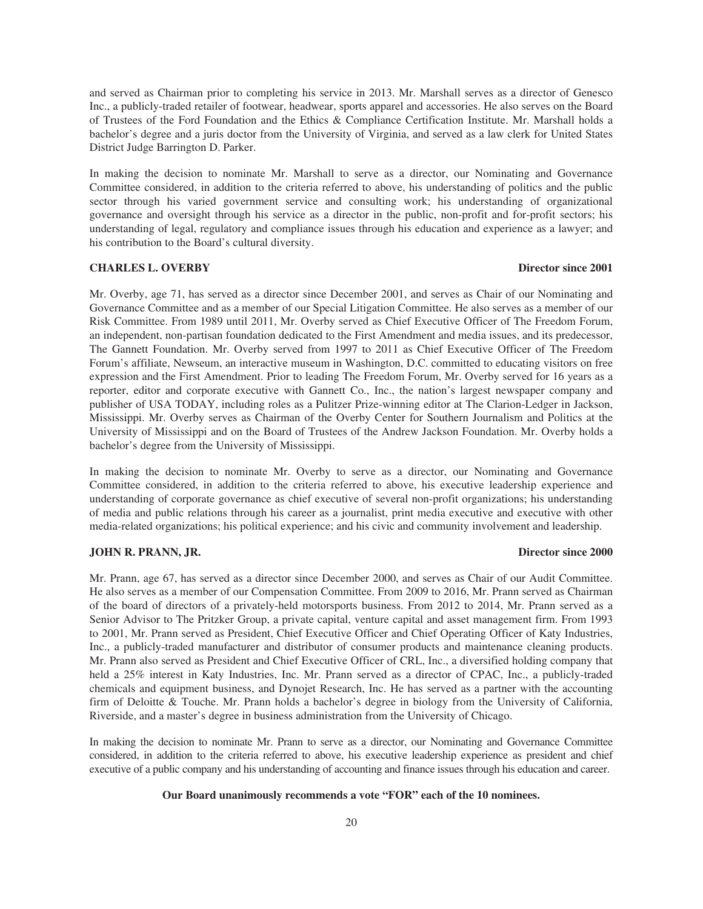and served as Chairman prior to completing his service in 2013. Mr. Marshall serves as a director of Genesco Inc., a publicly-traded retailer of footwear, headwear, sports apparel and accessories. He also serves on the Board of Trustees of the Ford Foundation and the Ethics & Compliance Certification Institute. Mr. Marshall holds a bachelor's degree and a juris doctor from the University of Virginia, and served as a law clerk for United States District Judge Barrington D. Parker.

In making the decision to nominate Mr. Marshall to serve as a director, our Nominating and Governance Committee considered, in addition to the criteria referred to above, his understanding of politics and the public sector through his varied government service and consulting work; his understanding of organizational governance and oversight through his service as a director in the public, non-profit and for-profit sectors; his understanding of legal, regulatory and compliance issues through his education and experience as a lawyer; and his contribution to the Board's cultural diversity.

## **CHARLES L. OVERBY** Director since 2001

Mr. Overby, age 71, has served as a director since December 2001, and serves as Chair of our Nominating and Governance Committee and as a member of our Special Litigation Committee. He also serves as a member of our Risk Committee. From 1989 until 2011, Mr. Overby served as Chief Executive Officer of The Freedom Forum, an independent, non-partisan foundation dedicated to the First Amendment and media issues, and its predecessor, The Gannett Foundation. Mr. Overby served from 1997 to 2011 as Chief Executive Officer of The Freedom Forum's affiliate, Newseum, an interactive museum in Washington, D.C. committed to educating visitors on free expression and the First Amendment. Prior to leading The Freedom Forum, Mr. Overby served for 16 years as a reporter, editor and corporate executive with Gannett Co., Inc., the nation's largest newspaper company and publisher of USA TODAY, including roles as a Pulitzer Prize-winning editor at The Clarion-Ledger in Jackson, Mississippi. Mr. Overby serves as Chairman of the Overby Center for Southern Journalism and Politics at the University of Mississippi and on the Board of Trustees of the Andrew Jackson Foundation. Mr. Overby holds a bachelor's degree from the University of Mississippi.

In making the decision to nominate Mr. Overby to serve as a director, our Nominating and Governance Committee considered, in addition to the criteria referred to above, his executive leadership experience and understanding of corporate governance as chief executive of several non-profit organizations; his understanding of media and public relations through his career as a journalist, print media executive and executive with other media-related organizations; his political experience; and his civic and community involvement and leadership.

## **JOHN R. PRANN, JR. Director since 2000**

Mr. Prann, age 67, has served as a director since December 2000, and serves as Chair of our Audit Committee. He also serves as a member of our Compensation Committee. From 2009 to 2016, Mr. Prann served as Chairman of the board of directors of a privately-held motorsports business. From 2012 to 2014, Mr. Prann served as a Senior Advisor to The Pritzker Group, a private capital, venture capital and asset management firm. From 1993 to 2001, Mr. Prann served as President, Chief Executive Officer and Chief Operating Officer of Katy Industries, Inc., a publicly-traded manufacturer and distributor of consumer products and maintenance cleaning products. Mr. Prann also served as President and Chief Executive Officer of CRL, Inc., a diversified holding company that held a 25% interest in Katy Industries, Inc. Mr. Prann served as a director of CPAC, Inc., a publicly-traded chemicals and equipment business, and Dynojet Research, Inc. He has served as a partner with the accounting firm of Deloitte & Touche. Mr. Prann holds a bachelor's degree in biology from the University of California, Riverside, and a master's degree in business administration from the University of Chicago.

In making the decision to nominate Mr. Prann to serve as a director, our Nominating and Governance Committee considered, in addition to the criteria referred to above, his executive leadership experience as president and chief executive of a public company and his understanding of accounting and finance issues through his education and career.

## **Our Board unanimously recommends a vote "FOR" each of the 10 nominees.**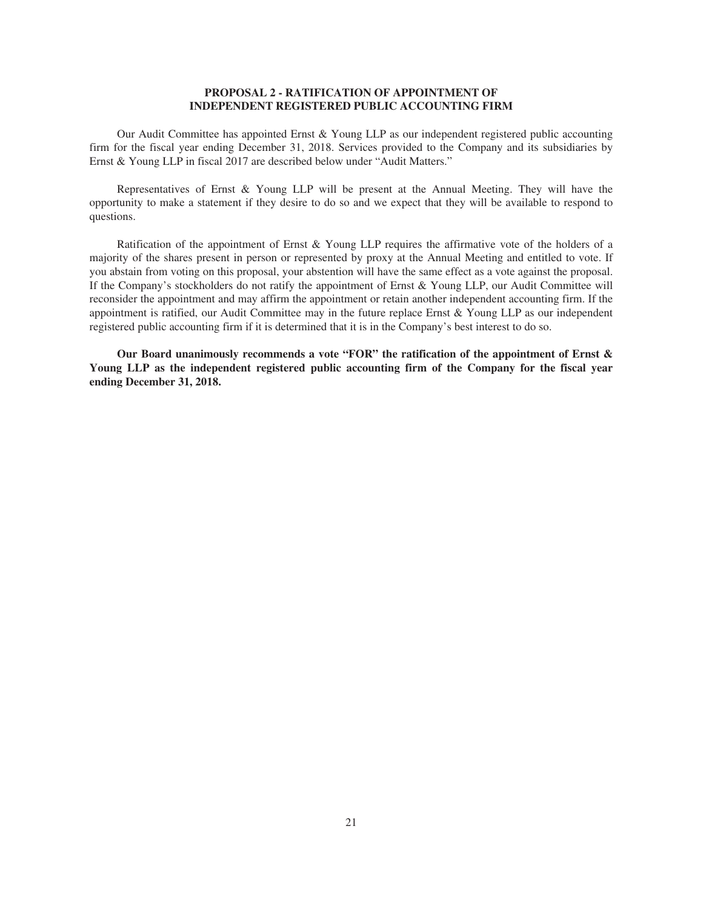## **PROPOSAL 2 - RATIFICATION OF APPOINTMENT OF INDEPENDENT REGISTERED PUBLIC ACCOUNTING FIRM**

Our Audit Committee has appointed Ernst & Young LLP as our independent registered public accounting firm for the fiscal year ending December 31, 2018. Services provided to the Company and its subsidiaries by Ernst & Young LLP in fiscal 2017 are described below under "Audit Matters."

Representatives of Ernst & Young LLP will be present at the Annual Meeting. They will have the opportunity to make a statement if they desire to do so and we expect that they will be available to respond to questions.

Ratification of the appointment of Ernst & Young LLP requires the affirmative vote of the holders of a majority of the shares present in person or represented by proxy at the Annual Meeting and entitled to vote. If you abstain from voting on this proposal, your abstention will have the same effect as a vote against the proposal. If the Company's stockholders do not ratify the appointment of Ernst & Young LLP, our Audit Committee will reconsider the appointment and may affirm the appointment or retain another independent accounting firm. If the appointment is ratified, our Audit Committee may in the future replace Ernst & Young LLP as our independent registered public accounting firm if it is determined that it is in the Company's best interest to do so.

**Our Board unanimously recommends a vote "FOR" the ratification of the appointment of Ernst & Young LLP as the independent registered public accounting firm of the Company for the fiscal year ending December 31, 2018.**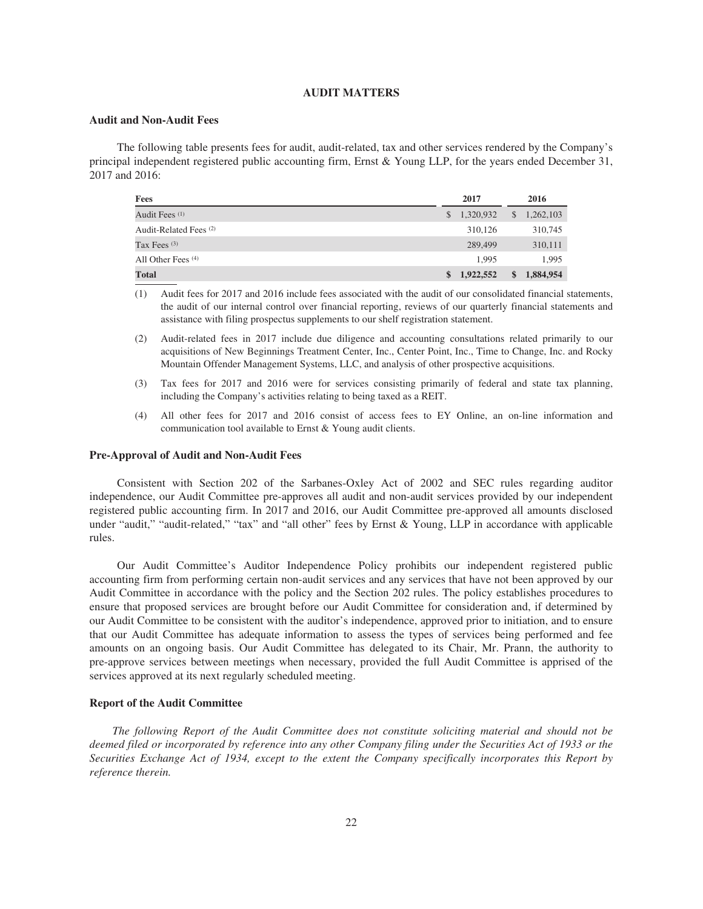## **AUDIT MATTERS**

## **Audit and Non-Audit Fees**

The following table presents fees for audit, audit-related, tax and other services rendered by the Company's principal independent registered public accounting firm, Ernst & Young LLP, for the years ended December 31, 2017 and 2016:

| <b>Fees</b>               | 2017                  | 2016                      |
|---------------------------|-----------------------|---------------------------|
| Audit Fees <sup>(1)</sup> | $\frac{1,320,932}{2}$ | $\mathbb{S}$<br>1,262,103 |
| Audit-Related Fees (2)    | 310,126               | 310,745                   |
| Tax Fees $(3)$            | 289,499               | 310,111                   |
| All Other Fees $(4)$      | 1.995                 | 1.995                     |
| <b>Total</b>              | \$1,922,552           | 1,884,954<br>\$           |

(1) Audit fees for 2017 and 2016 include fees associated with the audit of our consolidated financial statements, the audit of our internal control over financial reporting, reviews of our quarterly financial statements and assistance with filing prospectus supplements to our shelf registration statement.

(2) Audit-related fees in 2017 include due diligence and accounting consultations related primarily to our acquisitions of New Beginnings Treatment Center, Inc., Center Point, Inc., Time to Change, Inc. and Rocky Mountain Offender Management Systems, LLC, and analysis of other prospective acquisitions.

- (3) Tax fees for 2017 and 2016 were for services consisting primarily of federal and state tax planning, including the Company's activities relating to being taxed as a REIT.
- (4) All other fees for 2017 and 2016 consist of access fees to EY Online, an on-line information and communication tool available to Ernst & Young audit clients.

## **Pre-Approval of Audit and Non-Audit Fees**

Consistent with Section 202 of the Sarbanes-Oxley Act of 2002 and SEC rules regarding auditor independence, our Audit Committee pre-approves all audit and non-audit services provided by our independent registered public accounting firm. In 2017 and 2016, our Audit Committee pre-approved all amounts disclosed under "audit," "audit-related," "tax" and "all other" fees by Ernst & Young, LLP in accordance with applicable rules.

Our Audit Committee's Auditor Independence Policy prohibits our independent registered public accounting firm from performing certain non-audit services and any services that have not been approved by our Audit Committee in accordance with the policy and the Section 202 rules. The policy establishes procedures to ensure that proposed services are brought before our Audit Committee for consideration and, if determined by our Audit Committee to be consistent with the auditor's independence, approved prior to initiation, and to ensure that our Audit Committee has adequate information to assess the types of services being performed and fee amounts on an ongoing basis. Our Audit Committee has delegated to its Chair, Mr. Prann, the authority to pre-approve services between meetings when necessary, provided the full Audit Committee is apprised of the services approved at its next regularly scheduled meeting.

## **Report of the Audit Committee**

*The following Report of the Audit Committee does not constitute soliciting material and should not be deemed filed or incorporated by reference into any other Company filing under the Securities Act of 1933 or the Securities Exchange Act of 1934, except to the extent the Company specifically incorporates this Report by reference therein.*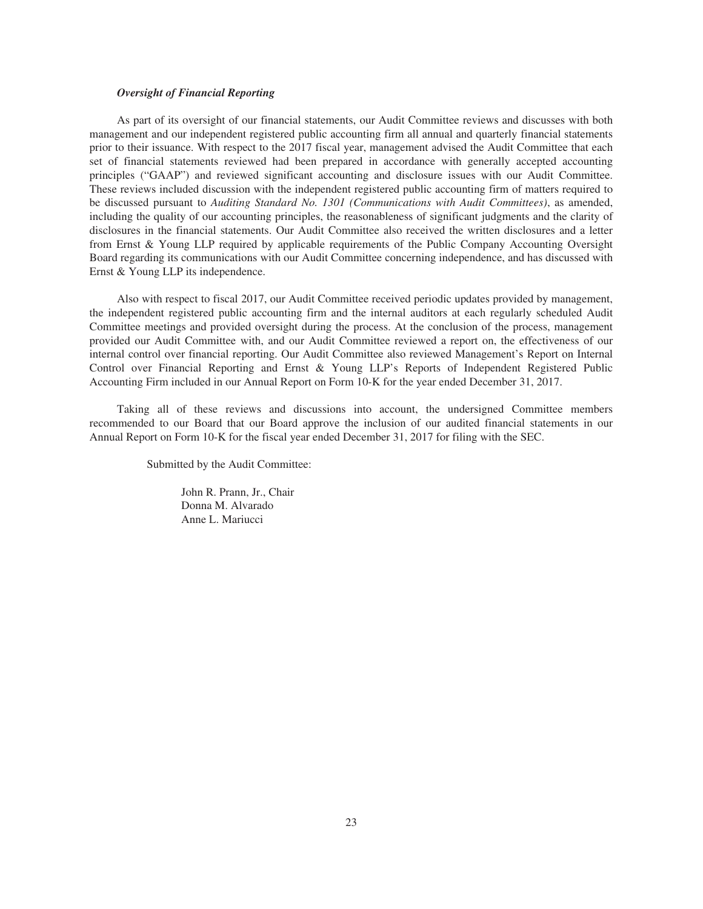## *Oversight of Financial Reporting*

As part of its oversight of our financial statements, our Audit Committee reviews and discusses with both management and our independent registered public accounting firm all annual and quarterly financial statements prior to their issuance. With respect to the 2017 fiscal year, management advised the Audit Committee that each set of financial statements reviewed had been prepared in accordance with generally accepted accounting principles ("GAAP") and reviewed significant accounting and disclosure issues with our Audit Committee. These reviews included discussion with the independent registered public accounting firm of matters required to be discussed pursuant to *Auditing Standard No. 1301 (Communications with Audit Committees)*, as amended, including the quality of our accounting principles, the reasonableness of significant judgments and the clarity of disclosures in the financial statements. Our Audit Committee also received the written disclosures and a letter from Ernst & Young LLP required by applicable requirements of the Public Company Accounting Oversight Board regarding its communications with our Audit Committee concerning independence, and has discussed with Ernst & Young LLP its independence.

Also with respect to fiscal 2017, our Audit Committee received periodic updates provided by management, the independent registered public accounting firm and the internal auditors at each regularly scheduled Audit Committee meetings and provided oversight during the process. At the conclusion of the process, management provided our Audit Committee with, and our Audit Committee reviewed a report on, the effectiveness of our internal control over financial reporting. Our Audit Committee also reviewed Management's Report on Internal Control over Financial Reporting and Ernst & Young LLP's Reports of Independent Registered Public Accounting Firm included in our Annual Report on Form 10-K for the year ended December 31, 2017.

Taking all of these reviews and discussions into account, the undersigned Committee members recommended to our Board that our Board approve the inclusion of our audited financial statements in our Annual Report on Form 10-K for the fiscal year ended December 31, 2017 for filing with the SEC.

Submitted by the Audit Committee:

John R. Prann, Jr., Chair Donna M. Alvarado Anne L. Mariucci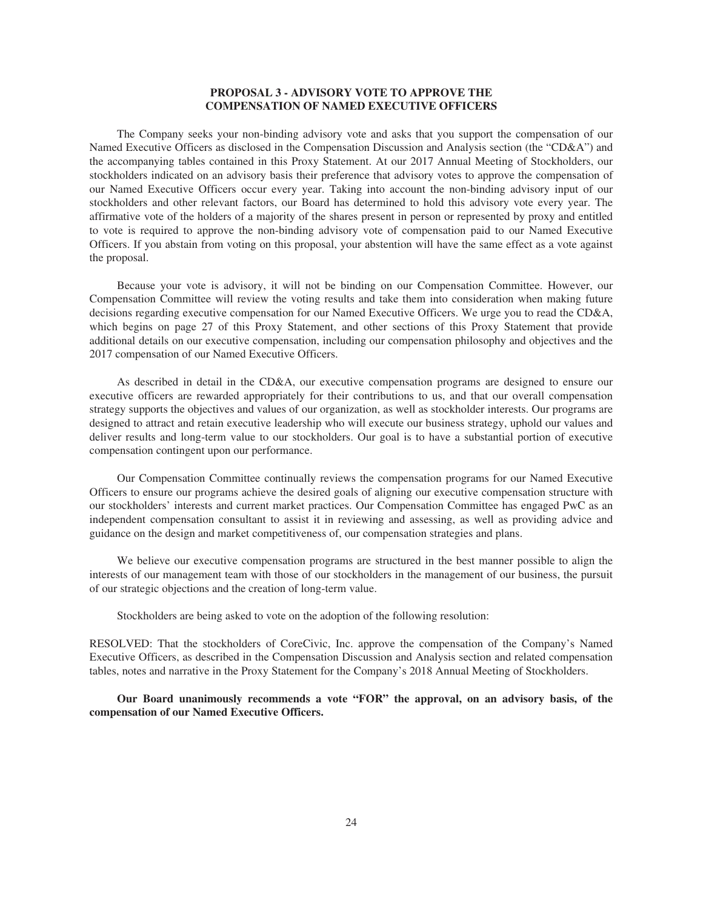## **PROPOSAL 3 - ADVISORY VOTE TO APPROVE THE COMPENSATION OF NAMED EXECUTIVE OFFICERS**

The Company seeks your non-binding advisory vote and asks that you support the compensation of our Named Executive Officers as disclosed in the Compensation Discussion and Analysis section (the "CD&A") and the accompanying tables contained in this Proxy Statement. At our 2017 Annual Meeting of Stockholders, our stockholders indicated on an advisory basis their preference that advisory votes to approve the compensation of our Named Executive Officers occur every year. Taking into account the non-binding advisory input of our stockholders and other relevant factors, our Board has determined to hold this advisory vote every year. The affirmative vote of the holders of a majority of the shares present in person or represented by proxy and entitled to vote is required to approve the non-binding advisory vote of compensation paid to our Named Executive Officers. If you abstain from voting on this proposal, your abstention will have the same effect as a vote against the proposal.

Because your vote is advisory, it will not be binding on our Compensation Committee. However, our Compensation Committee will review the voting results and take them into consideration when making future decisions regarding executive compensation for our Named Executive Officers. We urge you to read the CD&A, which begins on page 27 of this Proxy Statement, and other sections of this Proxy Statement that provide additional details on our executive compensation, including our compensation philosophy and objectives and the 2017 compensation of our Named Executive Officers.

As described in detail in the CD&A, our executive compensation programs are designed to ensure our executive officers are rewarded appropriately for their contributions to us, and that our overall compensation strategy supports the objectives and values of our organization, as well as stockholder interests. Our programs are designed to attract and retain executive leadership who will execute our business strategy, uphold our values and deliver results and long-term value to our stockholders. Our goal is to have a substantial portion of executive compensation contingent upon our performance.

Our Compensation Committee continually reviews the compensation programs for our Named Executive Officers to ensure our programs achieve the desired goals of aligning our executive compensation structure with our stockholders' interests and current market practices. Our Compensation Committee has engaged PwC as an independent compensation consultant to assist it in reviewing and assessing, as well as providing advice and guidance on the design and market competitiveness of, our compensation strategies and plans.

We believe our executive compensation programs are structured in the best manner possible to align the interests of our management team with those of our stockholders in the management of our business, the pursuit of our strategic objections and the creation of long-term value.

Stockholders are being asked to vote on the adoption of the following resolution:

RESOLVED: That the stockholders of CoreCivic, Inc. approve the compensation of the Company's Named Executive Officers, as described in the Compensation Discussion and Analysis section and related compensation tables, notes and narrative in the Proxy Statement for the Company's 2018 Annual Meeting of Stockholders.

**Our Board unanimously recommends a vote "FOR" the approval, on an advisory basis, of the compensation of our Named Executive Officers.**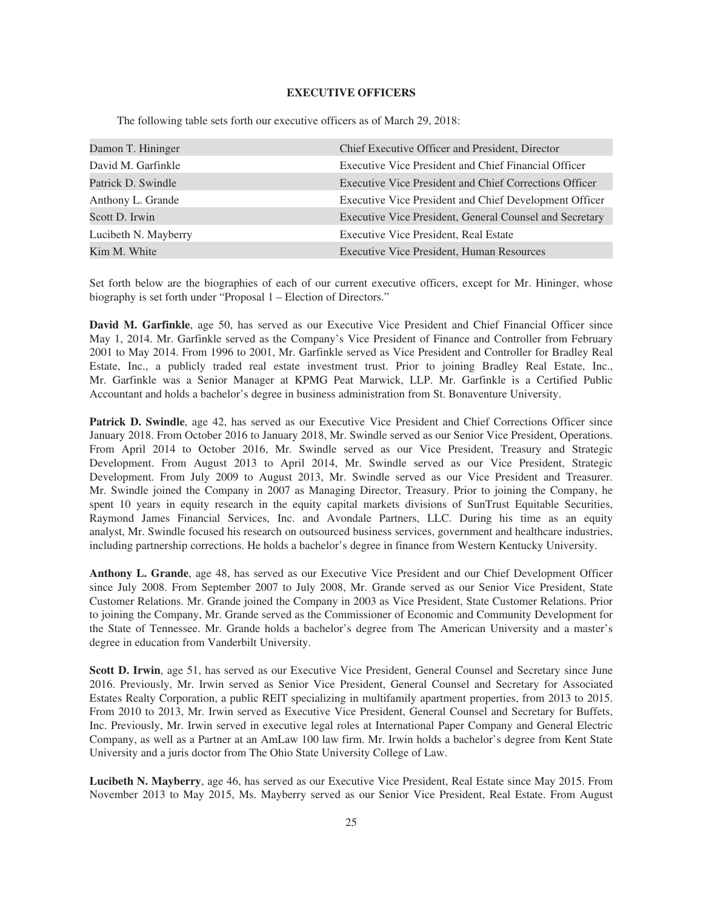## **EXECUTIVE OFFICERS**

The following table sets forth our executive officers as of March 29, 2018:

| Damon T. Hininger    | Chief Executive Officer and President, Director         |
|----------------------|---------------------------------------------------------|
| David M. Garfinkle   | Executive Vice President and Chief Financial Officer    |
| Patrick D. Swindle   | Executive Vice President and Chief Corrections Officer  |
| Anthony L. Grande    | Executive Vice President and Chief Development Officer  |
| Scott D. Irwin       | Executive Vice President, General Counsel and Secretary |
| Lucibeth N. Mayberry | Executive Vice President, Real Estate                   |
| Kim M. White         | Executive Vice President, Human Resources               |

Set forth below are the biographies of each of our current executive officers, except for Mr. Hininger, whose biography is set forth under "Proposal 1 – Election of Directors."

**David M. Garfinkle**, age 50, has served as our Executive Vice President and Chief Financial Officer since May 1, 2014. Mr. Garfinkle served as the Company's Vice President of Finance and Controller from February 2001 to May 2014. From 1996 to 2001, Mr. Garfinkle served as Vice President and Controller for Bradley Real Estate, Inc., a publicly traded real estate investment trust. Prior to joining Bradley Real Estate, Inc., Mr. Garfinkle was a Senior Manager at KPMG Peat Marwick, LLP. Mr. Garfinkle is a Certified Public Accountant and holds a bachelor's degree in business administration from St. Bonaventure University.

**Patrick D. Swindle**, age 42, has served as our Executive Vice President and Chief Corrections Officer since January 2018. From October 2016 to January 2018, Mr. Swindle served as our Senior Vice President, Operations. From April 2014 to October 2016, Mr. Swindle served as our Vice President, Treasury and Strategic Development. From August 2013 to April 2014, Mr. Swindle served as our Vice President, Strategic Development. From July 2009 to August 2013, Mr. Swindle served as our Vice President and Treasurer. Mr. Swindle joined the Company in 2007 as Managing Director, Treasury. Prior to joining the Company, he spent 10 years in equity research in the equity capital markets divisions of SunTrust Equitable Securities, Raymond James Financial Services, Inc. and Avondale Partners, LLC. During his time as an equity analyst, Mr. Swindle focused his research on outsourced business services, government and healthcare industries, including partnership corrections. He holds a bachelor's degree in finance from Western Kentucky University.

**Anthony L. Grande**, age 48, has served as our Executive Vice President and our Chief Development Officer since July 2008. From September 2007 to July 2008, Mr. Grande served as our Senior Vice President, State Customer Relations. Mr. Grande joined the Company in 2003 as Vice President, State Customer Relations. Prior to joining the Company, Mr. Grande served as the Commissioner of Economic and Community Development for the State of Tennessee. Mr. Grande holds a bachelor's degree from The American University and a master's degree in education from Vanderbilt University.

**Scott D. Irwin**, age 51, has served as our Executive Vice President, General Counsel and Secretary since June 2016. Previously, Mr. Irwin served as Senior Vice President, General Counsel and Secretary for Associated Estates Realty Corporation, a public REIT specializing in multifamily apartment properties, from 2013 to 2015. From 2010 to 2013, Mr. Irwin served as Executive Vice President, General Counsel and Secretary for Buffets, Inc. Previously, Mr. Irwin served in executive legal roles at International Paper Company and General Electric Company, as well as a Partner at an AmLaw 100 law firm. Mr. Irwin holds a bachelor's degree from Kent State University and a juris doctor from The Ohio State University College of Law.

**Lucibeth N. Mayberry**, age 46, has served as our Executive Vice President, Real Estate since May 2015. From November 2013 to May 2015, Ms. Mayberry served as our Senior Vice President, Real Estate. From August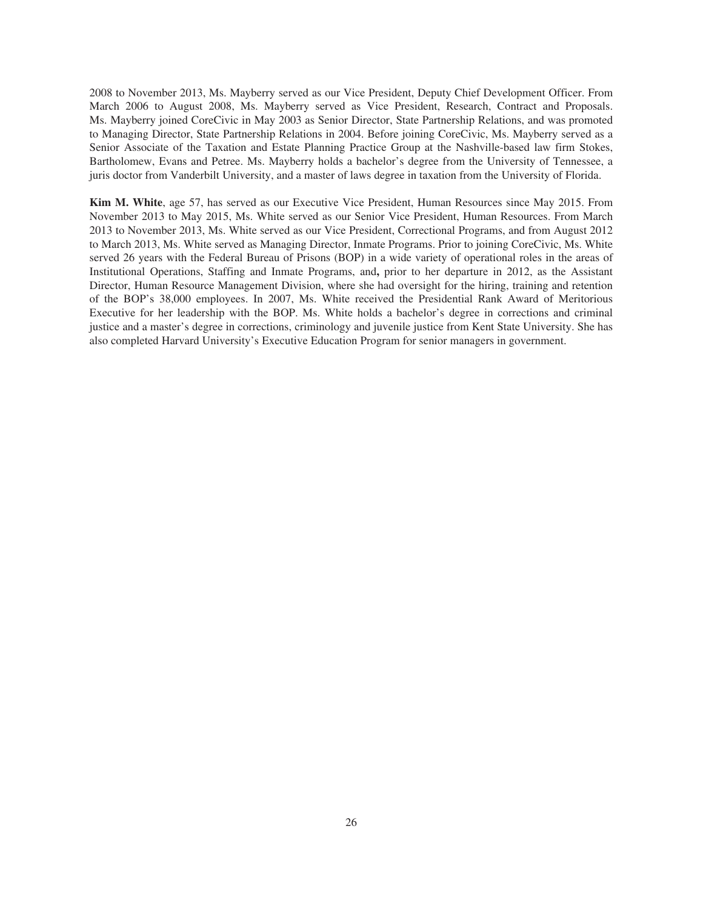2008 to November 2013, Ms. Mayberry served as our Vice President, Deputy Chief Development Officer. From March 2006 to August 2008, Ms. Mayberry served as Vice President, Research, Contract and Proposals. Ms. Mayberry joined CoreCivic in May 2003 as Senior Director, State Partnership Relations, and was promoted to Managing Director, State Partnership Relations in 2004. Before joining CoreCivic, Ms. Mayberry served as a Senior Associate of the Taxation and Estate Planning Practice Group at the Nashville-based law firm Stokes, Bartholomew, Evans and Petree. Ms. Mayberry holds a bachelor's degree from the University of Tennessee, a juris doctor from Vanderbilt University, and a master of laws degree in taxation from the University of Florida.

**Kim M. White**, age 57, has served as our Executive Vice President, Human Resources since May 2015. From November 2013 to May 2015, Ms. White served as our Senior Vice President, Human Resources. From March 2013 to November 2013, Ms. White served as our Vice President, Correctional Programs, and from August 2012 to March 2013, Ms. White served as Managing Director, Inmate Programs. Prior to joining CoreCivic, Ms. White served 26 years with the Federal Bureau of Prisons (BOP) in a wide variety of operational roles in the areas of Institutional Operations, Staffing and Inmate Programs, and**,** prior to her departure in 2012, as the Assistant Director, Human Resource Management Division, where she had oversight for the hiring, training and retention of the BOP's 38,000 employees. In 2007, Ms. White received the Presidential Rank Award of Meritorious Executive for her leadership with the BOP. Ms. White holds a bachelor's degree in corrections and criminal justice and a master's degree in corrections, criminology and juvenile justice from Kent State University. She has also completed Harvard University's Executive Education Program for senior managers in government.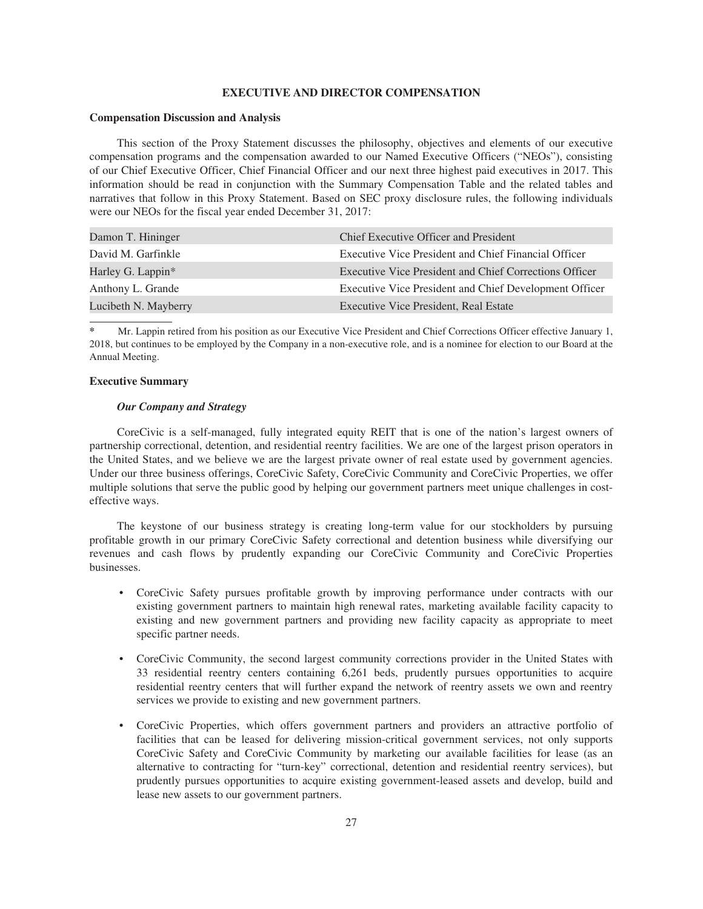## **EXECUTIVE AND DIRECTOR COMPENSATION**

#### **Compensation Discussion and Analysis**

This section of the Proxy Statement discusses the philosophy, objectives and elements of our executive compensation programs and the compensation awarded to our Named Executive Officers ("NEOs"), consisting of our Chief Executive Officer, Chief Financial Officer and our next three highest paid executives in 2017. This information should be read in conjunction with the Summary Compensation Table and the related tables and narratives that follow in this Proxy Statement. Based on SEC proxy disclosure rules, the following individuals were our NEOs for the fiscal year ended December 31, 2017:

| Damon T. Hininger    | Chief Executive Officer and President                  |
|----------------------|--------------------------------------------------------|
| David M. Garfinkle   | Executive Vice President and Chief Financial Officer   |
| Harley G. Lappin*    | Executive Vice President and Chief Corrections Officer |
| Anthony L. Grande    | Executive Vice President and Chief Development Officer |
| Lucibeth N. Mayberry | Executive Vice President, Real Estate                  |

**\*** Mr. Lappin retired from his position as our Executive Vice President and Chief Corrections Officer effective January 1, 2018, but continues to be employed by the Company in a non-executive role, and is a nominee for election to our Board at the Annual Meeting.

## **Executive Summary**

## *Our Company and Strategy*

CoreCivic is a self-managed, fully integrated equity REIT that is one of the nation's largest owners of partnership correctional, detention, and residential reentry facilities. We are one of the largest prison operators in the United States, and we believe we are the largest private owner of real estate used by government agencies. Under our three business offerings, CoreCivic Safety, CoreCivic Community and CoreCivic Properties, we offer multiple solutions that serve the public good by helping our government partners meet unique challenges in costeffective ways.

The keystone of our business strategy is creating long-term value for our stockholders by pursuing profitable growth in our primary CoreCivic Safety correctional and detention business while diversifying our revenues and cash flows by prudently expanding our CoreCivic Community and CoreCivic Properties businesses.

- CoreCivic Safety pursues profitable growth by improving performance under contracts with our existing government partners to maintain high renewal rates, marketing available facility capacity to existing and new government partners and providing new facility capacity as appropriate to meet specific partner needs.
- CoreCivic Community, the second largest community corrections provider in the United States with 33 residential reentry centers containing 6,261 beds, prudently pursues opportunities to acquire residential reentry centers that will further expand the network of reentry assets we own and reentry services we provide to existing and new government partners.
- CoreCivic Properties, which offers government partners and providers an attractive portfolio of facilities that can be leased for delivering mission-critical government services, not only supports CoreCivic Safety and CoreCivic Community by marketing our available facilities for lease (as an alternative to contracting for "turn-key" correctional, detention and residential reentry services), but prudently pursues opportunities to acquire existing government-leased assets and develop, build and lease new assets to our government partners.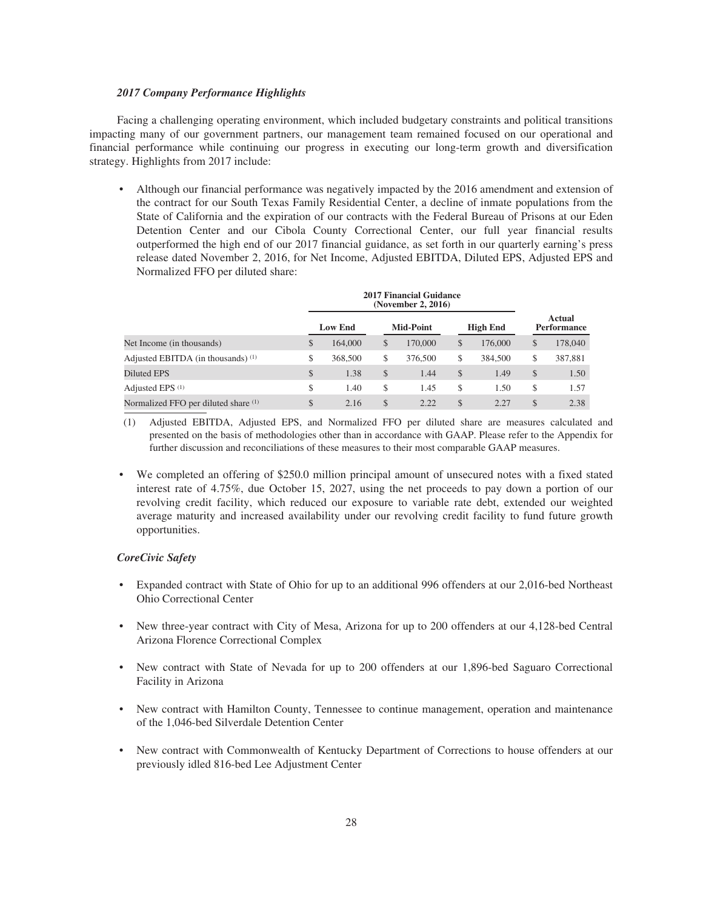## *2017 Company Performance Highlights*

Facing a challenging operating environment, which included budgetary constraints and political transitions impacting many of our government partners, our management team remained focused on our operational and financial performance while continuing our progress in executing our long-term growth and diversification strategy. Highlights from 2017 include:

• Although our financial performance was negatively impacted by the 2016 amendment and extension of the contract for our South Texas Family Residential Center, a decline of inmate populations from the State of California and the expiration of our contracts with the Federal Bureau of Prisons at our Eden Detention Center and our Cibola County Correctional Center, our full year financial results outperformed the high end of our 2017 financial guidance, as set forth in our quarterly earning's press release dated November 2, 2016, for Net Income, Adjusted EBITDA, Diluted EPS, Adjusted EPS and Normalized FFO per diluted share:

|                                      |    | <b>Low End</b> | <b>Mid-Point</b> | <b>High End</b> | Actual<br>Performance |         |
|--------------------------------------|----|----------------|------------------|-----------------|-----------------------|---------|
| Net Income (in thousands)            | \$ | 164,000        | \$<br>170,000    | \$<br>176,000   | \$                    | 178,040 |
| Adjusted EBITDA (in thousands) (1)   | \$ | 368,500        | \$<br>376,500    | \$<br>384,500   | \$                    | 387,881 |
| Diluted EPS                          | \$ | 1.38           | \$<br>1.44       | \$<br>1.49      | \$                    | 1.50    |
| Adjusted EPS <sup>(1)</sup>          | \$ | 1.40           | \$<br>1.45       | \$<br>1.50      | \$                    | 1.57    |
| Normalized FFO per diluted share (1) | \$ | 2.16           | \$<br>2.22       | \$<br>2.27      | \$                    | 2.38    |

(1) Adjusted EBITDA, Adjusted EPS, and Normalized FFO per diluted share are measures calculated and presented on the basis of methodologies other than in accordance with GAAP. Please refer to the Appendix for further discussion and reconciliations of these measures to their most comparable GAAP measures.

• We completed an offering of \$250.0 million principal amount of unsecured notes with a fixed stated interest rate of 4.75%, due October 15, 2027, using the net proceeds to pay down a portion of our revolving credit facility, which reduced our exposure to variable rate debt, extended our weighted average maturity and increased availability under our revolving credit facility to fund future growth opportunities.

## *CoreCivic Safety*

- Expanded contract with State of Ohio for up to an additional 996 offenders at our 2,016-bed Northeast Ohio Correctional Center
- New three-year contract with City of Mesa, Arizona for up to 200 offenders at our 4,128-bed Central Arizona Florence Correctional Complex
- New contract with State of Nevada for up to 200 offenders at our 1,896-bed Saguaro Correctional Facility in Arizona
- New contract with Hamilton County, Tennessee to continue management, operation and maintenance of the 1,046-bed Silverdale Detention Center
- New contract with Commonwealth of Kentucky Department of Corrections to house offenders at our previously idled 816-bed Lee Adjustment Center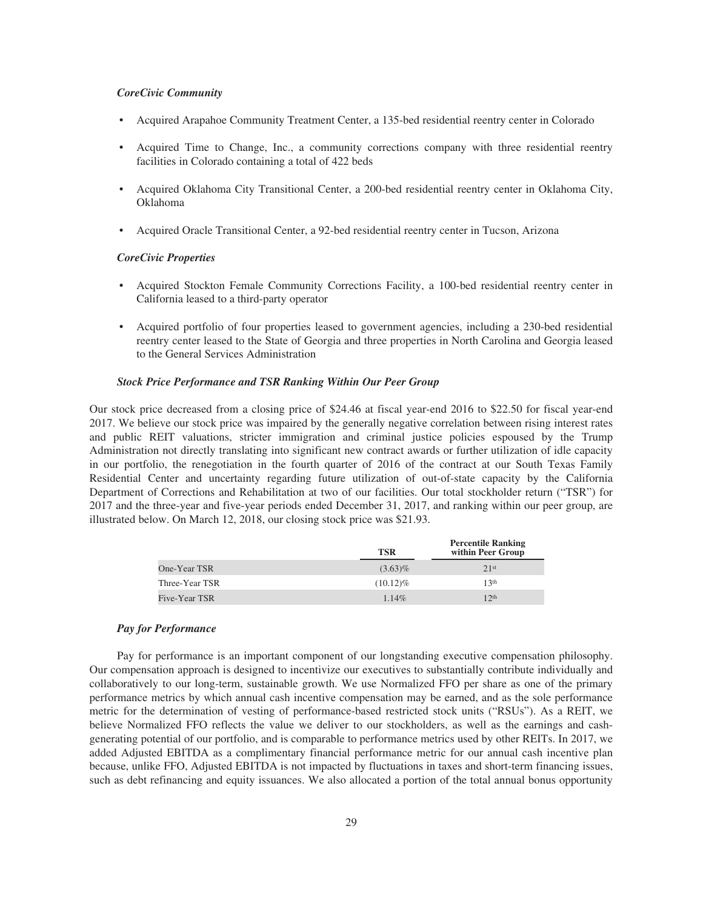## *CoreCivic Community*

- Acquired Arapahoe Community Treatment Center, a 135-bed residential reentry center in Colorado
- Acquired Time to Change, Inc., a community corrections company with three residential reentry facilities in Colorado containing a total of 422 beds
- Acquired Oklahoma City Transitional Center, a 200-bed residential reentry center in Oklahoma City, Oklahoma
- Acquired Oracle Transitional Center, a 92-bed residential reentry center in Tucson, Arizona

## *CoreCivic Properties*

- Acquired Stockton Female Community Corrections Facility, a 100-bed residential reentry center in California leased to a third-party operator
- Acquired portfolio of four properties leased to government agencies, including a 230-bed residential reentry center leased to the State of Georgia and three properties in North Carolina and Georgia leased to the General Services Administration

## *Stock Price Performance and TSR Ranking Within Our Peer Group*

Our stock price decreased from a closing price of \$24.46 at fiscal year-end 2016 to \$22.50 for fiscal year-end 2017. We believe our stock price was impaired by the generally negative correlation between rising interest rates and public REIT valuations, stricter immigration and criminal justice policies espoused by the Trump Administration not directly translating into significant new contract awards or further utilization of idle capacity in our portfolio, the renegotiation in the fourth quarter of 2016 of the contract at our South Texas Family Residential Center and uncertainty regarding future utilization of out-of-state capacity by the California Department of Corrections and Rehabilitation at two of our facilities. Our total stockholder return ("TSR") for 2017 and the three-year and five-year periods ended December 31, 2017, and ranking within our peer group, are illustrated below. On March 12, 2018, our closing stock price was \$21.93.

|                | <b>TSR</b>  | <b>Percentile Ranking</b><br>within Peer Group |
|----------------|-------------|------------------------------------------------|
| One-Year TSR   | $(3.63)\%$  | 21st                                           |
| Three-Year TSR | $(10.12)\%$ | 13 <sup>th</sup>                               |
| Five-Year TSR  | $1.14\%$    | 12 <sup>th</sup>                               |

#### *Pay for Performance*

Pay for performance is an important component of our longstanding executive compensation philosophy. Our compensation approach is designed to incentivize our executives to substantially contribute individually and collaboratively to our long-term, sustainable growth. We use Normalized FFO per share as one of the primary performance metrics by which annual cash incentive compensation may be earned, and as the sole performance metric for the determination of vesting of performance-based restricted stock units ("RSUs"). As a REIT, we believe Normalized FFO reflects the value we deliver to our stockholders, as well as the earnings and cashgenerating potential of our portfolio, and is comparable to performance metrics used by other REITs. In 2017, we added Adjusted EBITDA as a complimentary financial performance metric for our annual cash incentive plan because, unlike FFO, Adjusted EBITDA is not impacted by fluctuations in taxes and short-term financing issues, such as debt refinancing and equity issuances. We also allocated a portion of the total annual bonus opportunity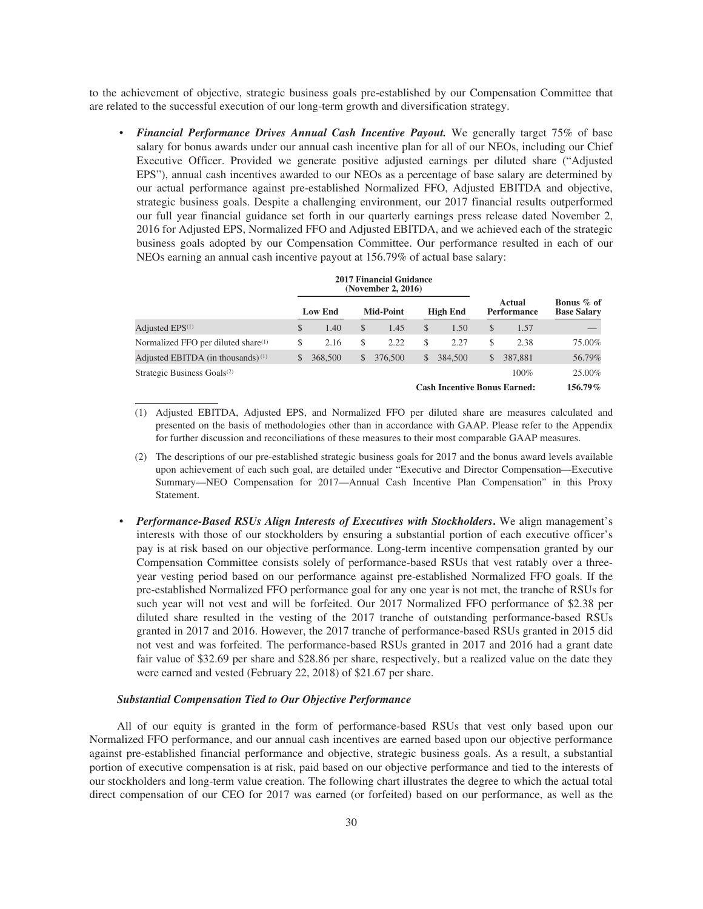to the achievement of objective, strategic business goals pre-established by our Compensation Committee that are related to the successful execution of our long-term growth and diversification strategy.

• *Financial Performance Drives Annual Cash Incentive Payout.* We generally target 75% of base salary for bonus awards under our annual cash incentive plan for all of our NEOs, including our Chief Executive Officer. Provided we generate positive adjusted earnings per diluted share ("Adjusted EPS"), annual cash incentives awarded to our NEOs as a percentage of base salary are determined by our actual performance against pre-established Normalized FFO, Adjusted EBITDA and objective, strategic business goals. Despite a challenging environment, our 2017 financial results outperformed our full year financial guidance set forth in our quarterly earnings press release dated November 2, 2016 for Adjusted EPS, Normalized FFO and Adjusted EBITDA, and we achieved each of the strategic business goals adopted by our Compensation Committee. Our performance resulted in each of our NEOs earning an annual cash incentive payout at 156.79% of actual base salary:

|                                                 | 4017 Financial Guiuance<br>(November 2, 2016) |                |    |                  |    |                                     |              |                              |                                  |
|-------------------------------------------------|-----------------------------------------------|----------------|----|------------------|----|-------------------------------------|--------------|------------------------------|----------------------------------|
|                                                 |                                               | <b>Low End</b> |    | <b>Mid-Point</b> |    | <b>High End</b>                     |              | Actual<br><b>Performance</b> | Bonus % of<br><b>Base Salary</b> |
| Adjusted $EPS(1)$                               | \$                                            | 1.40           | \$ | 1.45             | S  | 1.50                                | S.           | 1.57                         |                                  |
| Normalized FFO per diluted share <sup>(1)</sup> | S                                             | 2.16           | \$ | 2.22             | S  | 2.27                                | S            | 2.38                         | 75.00%                           |
| Adjusted EBITDA (in thousands) $(1)$            | \$                                            | 368,500        | \$ | 376,500          | \$ | 384,500                             | $\mathbb{S}$ | 387,881                      | 56.79%                           |
| Strategic Business Goals <sup>(2)</sup>         |                                               |                |    |                  |    |                                     |              | $100\%$                      | 25.00%                           |
|                                                 |                                               |                |    |                  |    | <b>Cash Incentive Bonus Earned:</b> |              |                              | $156.79\%$                       |

**2017 Financial Guidance**

- (1) Adjusted EBITDA, Adjusted EPS, and Normalized FFO per diluted share are measures calculated and presented on the basis of methodologies other than in accordance with GAAP. Please refer to the Appendix for further discussion and reconciliations of these measures to their most comparable GAAP measures.
- (2) The descriptions of our pre-established strategic business goals for 2017 and the bonus award levels available upon achievement of each such goal, are detailed under "Executive and Director Compensation—Executive Summary—NEO Compensation for 2017—Annual Cash Incentive Plan Compensation" in this Proxy Statement.
- *Performance-Based RSUs Align Interests of Executives with Stockholders***.** We align management's interests with those of our stockholders by ensuring a substantial portion of each executive officer's pay is at risk based on our objective performance. Long-term incentive compensation granted by our Compensation Committee consists solely of performance-based RSUs that vest ratably over a threeyear vesting period based on our performance against pre-established Normalized FFO goals. If the pre-established Normalized FFO performance goal for any one year is not met, the tranche of RSUs for such year will not vest and will be forfeited. Our 2017 Normalized FFO performance of \$2.38 per diluted share resulted in the vesting of the 2017 tranche of outstanding performance-based RSUs granted in 2017 and 2016. However, the 2017 tranche of performance-based RSUs granted in 2015 did not vest and was forfeited. The performance-based RSUs granted in 2017 and 2016 had a grant date fair value of \$32.69 per share and \$28.86 per share, respectively, but a realized value on the date they were earned and vested (February 22, 2018) of \$21.67 per share.

## *Substantial Compensation Tied to Our Objective Performance*

All of our equity is granted in the form of performance-based RSUs that vest only based upon our Normalized FFO performance, and our annual cash incentives are earned based upon our objective performance against pre-established financial performance and objective, strategic business goals. As a result, a substantial portion of executive compensation is at risk, paid based on our objective performance and tied to the interests of our stockholders and long-term value creation. The following chart illustrates the degree to which the actual total direct compensation of our CEO for 2017 was earned (or forfeited) based on our performance, as well as the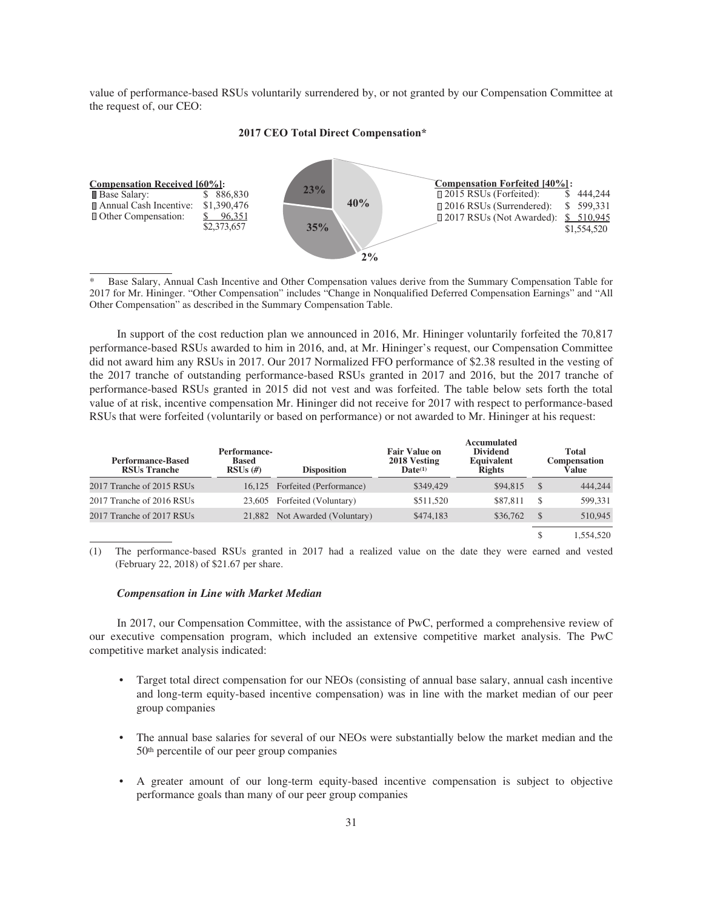value of performance-based RSUs voluntarily surrendered by, or not granted by our Compensation Committee at the request of, our CEO:



## **2017 CEO Total Direct Compensation\***

Base Salary, Annual Cash Incentive and Other Compensation values derive from the Summary Compensation Table for 2017 for Mr. Hininger. "Other Compensation" includes "Change in Nonqualified Deferred Compensation Earnings" and "All Other Compensation" as described in the Summary Compensation Table.

In support of the cost reduction plan we announced in 2016, Mr. Hininger voluntarily forfeited the 70,817 performance-based RSUs awarded to him in 2016, and, at Mr. Hininger's request, our Compensation Committee did not award him any RSUs in 2017. Our 2017 Normalized FFO performance of \$2.38 resulted in the vesting of the 2017 tranche of outstanding performance-based RSUs granted in 2017 and 2016, but the 2017 tranche of performance-based RSUs granted in 2015 did not vest and was forfeited. The table below sets forth the total value of at risk, incentive compensation Mr. Hininger did not receive for 2017 with respect to performance-based RSUs that were forfeited (voluntarily or based on performance) or not awarded to Mr. Hininger at his request:

| <b>Performance-Based</b><br><b>RSUs Tranche</b> | Performance-<br><b>Based</b><br>$RSUs$ (#) | <b>Disposition</b>             | <b>Fair Value on</b><br>2018 Vesting<br>$\mathbf{Date}^{(1)}$ | Accumulated<br><b>Dividend</b><br><b>Equivalent</b><br><b>Rights</b> |               | <b>Total</b><br><b>Compensation</b><br>Value |
|-------------------------------------------------|--------------------------------------------|--------------------------------|---------------------------------------------------------------|----------------------------------------------------------------------|---------------|----------------------------------------------|
| 2017 Tranche of 2015 RSUs                       |                                            | 16,125 Forfeited (Performance) | \$349,429                                                     | \$94,815                                                             | <sup>\$</sup> | 444,244                                      |
| 2017 Tranche of 2016 RSUs                       |                                            | 23,605 Forfeited (Voluntary)   | \$511,520                                                     | \$87,811                                                             | <b>S</b>      | 599.331                                      |
| 2017 Tranche of 2017 RSUs                       |                                            | 21,882 Not Awarded (Voluntary) | \$474,183                                                     | \$36,762                                                             | S             | 510.945                                      |
|                                                 |                                            |                                |                                                               |                                                                      | S             | 1.554.520                                    |

(1) The performance-based RSUs granted in 2017 had a realized value on the date they were earned and vested (February 22, 2018) of \$21.67 per share.

## *Compensation in Line with Market Median*

In 2017, our Compensation Committee, with the assistance of PwC, performed a comprehensive review of our executive compensation program, which included an extensive competitive market analysis. The PwC competitive market analysis indicated:

- Target total direct compensation for our NEOs (consisting of annual base salary, annual cash incentive and long-term equity-based incentive compensation) was in line with the market median of our peer group companies
- The annual base salaries for several of our NEOs were substantially below the market median and the 50th percentile of our peer group companies
- A greater amount of our long-term equity-based incentive compensation is subject to objective performance goals than many of our peer group companies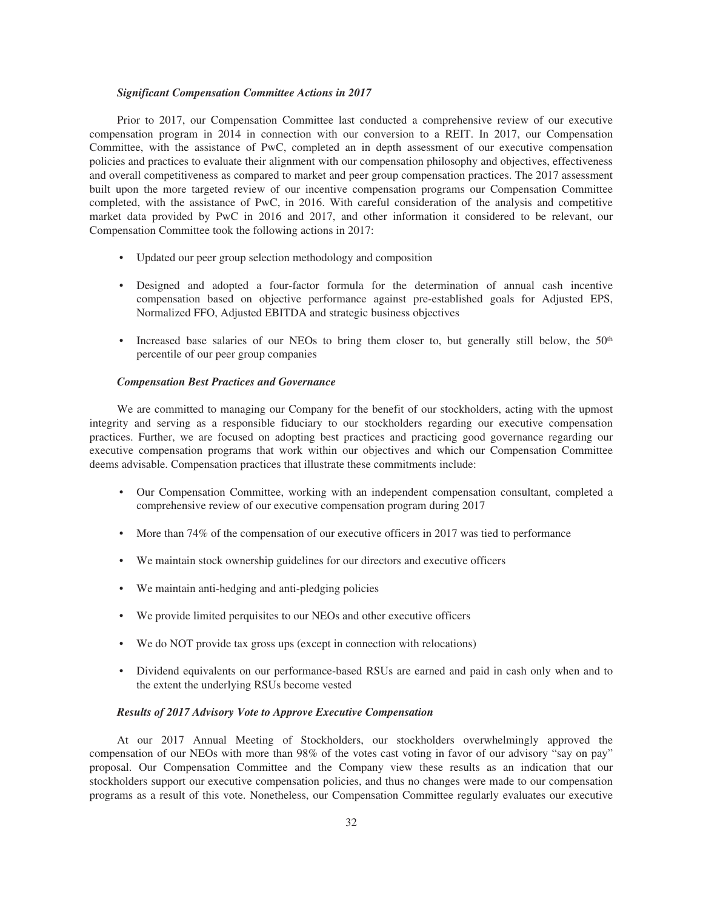## *Significant Compensation Committee Actions in 2017*

Prior to 2017, our Compensation Committee last conducted a comprehensive review of our executive compensation program in 2014 in connection with our conversion to a REIT. In 2017, our Compensation Committee, with the assistance of PwC, completed an in depth assessment of our executive compensation policies and practices to evaluate their alignment with our compensation philosophy and objectives, effectiveness and overall competitiveness as compared to market and peer group compensation practices. The 2017 assessment built upon the more targeted review of our incentive compensation programs our Compensation Committee completed, with the assistance of PwC, in 2016. With careful consideration of the analysis and competitive market data provided by PwC in 2016 and 2017, and other information it considered to be relevant, our Compensation Committee took the following actions in 2017:

- Updated our peer group selection methodology and composition
- Designed and adopted a four-factor formula for the determination of annual cash incentive compensation based on objective performance against pre-established goals for Adjusted EPS, Normalized FFO, Adjusted EBITDA and strategic business objectives
- Increased base salaries of our NEOs to bring them closer to, but generally still below, the 50<sup>th</sup> percentile of our peer group companies

## *Compensation Best Practices and Governance*

We are committed to managing our Company for the benefit of our stockholders, acting with the upmost integrity and serving as a responsible fiduciary to our stockholders regarding our executive compensation practices. Further, we are focused on adopting best practices and practicing good governance regarding our executive compensation programs that work within our objectives and which our Compensation Committee deems advisable. Compensation practices that illustrate these commitments include:

- Our Compensation Committee, working with an independent compensation consultant, completed a comprehensive review of our executive compensation program during 2017
- More than 74% of the compensation of our executive officers in 2017 was tied to performance
- We maintain stock ownership guidelines for our directors and executive officers
- We maintain anti-hedging and anti-pledging policies
- We provide limited perquisites to our NEOs and other executive officers
- We do NOT provide tax gross ups (except in connection with relocations)
- Dividend equivalents on our performance-based RSUs are earned and paid in cash only when and to the extent the underlying RSUs become vested

## *Results of 2017 Advisory Vote to Approve Executive Compensation*

At our 2017 Annual Meeting of Stockholders, our stockholders overwhelmingly approved the compensation of our NEOs with more than 98% of the votes cast voting in favor of our advisory "say on pay" proposal. Our Compensation Committee and the Company view these results as an indication that our stockholders support our executive compensation policies, and thus no changes were made to our compensation programs as a result of this vote. Nonetheless, our Compensation Committee regularly evaluates our executive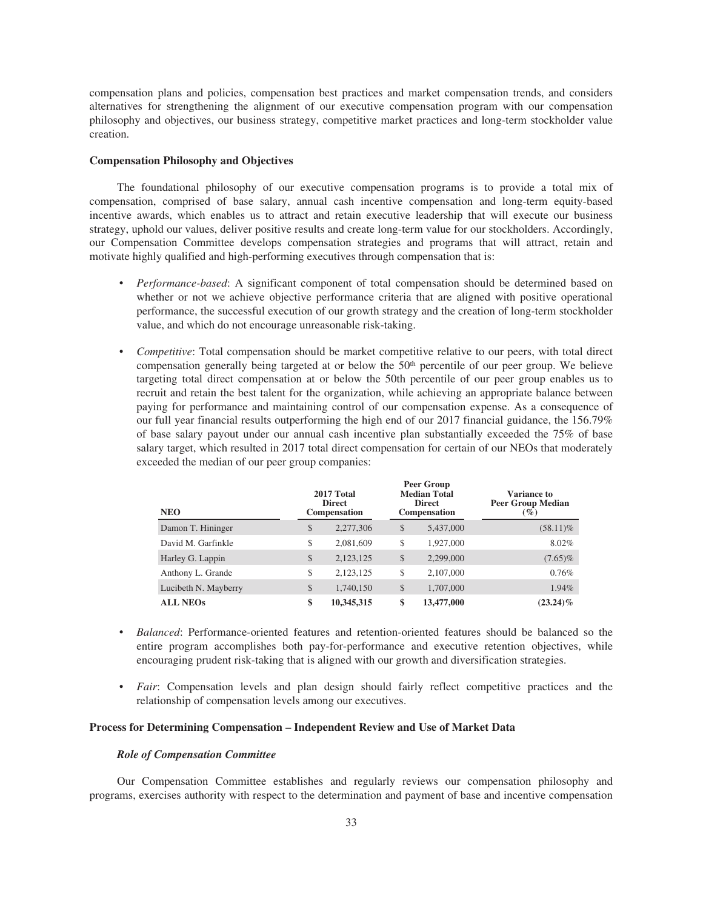compensation plans and policies, compensation best practices and market compensation trends, and considers alternatives for strengthening the alignment of our executive compensation program with our compensation philosophy and objectives, our business strategy, competitive market practices and long-term stockholder value creation.

## **Compensation Philosophy and Objectives**

The foundational philosophy of our executive compensation programs is to provide a total mix of compensation, comprised of base salary, annual cash incentive compensation and long-term equity-based incentive awards, which enables us to attract and retain executive leadership that will execute our business strategy, uphold our values, deliver positive results and create long-term value for our stockholders. Accordingly, our Compensation Committee develops compensation strategies and programs that will attract, retain and motivate highly qualified and high-performing executives through compensation that is:

- *Performance-based*: A significant component of total compensation should be determined based on whether or not we achieve objective performance criteria that are aligned with positive operational performance, the successful execution of our growth strategy and the creation of long-term stockholder value, and which do not encourage unreasonable risk-taking.
- *Competitive*: Total compensation should be market competitive relative to our peers, with total direct compensation generally being targeted at or below the 50<sup>th</sup> percentile of our peer group. We believe targeting total direct compensation at or below the 50th percentile of our peer group enables us to recruit and retain the best talent for the organization, while achieving an appropriate balance between paying for performance and maintaining control of our compensation expense. As a consequence of our full year financial results outperforming the high end of our 2017 financial guidance, the 156.79% of base salary payout under our annual cash incentive plan substantially exceeded the 75% of base salary target, which resulted in 2017 total direct compensation for certain of our NEOs that moderately exceeded the median of our peer group companies:

| <b>NEO</b>           | 2017 Total<br><b>Direct</b><br>Compensation | Peer Group<br><b>Median Total</b><br><b>Direct</b><br><b>Compensation</b> | <b>Variance to</b><br><b>Peer Group Median</b><br>$\left( \frac{\omega}{c} \right)$ |
|----------------------|---------------------------------------------|---------------------------------------------------------------------------|-------------------------------------------------------------------------------------|
| Damon T. Hininger    | \$<br>2,277,306                             | \$<br>5,437,000                                                           | $(58.11)\%$                                                                         |
| David M. Garfinkle   | \$<br>2,081,609                             | \$<br>1,927,000                                                           | 8.02%                                                                               |
| Harley G. Lappin     | \$<br>2,123,125                             | \$<br>2,299,000                                                           | $(7.65)\%$                                                                          |
| Anthony L. Grande    | \$<br>2,123,125                             | \$<br>2,107,000                                                           | 0.76%                                                                               |
| Lucibeth N. Mayberry | \$<br>1,740,150                             | \$<br>1,707,000                                                           | 1.94%                                                                               |
| <b>ALL NEOs</b>      | \$<br>10,345,315                            | \$<br>13,477,000                                                          | $(23.24)\%$                                                                         |

- *Balanced*: Performance-oriented features and retention-oriented features should be balanced so the entire program accomplishes both pay-for-performance and executive retention objectives, while encouraging prudent risk-taking that is aligned with our growth and diversification strategies.
- *Fair*: Compensation levels and plan design should fairly reflect competitive practices and the relationship of compensation levels among our executives.

## **Process for Determining Compensation – Independent Review and Use of Market Data**

## *Role of Compensation Committee*

Our Compensation Committee establishes and regularly reviews our compensation philosophy and programs, exercises authority with respect to the determination and payment of base and incentive compensation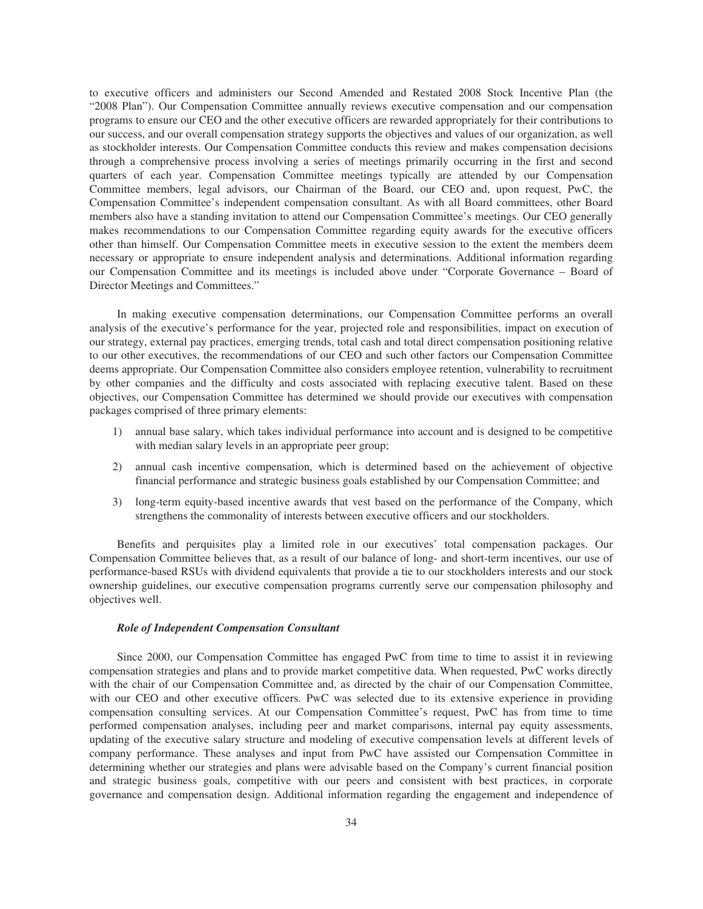to executive officers and administers our Second Amended and Restated 2008 Stock Incentive Plan (the "2008 Plan"). Our Compensation Committee annually reviews executive compensation and our compensation programs to ensure our CEO and the other executive officers are rewarded appropriately for their contributions to our success, and our overall compensation strategy supports the objectives and values of our organization, as well as stockholder interests. Our Compensation Committee conducts this review and makes compensation decisions through a comprehensive process involving a series of meetings primarily occurring in the first and second quarters of each year. Compensation Committee meetings typically are attended by our Compensation Committee members, legal advisors, our Chairman of the Board, our CEO and, upon request, PwC, the Compensation Committee's independent compensation consultant. As with all Board committees, other Board members also have a standing invitation to attend our Compensation Committee's meetings. Our CEO generally makes recommendations to our Compensation Committee regarding equity awards for the executive officers other than himself. Our Compensation Committee meets in executive session to the extent the members deem necessary or appropriate to ensure independent analysis and determinations. Additional information regarding our Compensation Committee and its meetings is included above under "Corporate Governance – Board of Director Meetings and Committees."

In making executive compensation determinations, our Compensation Committee performs an overall analysis of the executive's performance for the year, projected role and responsibilities, impact on execution of our strategy, external pay practices, emerging trends, total cash and total direct compensation positioning relative to our other executives, the recommendations of our CEO and such other factors our Compensation Committee deems appropriate. Our Compensation Committee also considers employee retention, vulnerability to recruitment by other companies and the difficulty and costs associated with replacing executive talent. Based on these objectives, our Compensation Committee has determined we should provide our executives with compensation packages comprised of three primary elements:

- 1) annual base salary, which takes individual performance into account and is designed to be competitive with median salary levels in an appropriate peer group;
- 2) annual cash incentive compensation, which is determined based on the achievement of objective financial performance and strategic business goals established by our Compensation Committee; and
- 3) long-term equity-based incentive awards that vest based on the performance of the Company, which strengthens the commonality of interests between executive officers and our stockholders.

Benefits and perquisites play a limited role in our executives' total compensation packages. Our Compensation Committee believes that, as a result of our balance of long- and short-term incentives, our use of performance-based RSUs with dividend equivalents that provide a tie to our stockholders interests and our stock ownership guidelines, our executive compensation programs currently serve our compensation philosophy and objectives well.

## *Role of Independent Compensation Consultant*

Since 2000, our Compensation Committee has engaged PwC from time to time to assist it in reviewing compensation strategies and plans and to provide market competitive data. When requested, PwC works directly with the chair of our Compensation Committee and, as directed by the chair of our Compensation Committee, with our CEO and other executive officers. PwC was selected due to its extensive experience in providing compensation consulting services. At our Compensation Committee's request, PwC has from time to time performed compensation analyses, including peer and market comparisons, internal pay equity assessments, updating of the executive salary structure and modeling of executive compensation levels at different levels of company performance. These analyses and input from PwC have assisted our Compensation Committee in determining whether our strategies and plans were advisable based on the Company's current financial position and strategic business goals, competitive with our peers and consistent with best practices, in corporate governance and compensation design. Additional information regarding the engagement and independence of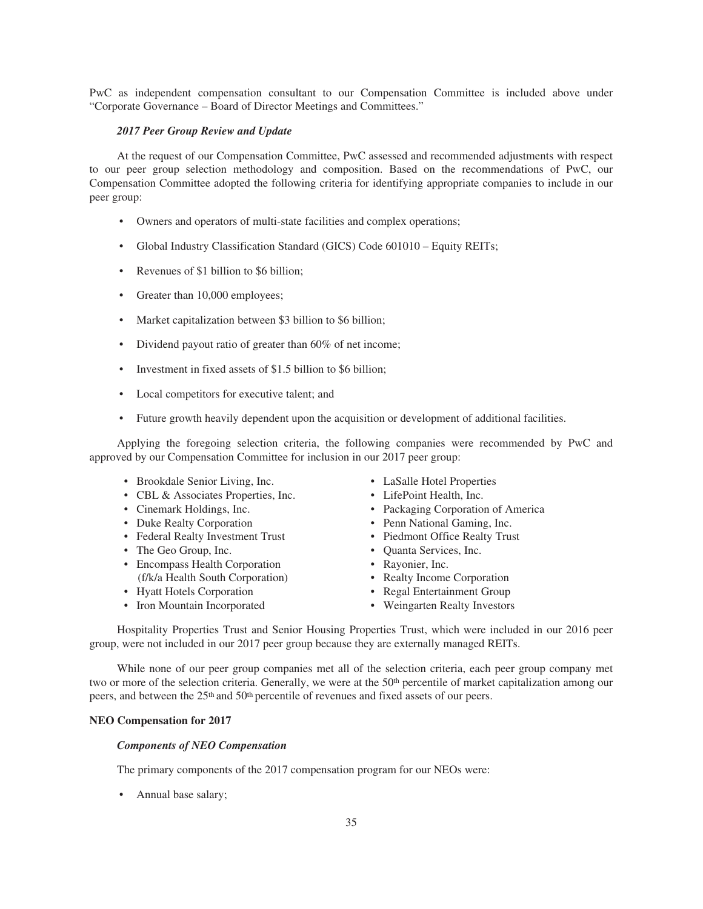PwC as independent compensation consultant to our Compensation Committee is included above under "Corporate Governance – Board of Director Meetings and Committees."

## *2017 Peer Group Review and Update*

At the request of our Compensation Committee, PwC assessed and recommended adjustments with respect to our peer group selection methodology and composition. Based on the recommendations of PwC, our Compensation Committee adopted the following criteria for identifying appropriate companies to include in our peer group:

- Owners and operators of multi-state facilities and complex operations;
- Global Industry Classification Standard (GICS) Code 601010 Equity REITs;
- Revenues of \$1 billion to \$6 billion;
- Greater than 10,000 employees;
- Market capitalization between \$3 billion to \$6 billion;
- Dividend payout ratio of greater than 60% of net income;
- Investment in fixed assets of \$1.5 billion to \$6 billion;
- Local competitors for executive talent; and
- Future growth heavily dependent upon the acquisition or development of additional facilities.

Applying the foregoing selection criteria, the following companies were recommended by PwC and approved by our Compensation Committee for inclusion in our 2017 peer group:

- Brookdale Senior Living, Inc. LaSalle Hotel Properties
- CBL & Associates Properties, Inc. LifePoint Health, Inc.
- 
- 
- Federal Realty Investment Trust Piedmont Office Realty Trust
- The Geo Group, Inc. Quanta Services, Inc.
- Encompass Health Corporation Rayonier, Inc. (f/k/a Health South Corporation) • Realty Income Corporation
- 
- Iron Mountain Incorporated Weingarten Realty Investors
- 
- 
- Cinemark Holdings, Inc. Packaging Corporation of America
- Duke Realty Corporation Penn National Gaming, Inc.
	-
	-
	-
	-
- Hyatt Hotels Corporation Regal Entertainment Group
	-

Hospitality Properties Trust and Senior Housing Properties Trust, which were included in our 2016 peer group, were not included in our 2017 peer group because they are externally managed REITs.

While none of our peer group companies met all of the selection criteria, each peer group company met two or more of the selection criteria. Generally, we were at the 50<sup>th</sup> percentile of market capitalization among our peers, and between the 25th and 50th percentile of revenues and fixed assets of our peers.

## **NEO Compensation for 2017**

## *Components of NEO Compensation*

The primary components of the 2017 compensation program for our NEOs were:

• Annual base salary;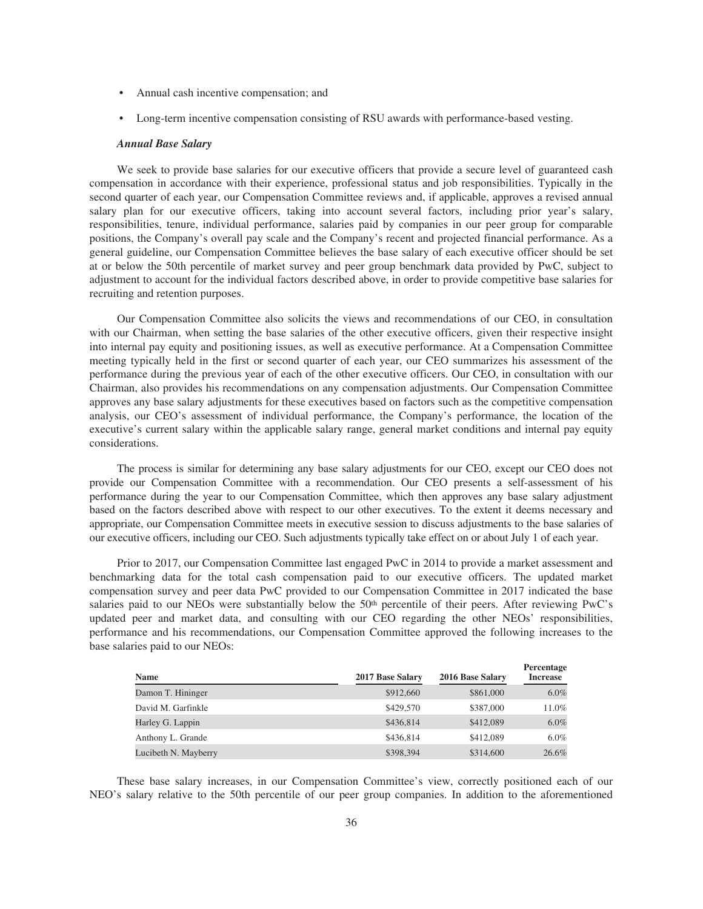- Annual cash incentive compensation; and
- Long-term incentive compensation consisting of RSU awards with performance-based vesting.

## *Annual Base Salary*

We seek to provide base salaries for our executive officers that provide a secure level of guaranteed cash compensation in accordance with their experience, professional status and job responsibilities. Typically in the second quarter of each year, our Compensation Committee reviews and, if applicable, approves a revised annual salary plan for our executive officers, taking into account several factors, including prior year's salary, responsibilities, tenure, individual performance, salaries paid by companies in our peer group for comparable positions, the Company's overall pay scale and the Company's recent and projected financial performance. As a general guideline, our Compensation Committee believes the base salary of each executive officer should be set at or below the 50th percentile of market survey and peer group benchmark data provided by PwC, subject to adjustment to account for the individual factors described above, in order to provide competitive base salaries for recruiting and retention purposes.

Our Compensation Committee also solicits the views and recommendations of our CEO, in consultation with our Chairman, when setting the base salaries of the other executive officers, given their respective insight into internal pay equity and positioning issues, as well as executive performance. At a Compensation Committee meeting typically held in the first or second quarter of each year, our CEO summarizes his assessment of the performance during the previous year of each of the other executive officers. Our CEO, in consultation with our Chairman, also provides his recommendations on any compensation adjustments. Our Compensation Committee approves any base salary adjustments for these executives based on factors such as the competitive compensation analysis, our CEO's assessment of individual performance, the Company's performance, the location of the executive's current salary within the applicable salary range, general market conditions and internal pay equity considerations.

The process is similar for determining any base salary adjustments for our CEO, except our CEO does not provide our Compensation Committee with a recommendation. Our CEO presents a self-assessment of his performance during the year to our Compensation Committee, which then approves any base salary adjustment based on the factors described above with respect to our other executives. To the extent it deems necessary and appropriate, our Compensation Committee meets in executive session to discuss adjustments to the base salaries of our executive officers, including our CEO. Such adjustments typically take effect on or about July 1 of each year.

Prior to 2017, our Compensation Committee last engaged PwC in 2014 to provide a market assessment and benchmarking data for the total cash compensation paid to our executive officers. The updated market compensation survey and peer data PwC provided to our Compensation Committee in 2017 indicated the base salaries paid to our NEOs were substantially below the 50<sup>th</sup> percentile of their peers. After reviewing PwC's updated peer and market data, and consulting with our CEO regarding the other NEOs' responsibilities, performance and his recommendations, our Compensation Committee approved the following increases to the base salaries paid to our NEOs:

| <b>Name</b>          | 2017 Base Salary | 2016 Base Salary | Percentage<br><b>Increase</b> |
|----------------------|------------------|------------------|-------------------------------|
| Damon T. Hininger    | \$912,660        | \$861,000        | $6.0\%$                       |
| David M. Garfinkle   | \$429,570        | \$387,000        | 11.0%                         |
| Harley G. Lappin     | \$436,814        | \$412,089        | 6.0%                          |
| Anthony L. Grande    | \$436,814        | \$412,089        | $6.0\%$                       |
| Lucibeth N. Mayberry | \$398,394        | \$314,600        | 26.6%                         |

These base salary increases, in our Compensation Committee's view, correctly positioned each of our NEO's salary relative to the 50th percentile of our peer group companies. In addition to the aforementioned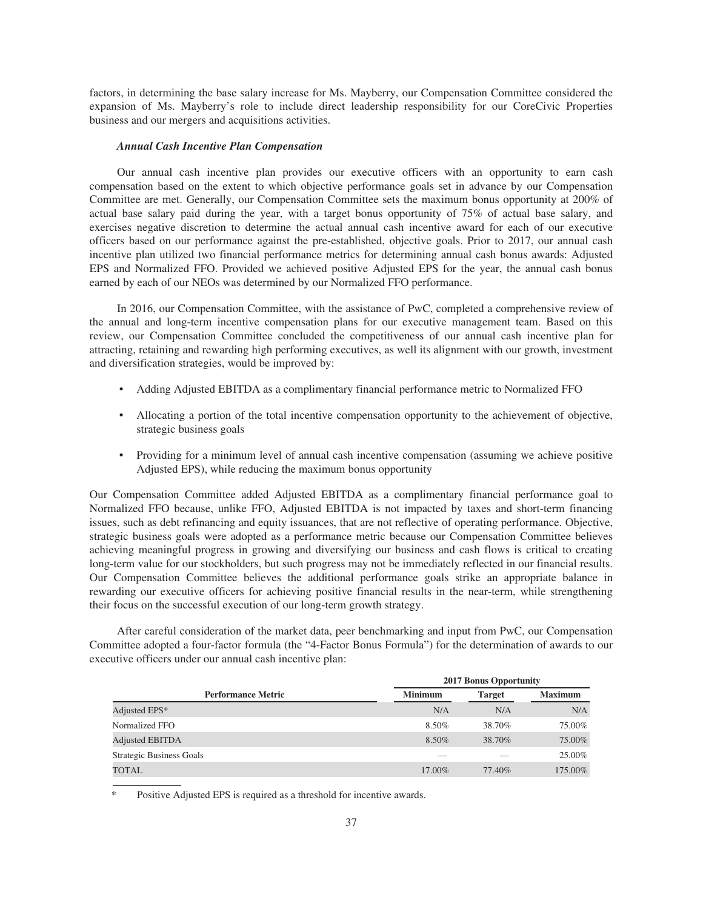factors, in determining the base salary increase for Ms. Mayberry, our Compensation Committee considered the expansion of Ms. Mayberry's role to include direct leadership responsibility for our CoreCivic Properties business and our mergers and acquisitions activities.

### *Annual Cash Incentive Plan Compensation*

Our annual cash incentive plan provides our executive officers with an opportunity to earn cash compensation based on the extent to which objective performance goals set in advance by our Compensation Committee are met. Generally, our Compensation Committee sets the maximum bonus opportunity at 200% of actual base salary paid during the year, with a target bonus opportunity of 75% of actual base salary, and exercises negative discretion to determine the actual annual cash incentive award for each of our executive officers based on our performance against the pre-established, objective goals. Prior to 2017, our annual cash incentive plan utilized two financial performance metrics for determining annual cash bonus awards: Adjusted EPS and Normalized FFO. Provided we achieved positive Adjusted EPS for the year, the annual cash bonus earned by each of our NEOs was determined by our Normalized FFO performance.

In 2016, our Compensation Committee, with the assistance of PwC, completed a comprehensive review of the annual and long-term incentive compensation plans for our executive management team. Based on this review, our Compensation Committee concluded the competitiveness of our annual cash incentive plan for attracting, retaining and rewarding high performing executives, as well its alignment with our growth, investment and diversification strategies, would be improved by:

- Adding Adjusted EBITDA as a complimentary financial performance metric to Normalized FFO
- Allocating a portion of the total incentive compensation opportunity to the achievement of objective, strategic business goals
- Providing for a minimum level of annual cash incentive compensation (assuming we achieve positive Adjusted EPS), while reducing the maximum bonus opportunity

Our Compensation Committee added Adjusted EBITDA as a complimentary financial performance goal to Normalized FFO because, unlike FFO, Adjusted EBITDA is not impacted by taxes and short-term financing issues, such as debt refinancing and equity issuances, that are not reflective of operating performance. Objective, strategic business goals were adopted as a performance metric because our Compensation Committee believes achieving meaningful progress in growing and diversifying our business and cash flows is critical to creating long-term value for our stockholders, but such progress may not be immediately reflected in our financial results. Our Compensation Committee believes the additional performance goals strike an appropriate balance in rewarding our executive officers for achieving positive financial results in the near-term, while strengthening their focus on the successful execution of our long-term growth strategy.

After careful consideration of the market data, peer benchmarking and input from PwC, our Compensation Committee adopted a four-factor formula (the "4-Factor Bonus Formula") for the determination of awards to our executive officers under our annual cash incentive plan:

|                                 | <b>2017 Bonus Opportunity</b> |               |                |  |  |
|---------------------------------|-------------------------------|---------------|----------------|--|--|
| <b>Performance Metric</b>       | <b>Minimum</b>                | <b>Target</b> | <b>Maximum</b> |  |  |
| Adjusted EPS*                   | N/A                           | N/A           | N/A            |  |  |
| Normalized FFO                  | 8.50%                         | 38.70%        | 75.00%         |  |  |
| <b>Adjusted EBITDA</b>          | 8.50%                         | 38.70%        | 75.00%         |  |  |
| <b>Strategic Business Goals</b> |                               |               | 25.00%         |  |  |
| <b>TOTAL</b>                    | 17.00%                        | 77.40%        | 175.00%        |  |  |

Positive Adjusted EPS is required as a threshold for incentive awards.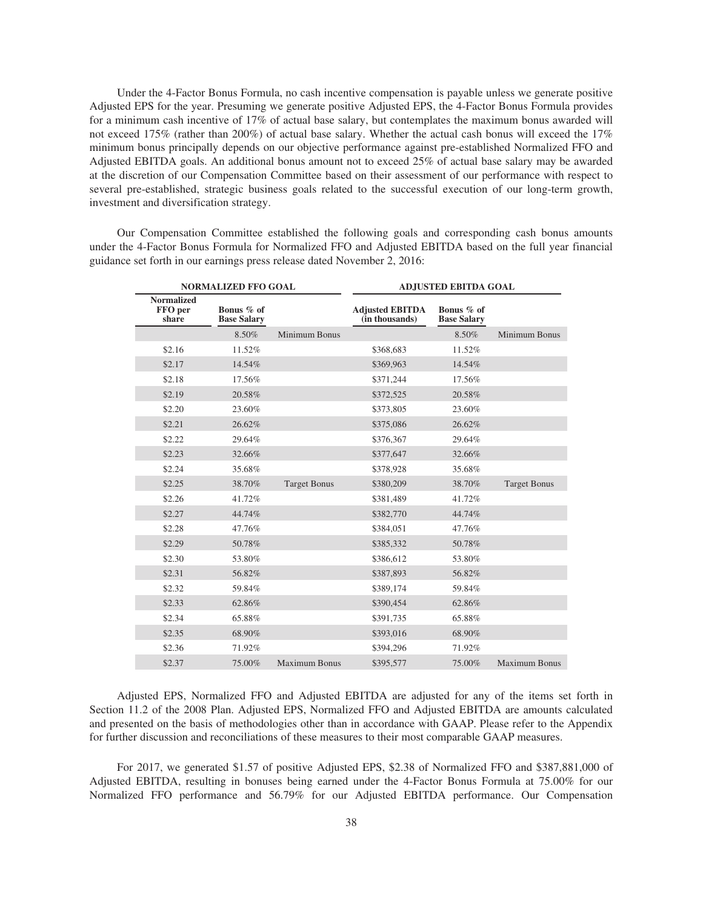Under the 4-Factor Bonus Formula, no cash incentive compensation is payable unless we generate positive Adjusted EPS for the year. Presuming we generate positive Adjusted EPS, the 4-Factor Bonus Formula provides for a minimum cash incentive of 17% of actual base salary, but contemplates the maximum bonus awarded will not exceed 175% (rather than 200%) of actual base salary. Whether the actual cash bonus will exceed the 17% minimum bonus principally depends on our objective performance against pre-established Normalized FFO and Adjusted EBITDA goals. An additional bonus amount not to exceed 25% of actual base salary may be awarded at the discretion of our Compensation Committee based on their assessment of our performance with respect to several pre-established, strategic business goals related to the successful execution of our long-term growth, investment and diversification strategy.

Our Compensation Committee established the following goals and corresponding cash bonus amounts under the 4-Factor Bonus Formula for Normalized FFO and Adjusted EBITDA based on the full year financial guidance set forth in our earnings press release dated November 2, 2016:

|                                       | <b>NORMALIZED FFO GOAL</b>       |                      | <b>ADJUSTED EBITDA GOAL</b>              |                                  |                      |
|---------------------------------------|----------------------------------|----------------------|------------------------------------------|----------------------------------|----------------------|
| <b>Normalized</b><br>FFO per<br>share | Bonus % of<br><b>Base Salary</b> |                      | <b>Adjusted EBITDA</b><br>(in thousands) | Bonus % of<br><b>Base Salary</b> |                      |
|                                       | 8.50%                            | Minimum Bonus        |                                          | 8.50%                            | Minimum Bonus        |
| \$2.16                                | 11.52%                           |                      | \$368,683                                | 11.52%                           |                      |
| \$2.17                                | 14.54%                           |                      | \$369,963                                | 14.54%                           |                      |
| \$2.18                                | 17.56%                           |                      | \$371,244                                | 17.56%                           |                      |
| \$2.19                                | 20.58%                           |                      | \$372,525                                | 20.58%                           |                      |
| \$2.20                                | 23.60%                           |                      | \$373,805                                | 23.60%                           |                      |
| \$2.21                                | 26.62%                           |                      | \$375,086                                | 26.62%                           |                      |
| \$2.22                                | 29.64%                           |                      | \$376,367                                | 29.64%                           |                      |
| \$2.23                                | 32.66%                           |                      | \$377,647                                | 32.66%                           |                      |
| \$2.24                                | 35.68%                           |                      | \$378,928                                | 35.68%                           |                      |
| \$2.25                                | 38.70%                           | <b>Target Bonus</b>  | \$380,209                                | 38.70%                           | <b>Target Bonus</b>  |
| \$2.26                                | 41.72%                           |                      | \$381,489                                | 41.72%                           |                      |
| \$2.27                                | 44.74%                           |                      | \$382,770                                | 44.74%                           |                      |
| \$2.28                                | 47.76%                           |                      | \$384,051                                | 47.76%                           |                      |
| \$2.29                                | 50.78%                           |                      | \$385,332                                | 50.78%                           |                      |
| \$2.30                                | 53.80%                           |                      | \$386,612                                | 53.80%                           |                      |
| \$2.31                                | 56.82%                           |                      | \$387,893                                | 56.82%                           |                      |
| \$2.32                                | 59.84%                           |                      | \$389,174                                | 59.84%                           |                      |
| \$2.33                                | 62.86%                           |                      | \$390,454                                | 62.86%                           |                      |
| \$2.34                                | 65.88%                           |                      | \$391,735                                | 65.88%                           |                      |
| \$2.35                                | 68.90%                           |                      | \$393,016                                | 68.90%                           |                      |
| \$2.36                                | 71.92%                           |                      | \$394,296                                | 71.92%                           |                      |
| \$2.37                                | 75.00%                           | <b>Maximum Bonus</b> | \$395,577                                | 75.00%                           | <b>Maximum Bonus</b> |

Adjusted EPS, Normalized FFO and Adjusted EBITDA are adjusted for any of the items set forth in Section 11.2 of the 2008 Plan. Adjusted EPS, Normalized FFO and Adjusted EBITDA are amounts calculated and presented on the basis of methodologies other than in accordance with GAAP. Please refer to the Appendix for further discussion and reconciliations of these measures to their most comparable GAAP measures.

For 2017, we generated \$1.57 of positive Adjusted EPS, \$2.38 of Normalized FFO and \$387,881,000 of Adjusted EBITDA, resulting in bonuses being earned under the 4-Factor Bonus Formula at 75.00% for our Normalized FFO performance and 56.79% for our Adjusted EBITDA performance. Our Compensation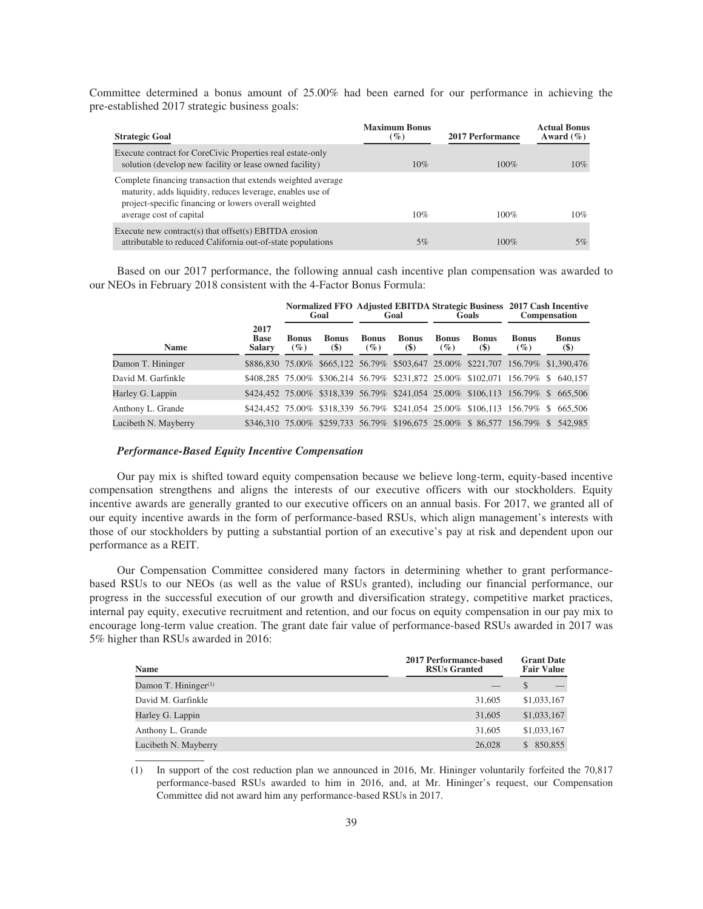Committee determined a bonus amount of 25.00% had been earned for our performance in achieving the pre-established 2017 strategic business goals:

| <b>Strategic Goal</b>                                                                                                                                                                                          | <b>Maximum Bonus</b><br>$(\%)$ | <b>2017 Performance</b> | <b>Actual Bonus</b><br>Award $(\% )$ |
|----------------------------------------------------------------------------------------------------------------------------------------------------------------------------------------------------------------|--------------------------------|-------------------------|--------------------------------------|
| Execute contract for CoreCivic Properties real estate-only<br>solution (develop new facility or lease owned facility)                                                                                          | 10%                            | $100\%$                 | 10%                                  |
| Complete financing transaction that extends weighted average<br>maturity, adds liquidity, reduces leverage, enables use of<br>project-specific financing or lowers overall weighted<br>average cost of capital | 10%                            | $100\%$                 | 10%                                  |
| Execute new contract(s) that offset(s) EBITDA erosion<br>attributable to reduced California out-of-state populations                                                                                           | 5%                             | 100%                    | 5%                                   |

Based on our 2017 performance, the following annual cash incentive plan compensation was awarded to our NEOs in February 2018 consistent with the 4-Factor Bonus Formula:

|                      |                                      |                        | Goal                                       |                        | Goal                   |                        | Goals                  |                        | Normalized FFO Adjusted EBITDA Strategic Business 2017 Cash Incentive<br><b>Compensation</b> |
|----------------------|--------------------------------------|------------------------|--------------------------------------------|------------------------|------------------------|------------------------|------------------------|------------------------|----------------------------------------------------------------------------------------------|
| <b>Name</b>          | 2017<br><b>Base</b><br><b>Salary</b> | <b>Bonus</b><br>$($ %) | <b>Bonus</b><br>$\left( \mathbb{S}\right)$ | <b>Bonus</b><br>$($ %) | <b>Bonus</b><br>$(\$)$ | <b>Bonus</b><br>$($ %) | <b>Bonus</b><br>$(\$)$ | <b>Bonus</b><br>$($ %) | <b>Bonus</b><br>$(\$)$                                                                       |
| Damon T. Hininger    |                                      |                        |                                            |                        |                        |                        |                        |                        | \$886,830 75.00% \$665,122 56.79% \$503,647 25.00% \$221,707 156.79% \$1,390,476             |
| David M. Garfinkle   |                                      |                        |                                            |                        |                        |                        |                        |                        | \$408,285 75.00% \$306,214 56.79% \$231,872 25.00% \$102,071 156.79% \$ 640,157              |
| Harley G. Lappin     |                                      |                        |                                            |                        |                        |                        |                        |                        | \$424,452 75.00% \$318,339 56.79% \$241,054 25.00% \$106,113 156.79% \$ 665,506              |
| Anthony L. Grande    |                                      |                        |                                            |                        |                        |                        |                        |                        | \$424.452 75.00% \$318.339 56.79% \$241.054 25.00% \$106.113 156.79% \$ 665.506              |
| Lucibeth N. Mayberry |                                      |                        |                                            |                        |                        |                        |                        |                        | \$346,310 75.00% \$259,733 56.79% \$196,675 25.00% \$ 86,577 156.79% \$ 542,985              |

## *Performance-Based Equity Incentive Compensation*

Our pay mix is shifted toward equity compensation because we believe long-term, equity-based incentive compensation strengthens and aligns the interests of our executive officers with our stockholders. Equity incentive awards are generally granted to our executive officers on an annual basis. For 2017, we granted all of our equity incentive awards in the form of performance-based RSUs, which align management's interests with those of our stockholders by putting a substantial portion of an executive's pay at risk and dependent upon our performance as a REIT.

Our Compensation Committee considered many factors in determining whether to grant performancebased RSUs to our NEOs (as well as the value of RSUs granted), including our financial performance, our progress in the successful execution of our growth and diversification strategy, competitive market practices, internal pay equity, executive recruitment and retention, and our focus on equity compensation in our pay mix to encourage long-term value creation. The grant date fair value of performance-based RSUs awarded in 2017 was 5% higher than RSUs awarded in 2016:

| <b>Name</b>             | 2017 Performance-based<br><b>RSUs Granted</b> | <b>Grant Date</b><br><b>Fair Value</b> |
|-------------------------|-----------------------------------------------|----------------------------------------|
| Damon T. Hininger $(1)$ |                                               |                                        |
| David M. Garfinkle      | 31,605                                        | \$1,033,167                            |
| Harley G. Lappin        | 31,605                                        | \$1,033,167                            |
| Anthony L. Grande       | 31,605                                        | \$1,033,167                            |
| Lucibeth N. Mayberry    | 26,028                                        | 850,855<br>\$.                         |

(1) In support of the cost reduction plan we announced in 2016, Mr. Hininger voluntarily forfeited the 70,817 performance-based RSUs awarded to him in 2016, and, at Mr. Hininger's request, our Compensation Committee did not award him any performance-based RSUs in 2017.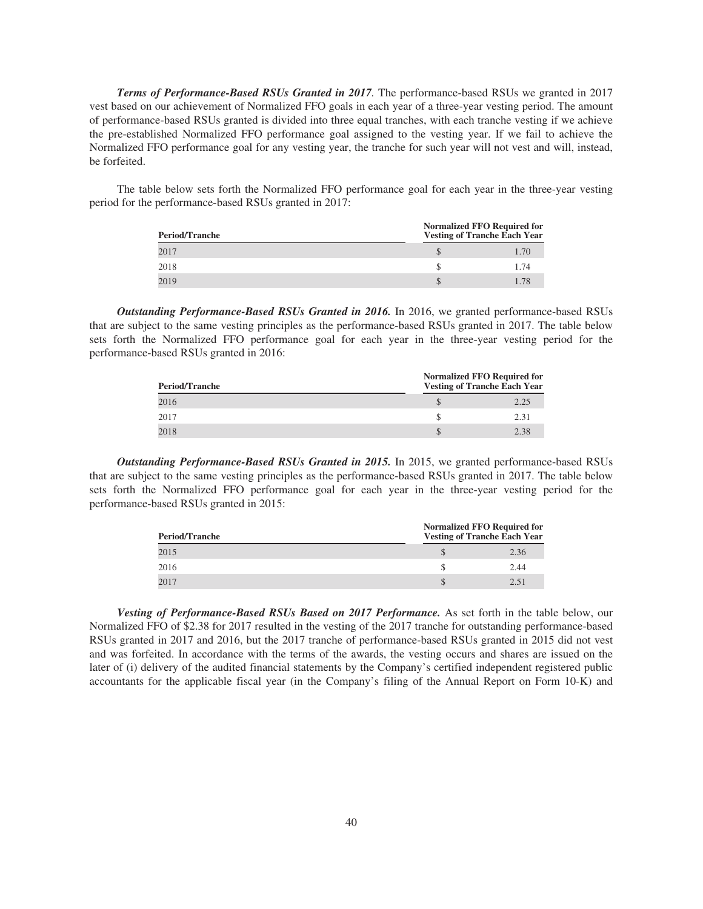*Terms of Performance-Based RSUs Granted in 2017.* The performance-based RSUs we granted in 2017 vest based on our achievement of Normalized FFO goals in each year of a three-year vesting period. The amount of performance-based RSUs granted is divided into three equal tranches, with each tranche vesting if we achieve the pre-established Normalized FFO performance goal assigned to the vesting year. If we fail to achieve the Normalized FFO performance goal for any vesting year, the tranche for such year will not vest and will, instead, be forfeited.

The table below sets forth the Normalized FFO performance goal for each year in the three-year vesting period for the performance-based RSUs granted in 2017:

| <b>Period/Tranche</b> | <b>Normalized FFO Required for</b><br><b>Vesting of Tranche Each Year</b> |      |
|-----------------------|---------------------------------------------------------------------------|------|
| 2017                  |                                                                           | 1.70 |
| 2018                  |                                                                           | 1.74 |
| 2019                  |                                                                           | 178  |

*Outstanding Performance-Based RSUs Granted in 2016.* In 2016, we granted performance-based RSUs that are subject to the same vesting principles as the performance-based RSUs granted in 2017. The table below sets forth the Normalized FFO performance goal for each year in the three-year vesting period for the performance-based RSUs granted in 2016:

| <b>Period/Tranche</b> | <b>Normalized FFO Required for</b><br><b>Vesting of Tranche Each Year</b> |
|-----------------------|---------------------------------------------------------------------------|
| 2016                  | 2.25                                                                      |
| 2017                  | 2.31                                                                      |
| 2018                  | 2.38                                                                      |

*Outstanding Performance-Based RSUs Granted in 2015.* In 2015, we granted performance-based RSUs that are subject to the same vesting principles as the performance-based RSUs granted in 2017. The table below sets forth the Normalized FFO performance goal for each year in the three-year vesting period for the performance-based RSUs granted in 2015:

| <b>Period/Tranche</b> | <b>Normalized FFO Required for</b><br><b>Vesting of Tranche Each Year</b> |      |
|-----------------------|---------------------------------------------------------------------------|------|
| 2015                  |                                                                           | 2.36 |
| 2016                  |                                                                           | 2.44 |
| 2017                  |                                                                           | 251  |

*Vesting of Performance-Based RSUs Based on 2017 Performance.* As set forth in the table below, our Normalized FFO of \$2.38 for 2017 resulted in the vesting of the 2017 tranche for outstanding performance-based RSUs granted in 2017 and 2016, but the 2017 tranche of performance-based RSUs granted in 2015 did not vest and was forfeited. In accordance with the terms of the awards, the vesting occurs and shares are issued on the later of (i) delivery of the audited financial statements by the Company's certified independent registered public accountants for the applicable fiscal year (in the Company's filing of the Annual Report on Form 10-K) and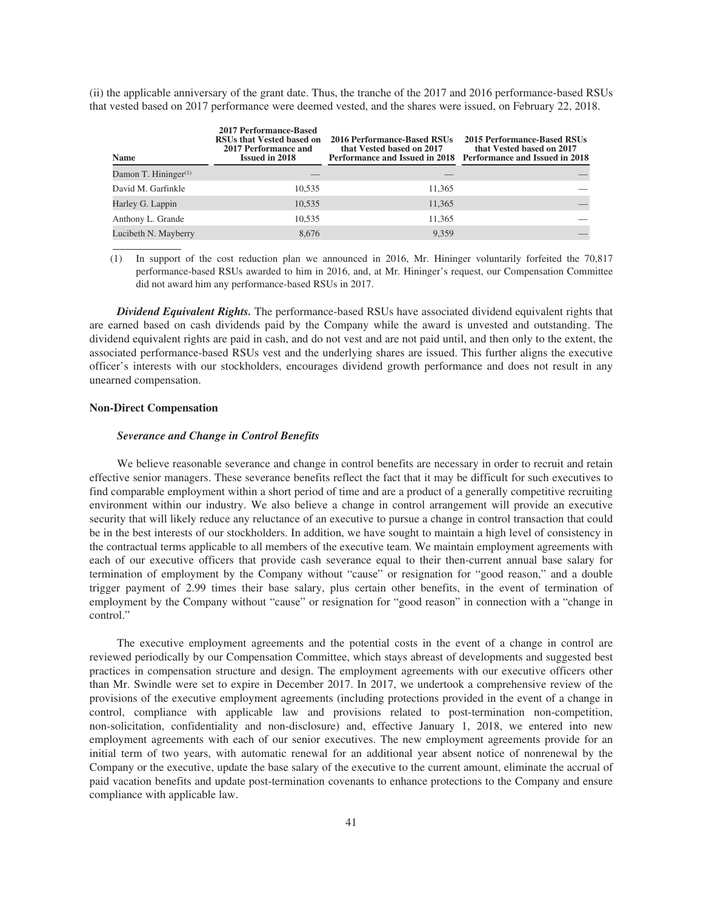(ii) the applicable anniversary of the grant date. Thus, the tranche of the 2017 and 2016 performance-based RSUs that vested based on 2017 performance were deemed vested, and the shares were issued, on February 22, 2018.

| <b>Name</b>             | <b>2017 Performance-Based</b><br>RSUs that Vested based on<br>2017 Performance and<br><b>Issued in 2018</b> | 2016 Performance-Based RSUs<br>that Vested based on 2017 | 2015 Performance-Based RSUs<br>that Vested based on 2017<br>Performance and Issued in 2018 Performance and Issued in 2018 |
|-------------------------|-------------------------------------------------------------------------------------------------------------|----------------------------------------------------------|---------------------------------------------------------------------------------------------------------------------------|
| Damon T. Hininger $(1)$ |                                                                                                             |                                                          |                                                                                                                           |
| David M. Garfinkle      | 10.535                                                                                                      | 11.365                                                   |                                                                                                                           |
| Harley G. Lappin        | 10,535                                                                                                      | 11,365                                                   |                                                                                                                           |
| Anthony L. Grande       | 10,535                                                                                                      | 11,365                                                   |                                                                                                                           |
| Lucibeth N. Mayberry    | 8.676                                                                                                       | 9.359                                                    |                                                                                                                           |

(1) In support of the cost reduction plan we announced in 2016, Mr. Hininger voluntarily forfeited the 70,817 performance-based RSUs awarded to him in 2016, and, at Mr. Hininger's request, our Compensation Committee did not award him any performance-based RSUs in 2017.

*Dividend Equivalent Rights.* The performance-based RSUs have associated dividend equivalent rights that are earned based on cash dividends paid by the Company while the award is unvested and outstanding. The dividend equivalent rights are paid in cash, and do not vest and are not paid until, and then only to the extent, the associated performance-based RSUs vest and the underlying shares are issued. This further aligns the executive officer's interests with our stockholders, encourages dividend growth performance and does not result in any unearned compensation.

## **Non-Direct Compensation**

## *Severance and Change in Control Benefits*

We believe reasonable severance and change in control benefits are necessary in order to recruit and retain effective senior managers. These severance benefits reflect the fact that it may be difficult for such executives to find comparable employment within a short period of time and are a product of a generally competitive recruiting environment within our industry. We also believe a change in control arrangement will provide an executive security that will likely reduce any reluctance of an executive to pursue a change in control transaction that could be in the best interests of our stockholders. In addition, we have sought to maintain a high level of consistency in the contractual terms applicable to all members of the executive team. We maintain employment agreements with each of our executive officers that provide cash severance equal to their then-current annual base salary for termination of employment by the Company without "cause" or resignation for "good reason," and a double trigger payment of 2.99 times their base salary, plus certain other benefits, in the event of termination of employment by the Company without "cause" or resignation for "good reason" in connection with a "change in control."

The executive employment agreements and the potential costs in the event of a change in control are reviewed periodically by our Compensation Committee, which stays abreast of developments and suggested best practices in compensation structure and design. The employment agreements with our executive officers other than Mr. Swindle were set to expire in December 2017. In 2017, we undertook a comprehensive review of the provisions of the executive employment agreements (including protections provided in the event of a change in control, compliance with applicable law and provisions related to post-termination non-competition, non-solicitation, confidentiality and non-disclosure) and, effective January 1, 2018, we entered into new employment agreements with each of our senior executives. The new employment agreements provide for an initial term of two years, with automatic renewal for an additional year absent notice of nonrenewal by the Company or the executive, update the base salary of the executive to the current amount, eliminate the accrual of paid vacation benefits and update post-termination covenants to enhance protections to the Company and ensure compliance with applicable law.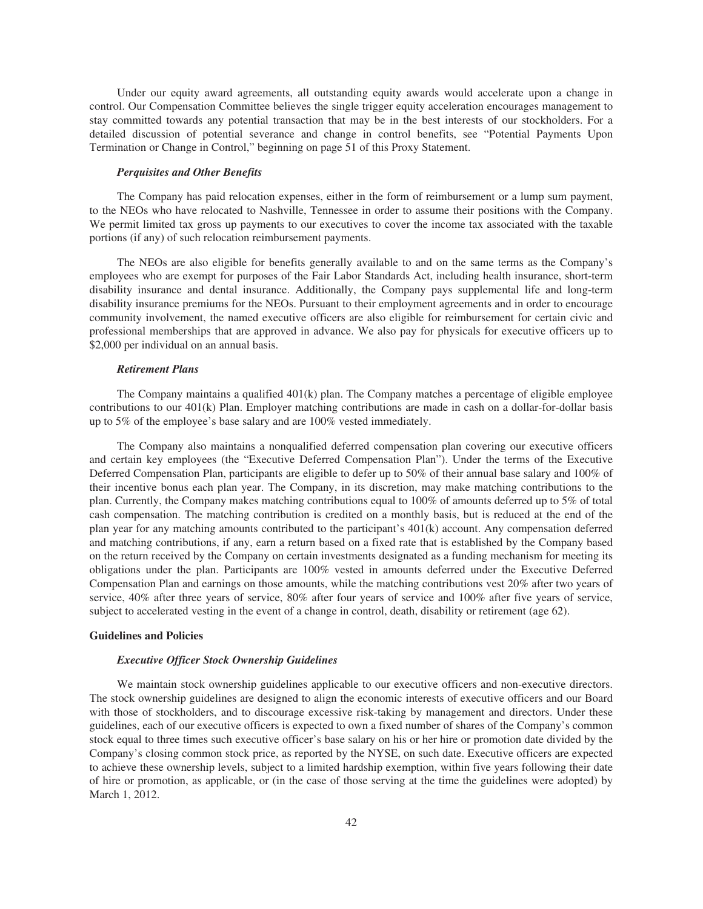Under our equity award agreements, all outstanding equity awards would accelerate upon a change in control. Our Compensation Committee believes the single trigger equity acceleration encourages management to stay committed towards any potential transaction that may be in the best interests of our stockholders. For a detailed discussion of potential severance and change in control benefits, see "Potential Payments Upon Termination or Change in Control," beginning on page 51 of this Proxy Statement.

#### *Perquisites and Other Benefits*

The Company has paid relocation expenses, either in the form of reimbursement or a lump sum payment, to the NEOs who have relocated to Nashville, Tennessee in order to assume their positions with the Company. We permit limited tax gross up payments to our executives to cover the income tax associated with the taxable portions (if any) of such relocation reimbursement payments.

The NEOs are also eligible for benefits generally available to and on the same terms as the Company's employees who are exempt for purposes of the Fair Labor Standards Act, including health insurance, short-term disability insurance and dental insurance. Additionally, the Company pays supplemental life and long-term disability insurance premiums for the NEOs. Pursuant to their employment agreements and in order to encourage community involvement, the named executive officers are also eligible for reimbursement for certain civic and professional memberships that are approved in advance. We also pay for physicals for executive officers up to \$2,000 per individual on an annual basis.

#### *Retirement Plans*

The Company maintains a qualified  $401(k)$  plan. The Company matches a percentage of eligible employee contributions to our 401(k) Plan. Employer matching contributions are made in cash on a dollar-for-dollar basis up to 5% of the employee's base salary and are 100% vested immediately.

The Company also maintains a nonqualified deferred compensation plan covering our executive officers and certain key employees (the "Executive Deferred Compensation Plan"). Under the terms of the Executive Deferred Compensation Plan, participants are eligible to defer up to 50% of their annual base salary and 100% of their incentive bonus each plan year. The Company, in its discretion, may make matching contributions to the plan. Currently, the Company makes matching contributions equal to 100% of amounts deferred up to 5% of total cash compensation. The matching contribution is credited on a monthly basis, but is reduced at the end of the plan year for any matching amounts contributed to the participant's 401(k) account. Any compensation deferred and matching contributions, if any, earn a return based on a fixed rate that is established by the Company based on the return received by the Company on certain investments designated as a funding mechanism for meeting its obligations under the plan. Participants are 100% vested in amounts deferred under the Executive Deferred Compensation Plan and earnings on those amounts, while the matching contributions vest 20% after two years of service, 40% after three years of service, 80% after four years of service and 100% after five years of service, subject to accelerated vesting in the event of a change in control, death, disability or retirement (age 62).

### **Guidelines and Policies**

#### *Executive Officer Stock Ownership Guidelines*

We maintain stock ownership guidelines applicable to our executive officers and non-executive directors. The stock ownership guidelines are designed to align the economic interests of executive officers and our Board with those of stockholders, and to discourage excessive risk-taking by management and directors. Under these guidelines, each of our executive officers is expected to own a fixed number of shares of the Company's common stock equal to three times such executive officer's base salary on his or her hire or promotion date divided by the Company's closing common stock price, as reported by the NYSE, on such date. Executive officers are expected to achieve these ownership levels, subject to a limited hardship exemption, within five years following their date of hire or promotion, as applicable, or (in the case of those serving at the time the guidelines were adopted) by March 1, 2012.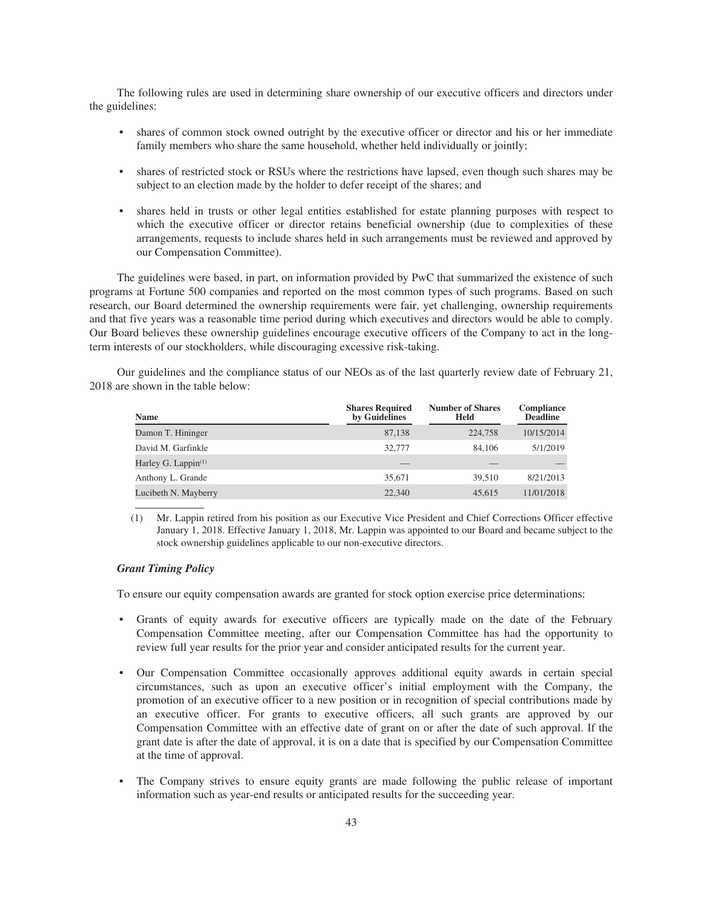The following rules are used in determining share ownership of our executive officers and directors under the guidelines:

- shares of common stock owned outright by the executive officer or director and his or her immediate family members who share the same household, whether held individually or jointly;
- shares of restricted stock or RSUs where the restrictions have lapsed, even though such shares may be subject to an election made by the holder to defer receipt of the shares; and
- shares held in trusts or other legal entities established for estate planning purposes with respect to which the executive officer or director retains beneficial ownership (due to complexities of these arrangements, requests to include shares held in such arrangements must be reviewed and approved by our Compensation Committee).

The guidelines were based, in part, on information provided by PwC that summarized the existence of such programs at Fortune 500 companies and reported on the most common types of such programs. Based on such research, our Board determined the ownership requirements were fair, yet challenging, ownership requirements and that five years was a reasonable time period during which executives and directors would be able to comply. Our Board believes these ownership guidelines encourage executive officers of the Company to act in the longterm interests of our stockholders, while discouraging excessive risk-taking.

Our guidelines and the compliance status of our NEOs as of the last quarterly review date of February 21, 2018 are shown in the table below:

| Name                   | <b>Shares Required</b><br>by Guidelines | <b>Number of Shares</b><br>Held | Compliance<br><b>Deadline</b> |
|------------------------|-----------------------------------------|---------------------------------|-------------------------------|
| Damon T. Hininger      | 87,138                                  | 224,758                         | 10/15/2014                    |
| David M. Garfinkle     | 32,777                                  | 84,106                          | 5/1/2019                      |
| Harley G. Lappin $(1)$ |                                         |                                 |                               |
| Anthony L. Grande      | 35,671                                  | 39.510                          | 8/21/2013                     |
| Lucibeth N. Mayberry   | 22,340                                  | 45,615                          | 11/01/2018                    |

(1) Mr. Lappin retired from his position as our Executive Vice President and Chief Corrections Officer effective January 1, 2018. Effective January 1, 2018, Mr. Lappin was appointed to our Board and became subject to the stock ownership guidelines applicable to our non-executive directors.

## *Grant Timing Policy*

To ensure our equity compensation awards are granted for stock option exercise price determinations:

- Grants of equity awards for executive officers are typically made on the date of the February Compensation Committee meeting, after our Compensation Committee has had the opportunity to review full year results for the prior year and consider anticipated results for the current year.
- Our Compensation Committee occasionally approves additional equity awards in certain special circumstances, such as upon an executive officer's initial employment with the Company, the promotion of an executive officer to a new position or in recognition of special contributions made by an executive officer. For grants to executive officers, all such grants are approved by our Compensation Committee with an effective date of grant on or after the date of such approval. If the grant date is after the date of approval, it is on a date that is specified by our Compensation Committee at the time of approval.
- The Company strives to ensure equity grants are made following the public release of important information such as year-end results or anticipated results for the succeeding year.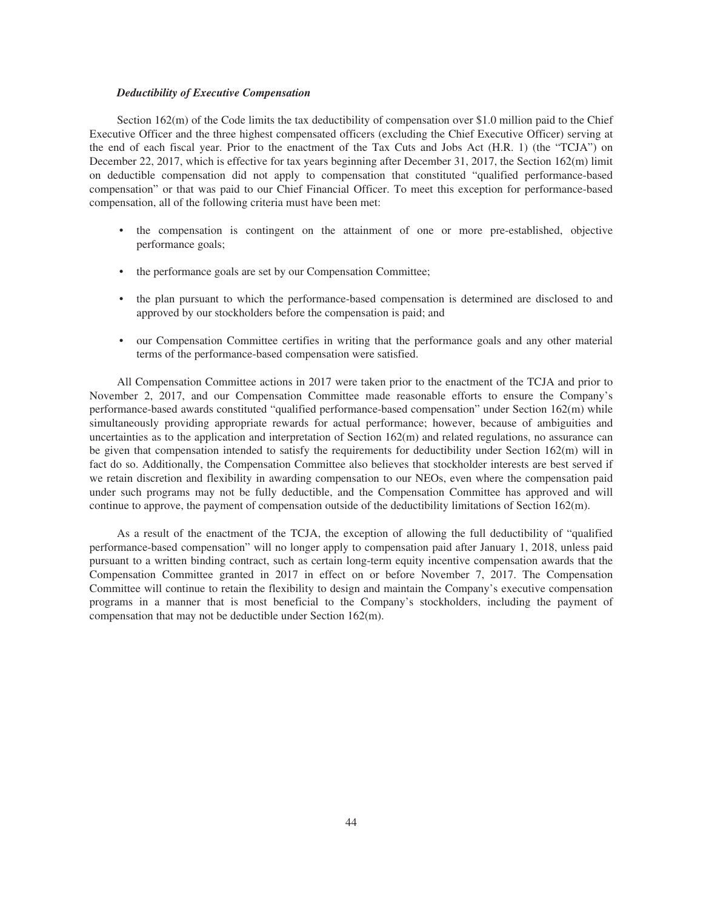## *Deductibility of Executive Compensation*

Section 162(m) of the Code limits the tax deductibility of compensation over \$1.0 million paid to the Chief Executive Officer and the three highest compensated officers (excluding the Chief Executive Officer) serving at the end of each fiscal year. Prior to the enactment of the Tax Cuts and Jobs Act (H.R. 1) (the "TCJA") on December 22, 2017, which is effective for tax years beginning after December 31, 2017, the Section 162(m) limit on deductible compensation did not apply to compensation that constituted "qualified performance-based compensation" or that was paid to our Chief Financial Officer. To meet this exception for performance-based compensation, all of the following criteria must have been met:

- the compensation is contingent on the attainment of one or more pre-established, objective performance goals;
- the performance goals are set by our Compensation Committee;
- the plan pursuant to which the performance-based compensation is determined are disclosed to and approved by our stockholders before the compensation is paid; and
- our Compensation Committee certifies in writing that the performance goals and any other material terms of the performance-based compensation were satisfied.

All Compensation Committee actions in 2017 were taken prior to the enactment of the TCJA and prior to November 2, 2017, and our Compensation Committee made reasonable efforts to ensure the Company's performance-based awards constituted "qualified performance-based compensation" under Section 162(m) while simultaneously providing appropriate rewards for actual performance; however, because of ambiguities and uncertainties as to the application and interpretation of Section  $162(m)$  and related regulations, no assurance can be given that compensation intended to satisfy the requirements for deductibility under Section 162(m) will in fact do so. Additionally, the Compensation Committee also believes that stockholder interests are best served if we retain discretion and flexibility in awarding compensation to our NEOs, even where the compensation paid under such programs may not be fully deductible, and the Compensation Committee has approved and will continue to approve, the payment of compensation outside of the deductibility limitations of Section 162(m).

As a result of the enactment of the TCJA, the exception of allowing the full deductibility of "qualified performance-based compensation" will no longer apply to compensation paid after January 1, 2018, unless paid pursuant to a written binding contract, such as certain long-term equity incentive compensation awards that the Compensation Committee granted in 2017 in effect on or before November 7, 2017. The Compensation Committee will continue to retain the flexibility to design and maintain the Company's executive compensation programs in a manner that is most beneficial to the Company's stockholders, including the payment of compensation that may not be deductible under Section 162(m).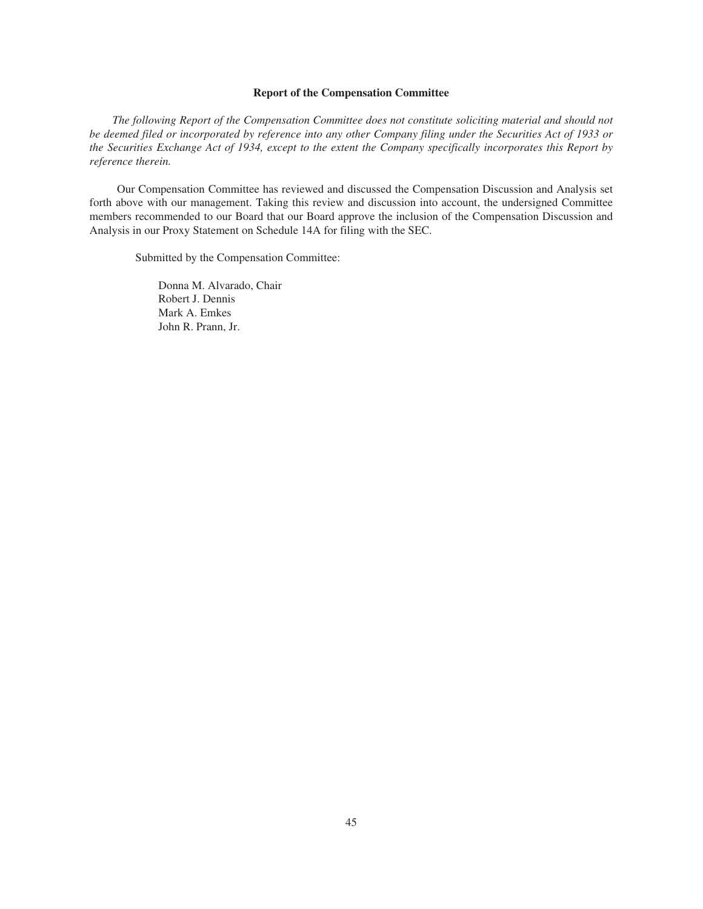## **Report of the Compensation Committee**

*The following Report of the Compensation Committee does not constitute soliciting material and should not be deemed filed or incorporated by reference into any other Company filing under the Securities Act of 1933 or the Securities Exchange Act of 1934, except to the extent the Company specifically incorporates this Report by reference therein.*

Our Compensation Committee has reviewed and discussed the Compensation Discussion and Analysis set forth above with our management. Taking this review and discussion into account, the undersigned Committee members recommended to our Board that our Board approve the inclusion of the Compensation Discussion and Analysis in our Proxy Statement on Schedule 14A for filing with the SEC.

Submitted by the Compensation Committee:

Donna M. Alvarado, Chair Robert J. Dennis Mark A. Emkes John R. Prann, Jr.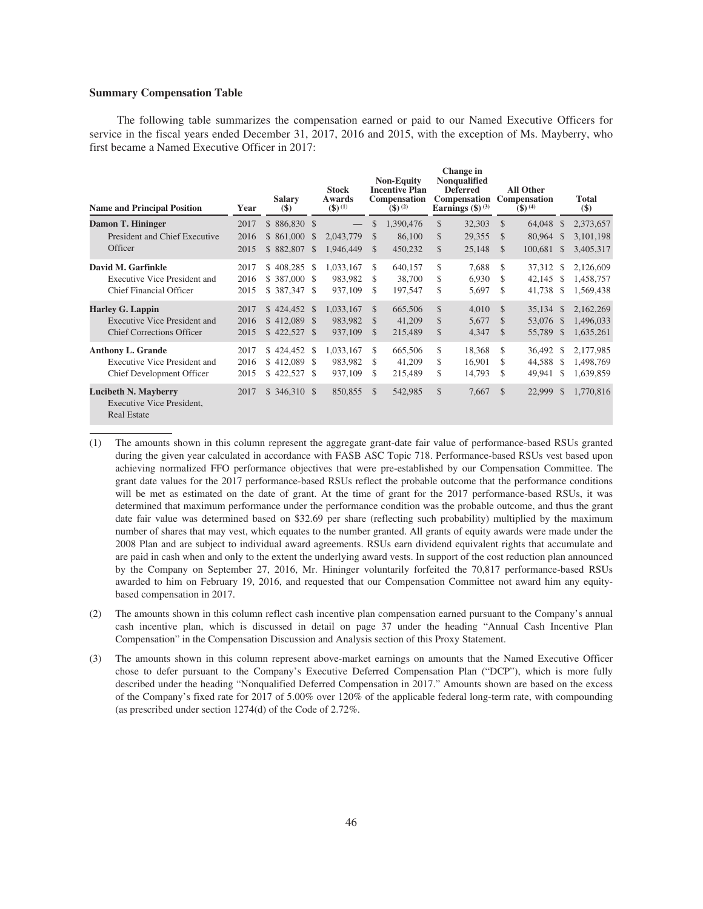## **Summary Compensation Table**

The following table summarizes the compensation earned or paid to our Named Executive Officers for service in the fiscal years ended December 31, 2017, 2016 and 2015, with the exception of Ms. Mayberry, who first became a Named Executive Officer in 2017:

| <b>Name and Principal Position</b>                                                                 | Year                 | <b>Salary</b><br>$(\$)$                     |                             | <b>Stock</b><br>Awards<br>$($ \$) $^{(1)}$ |                                                 | <b>Non-Equity</b><br><b>Incentive Plan</b><br><b>Compensation</b><br>$($ \$) $^{(2)}$ |                | Change in<br><b>Nonqualified</b><br><b>Deferred</b><br>Earnings $(\text{$\$})^{(3)}$ |                                                 | <b>All Other</b><br><b>Compensation Compensation</b><br>$($ \$) $^{(4)}$ |                       | <b>Total</b><br>\$)                 |
|----------------------------------------------------------------------------------------------------|----------------------|---------------------------------------------|-----------------------------|--------------------------------------------|-------------------------------------------------|---------------------------------------------------------------------------------------|----------------|--------------------------------------------------------------------------------------|-------------------------------------------------|--------------------------------------------------------------------------|-----------------------|-------------------------------------|
| Damon T. Hininger                                                                                  | 2017                 | $$86,830$ \$                                |                             |                                            | <sup>\$</sup>                                   | 1,390,476                                                                             | \$             | 32,303                                                                               | $\mathcal{S}$                                   | 64,048                                                                   | <sup>\$</sup>         | 2,373,657                           |
| President and Chief Executive                                                                      | 2016                 | \$861,000                                   | \$                          | 2,043,779                                  | <sup>\$</sup>                                   | 86,100                                                                                | \$             | 29,355                                                                               | $\mathcal{S}$                                   | 80,964                                                                   | <sup>\$</sup>         | 3,101,198                           |
| Officer                                                                                            | 2015                 | \$882,807                                   | <sup>\$</sup>               | 1,946,449                                  | <sup>\$</sup>                                   | 450,232                                                                               | \$             | 25,148                                                                               | $\mathcal{S}$                                   | 100,681                                                                  | - \$                  | 3,405,317                           |
| David M. Garfinkle<br><b>Executive Vice President and</b><br><b>Chief Financial Officer</b>        | 2017<br>2016<br>2015 | \$408,285<br>\$387,000<br>\$387,347         | <sup>\$</sup><br>- \$<br>-S | 1.033.167<br>983.982<br>937,109            | S.<br>\$.<br>\$.                                | 640,157<br>38,700<br>197.547                                                          | \$<br>\$<br>\$ | 7,688<br>6,930<br>5,697                                                              | \$.<br>\$.<br>\$                                | 37.312 \$<br>42,145<br>41,738                                            | - \$<br><sup>\$</sup> | 2,126,609<br>1,458,757<br>1,569,438 |
| <b>Harley G. Lappin</b><br><b>Executive Vice President and</b><br><b>Chief Corrections Officer</b> | 2017<br>2016<br>2015 | $$424,452$ \$<br>$$412,089$ \$<br>\$422,527 | - \$                        | 1,033,167<br>983,982<br>937,109            | $\mathcal{S}$<br><sup>\$</sup><br>$\mathcal{S}$ | 665,506<br>41,209<br>215,489                                                          | \$<br>\$<br>\$ | 4,010<br>5,677<br>4,347                                                              | $\mathcal{S}$<br>$\mathcal{S}$<br>$\mathcal{S}$ | 35,134 \$<br>53,076 \$<br>55,789                                         | - \$                  | 2,162,269<br>1,496,033<br>1,635,261 |
| <b>Anthony L. Grande</b><br><b>Executive Vice President and</b><br>Chief Development Officer       | 2017<br>2016<br>2015 | \$424,452<br>\$412,089<br>\$422,527         | <sup>\$</sup><br>-S<br>- \$ | 1,033,167<br>983,982<br>937,109            | \$<br>\$.<br>\$.                                | 665,506<br>41,209<br>215,489                                                          | \$<br>\$<br>\$ | 18.368<br>16,901<br>14,793                                                           | \$.<br>\$<br>\$                                 | 36,492 \$<br>44,588<br>49,941                                            | -\$<br>-S             | 2.177.985<br>1,498,769<br>1,639,859 |
| <b>Lucibeth N. Mayberry</b><br>Executive Vice President,<br><b>Real Estate</b>                     | 2017                 | $$346,310$ \$                               |                             | 850,855                                    | $\mathcal{S}$                                   | 542,985                                                                               | \$             | 7,667                                                                                | $\mathcal{S}$                                   | 22,999                                                                   | -S                    | 1,770,816                           |

- (1) The amounts shown in this column represent the aggregate grant-date fair value of performance-based RSUs granted during the given year calculated in accordance with FASB ASC Topic 718. Performance-based RSUs vest based upon achieving normalized FFO performance objectives that were pre-established by our Compensation Committee. The grant date values for the 2017 performance-based RSUs reflect the probable outcome that the performance conditions will be met as estimated on the date of grant. At the time of grant for the 2017 performance-based RSUs, it was determined that maximum performance under the performance condition was the probable outcome, and thus the grant date fair value was determined based on \$32.69 per share (reflecting such probability) multiplied by the maximum number of shares that may vest, which equates to the number granted. All grants of equity awards were made under the 2008 Plan and are subject to individual award agreements. RSUs earn dividend equivalent rights that accumulate and are paid in cash when and only to the extent the underlying award vests. In support of the cost reduction plan announced by the Company on September 27, 2016, Mr. Hininger voluntarily forfeited the 70,817 performance-based RSUs awarded to him on February 19, 2016, and requested that our Compensation Committee not award him any equitybased compensation in 2017.
- (2) The amounts shown in this column reflect cash incentive plan compensation earned pursuant to the Company's annual cash incentive plan, which is discussed in detail on page 37 under the heading "Annual Cash Incentive Plan Compensation" in the Compensation Discussion and Analysis section of this Proxy Statement.
- (3) The amounts shown in this column represent above-market earnings on amounts that the Named Executive Officer chose to defer pursuant to the Company's Executive Deferred Compensation Plan ("DCP"), which is more fully described under the heading "Nonqualified Deferred Compensation in 2017." Amounts shown are based on the excess of the Company's fixed rate for 2017 of 5.00% over 120% of the applicable federal long-term rate, with compounding (as prescribed under section 1274(d) of the Code of 2.72%.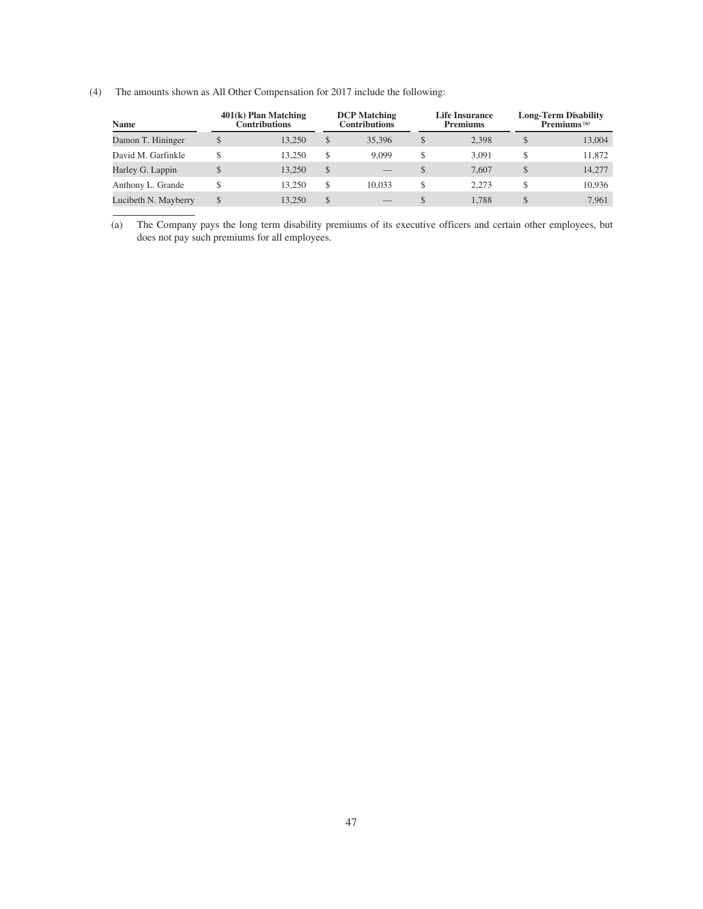(4) The amounts shown as All Other Compensation for 2017 include the following:

| <b>Name</b>          |    | $401(k)$ Plan Matching<br>Contributions |    | <b>DCP</b> Matching<br><b>Contributions</b> |    | Life Insurance<br><b>Premiums</b> | Long-Term Disability<br>Premiums <sup>(a)</sup> |
|----------------------|----|-----------------------------------------|----|---------------------------------------------|----|-----------------------------------|-------------------------------------------------|
| Damon T. Hininger    | \$ | 13.250                                  | S  | 35,396                                      | S  | 2.398                             | \$<br>13,004                                    |
| David M. Garfinkle   | S  | 13.250                                  | \$ | 9.099                                       | \$ | 3.091                             | \$<br>11.872                                    |
| Harley G. Lappin     | \$ | 13.250                                  | \$ |                                             | S  | 7.607                             | \$<br>14.277                                    |
| Anthony L. Grande    | \$ | 13.250                                  | S  | 10.033                                      | S  | 2.273                             | \$<br>10.936                                    |
| Lucibeth N. Mayberry | \$ | 13.250                                  | \$ |                                             | S. | 1.788                             | \$<br>7.961                                     |

(a) The Company pays the long term disability premiums of its executive officers and certain other employees, but does not pay such premiums for all employees.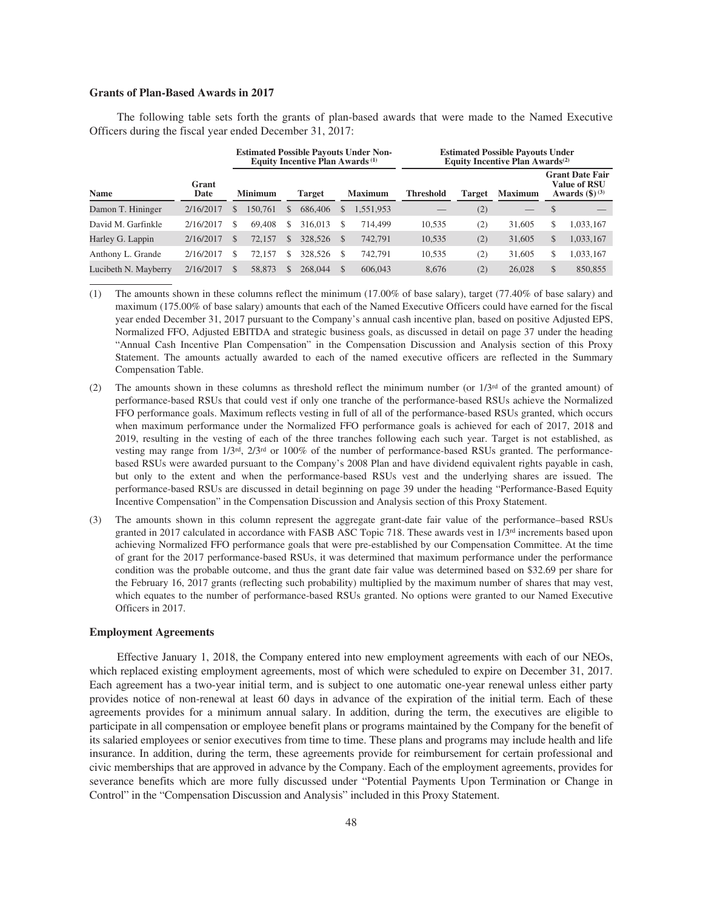## **Grants of Plan-Based Awards in 2017**

The following table sets forth the grants of plan-based awards that were made to the Named Executive Officers during the fiscal year ended December 31, 2017:

|                      |               |   |                |   | Equity Incentive Plan Awards <sup>(1)</sup> |               | <b>Estimated Possible Payouts Under Non-</b> |                  | <b>Estimated Possible Payouts Under</b><br>Equity Incentive Plan Awards <sup>(2)</sup> |                |               |                                                                   |  |
|----------------------|---------------|---|----------------|---|---------------------------------------------|---------------|----------------------------------------------|------------------|----------------------------------------------------------------------------------------|----------------|---------------|-------------------------------------------------------------------|--|
| <b>Name</b>          | Grant<br>Date |   | <b>Minimum</b> |   | <b>Target</b>                               |               | <b>Maximum</b>                               | <b>Threshold</b> | Target                                                                                 | <b>Maximum</b> |               | <b>Grant Date Fair</b><br>Value of RSU<br><b>Awards</b> $(\$)(3)$ |  |
| Damon T. Hininger    | 2/16/2017     |   | 150,761        |   | 686,406                                     | S             | .551,953                                     |                  | (2)                                                                                    |                | $\mathcal{S}$ |                                                                   |  |
| David M. Garfinkle   | 2/16/2017     | S | 69.408         | S | 316,013                                     | S             | 714,499                                      | 10.535           | $\left( 2\right)$                                                                      | 31,605         | S             | 1,033,167                                                         |  |
| Harley G. Lappin     | 2/16/2017     | S | 72.157         | S | 328,526                                     | <sup>\$</sup> | 742,791                                      | 10,535           | (2)                                                                                    | 31,605         | \$            | 1,033,167                                                         |  |
| Anthony L. Grande    | 2/16/2017     |   | 72.157         |   | 328,526                                     | S             | 742,791                                      | 10,535           | (2)                                                                                    | 31,605         | \$            | 1,033,167                                                         |  |
| Lucibeth N. Mayberry | 2/16/2017     | S | 58.873         |   | 268,044                                     | $\mathbb{S}$  | 606,043                                      | 8.676            | (2)                                                                                    | 26,028         | \$            | 850,855                                                           |  |

(1) The amounts shown in these columns reflect the minimum (17.00% of base salary), target (77.40% of base salary) and maximum (175.00% of base salary) amounts that each of the Named Executive Officers could have earned for the fiscal year ended December 31, 2017 pursuant to the Company's annual cash incentive plan, based on positive Adjusted EPS, Normalized FFO, Adjusted EBITDA and strategic business goals, as discussed in detail on page 37 under the heading "Annual Cash Incentive Plan Compensation" in the Compensation Discussion and Analysis section of this Proxy Statement. The amounts actually awarded to each of the named executive officers are reflected in the Summary Compensation Table.

- (2) The amounts shown in these columns as threshold reflect the minimum number (or  $1/3^{rd}$  of the granted amount) of performance-based RSUs that could vest if only one tranche of the performance-based RSUs achieve the Normalized FFO performance goals. Maximum reflects vesting in full of all of the performance-based RSUs granted, which occurs when maximum performance under the Normalized FFO performance goals is achieved for each of 2017, 2018 and 2019, resulting in the vesting of each of the three tranches following each such year. Target is not established, as vesting may range from 1/3rd, 2/3rd or 100% of the number of performance-based RSUs granted. The performancebased RSUs were awarded pursuant to the Company's 2008 Plan and have dividend equivalent rights payable in cash, but only to the extent and when the performance-based RSUs vest and the underlying shares are issued. The performance-based RSUs are discussed in detail beginning on page 39 under the heading "Performance-Based Equity Incentive Compensation" in the Compensation Discussion and Analysis section of this Proxy Statement.
- (3) The amounts shown in this column represent the aggregate grant-date fair value of the performance–based RSUs granted in 2017 calculated in accordance with FASB ASC Topic 718. These awards vest in 1/3rd increments based upon achieving Normalized FFO performance goals that were pre-established by our Compensation Committee. At the time of grant for the 2017 performance-based RSUs, it was determined that maximum performance under the performance condition was the probable outcome, and thus the grant date fair value was determined based on \$32.69 per share for the February 16, 2017 grants (reflecting such probability) multiplied by the maximum number of shares that may vest, which equates to the number of performance-based RSUs granted. No options were granted to our Named Executive Officers in 2017.

#### **Employment Agreements**

Effective January 1, 2018, the Company entered into new employment agreements with each of our NEOs, which replaced existing employment agreements, most of which were scheduled to expire on December 31, 2017. Each agreement has a two-year initial term, and is subject to one automatic one-year renewal unless either party provides notice of non-renewal at least 60 days in advance of the expiration of the initial term. Each of these agreements provides for a minimum annual salary. In addition, during the term, the executives are eligible to participate in all compensation or employee benefit plans or programs maintained by the Company for the benefit of its salaried employees or senior executives from time to time. These plans and programs may include health and life insurance. In addition, during the term, these agreements provide for reimbursement for certain professional and civic memberships that are approved in advance by the Company. Each of the employment agreements, provides for severance benefits which are more fully discussed under "Potential Payments Upon Termination or Change in Control" in the "Compensation Discussion and Analysis" included in this Proxy Statement.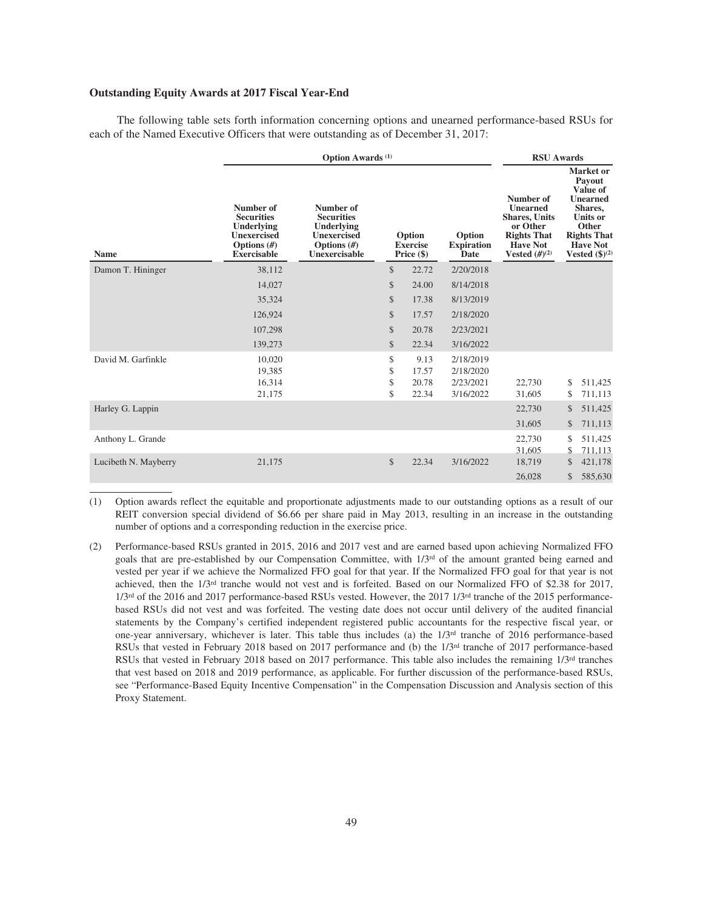## **Outstanding Equity Awards at 2017 Fiscal Year-End**

The following table sets forth information concerning options and unearned performance-based RSUs for each of the Named Executive Officers that were outstanding as of December 31, 2017:

|                      |                                                                                                           | Option Awards <sup>(1)</sup>                                                                         |                      |                                         |                                                  |                                                                                                                              |          |                                                                                                                                                                  |
|----------------------|-----------------------------------------------------------------------------------------------------------|------------------------------------------------------------------------------------------------------|----------------------|-----------------------------------------|--------------------------------------------------|------------------------------------------------------------------------------------------------------------------------------|----------|------------------------------------------------------------------------------------------------------------------------------------------------------------------|
| <b>Name</b>          | Number of<br><b>Securities</b><br>Underlying<br><b>Unexercised</b><br>Options $(H)$<br><b>Exercisable</b> | Number of<br><b>Securities</b><br>Underlying<br><b>Unexercised</b><br>Options $(H)$<br>Unexercisable |                      | Option<br><b>Exercise</b><br>Price (\$) | Option<br><b>Expiration</b><br>Date              | Number of<br><b>Unearned</b><br><b>Shares, Units</b><br>or Other<br><b>Rights That</b><br><b>Have Not</b><br>Vested $(H)(2)$ |          | <b>Market</b> or<br>Payout<br>Value of<br><b>Unearned</b><br>Shares,<br><b>Units or</b><br>Other<br><b>Rights That</b><br><b>Have Not</b><br>Vested $(\$)^{(2)}$ |
| Damon T. Hininger    | 38,112                                                                                                    |                                                                                                      | $\mathcal{S}$        | 22.72                                   | 2/20/2018                                        |                                                                                                                              |          |                                                                                                                                                                  |
|                      | 14,027                                                                                                    |                                                                                                      | \$                   | 24.00                                   | 8/14/2018                                        |                                                                                                                              |          |                                                                                                                                                                  |
|                      | 35,324                                                                                                    |                                                                                                      | \$                   | 17.38                                   | 8/13/2019                                        |                                                                                                                              |          |                                                                                                                                                                  |
|                      | 126,924                                                                                                   |                                                                                                      | \$                   | 17.57                                   | 2/18/2020                                        |                                                                                                                              |          |                                                                                                                                                                  |
|                      | 107,298                                                                                                   |                                                                                                      | \$                   | 20.78                                   | 2/23/2021                                        |                                                                                                                              |          |                                                                                                                                                                  |
|                      | 139,273                                                                                                   |                                                                                                      | \$                   | 22.34                                   | 3/16/2022                                        |                                                                                                                              |          |                                                                                                                                                                  |
| David M. Garfinkle   | 10,020<br>19,385<br>16,314<br>21,175                                                                      |                                                                                                      | \$<br>\$<br>\$<br>\$ | 9.13<br>17.57<br>20.78<br>22.34         | 2/18/2019<br>2/18/2020<br>2/23/2021<br>3/16/2022 | 22,730<br>31,605                                                                                                             | \$<br>\$ | 511,425<br>711,113                                                                                                                                               |
| Harley G. Lappin     |                                                                                                           |                                                                                                      |                      |                                         |                                                  | 22,730                                                                                                                       | \$       | 511,425                                                                                                                                                          |
|                      |                                                                                                           |                                                                                                      |                      |                                         |                                                  | 31,605                                                                                                                       | \$       | 711,113                                                                                                                                                          |
| Anthony L. Grande    |                                                                                                           |                                                                                                      |                      |                                         |                                                  | 22,730<br>31,605                                                                                                             | \$<br>\$ | 511,425<br>711,113                                                                                                                                               |
| Lucibeth N. Mayberry | 21,175                                                                                                    |                                                                                                      | \$                   | 22.34                                   | 3/16/2022                                        | 18,719                                                                                                                       | \$       | 421,178                                                                                                                                                          |
|                      |                                                                                                           |                                                                                                      |                      |                                         |                                                  | 26,028                                                                                                                       | \$       | 585,630                                                                                                                                                          |

(1) Option awards reflect the equitable and proportionate adjustments made to our outstanding options as a result of our REIT conversion special dividend of \$6.66 per share paid in May 2013, resulting in an increase in the outstanding number of options and a corresponding reduction in the exercise price.

(2) Performance-based RSUs granted in 2015, 2016 and 2017 vest and are earned based upon achieving Normalized FFO goals that are pre-established by our Compensation Committee, with  $1/3<sup>rd</sup>$  of the amount granted being earned and vested per year if we achieve the Normalized FFO goal for that year. If the Normalized FFO goal for that year is not achieved, then the 1/3rd tranche would not vest and is forfeited. Based on our Normalized FFO of \$2.38 for 2017,  $1/3<sup>rd</sup>$  of the 2016 and 2017 performance-based RSUs vested. However, the 2017 1/3<sup>rd</sup> tranche of the 2015 performancebased RSUs did not vest and was forfeited. The vesting date does not occur until delivery of the audited financial statements by the Company's certified independent registered public accountants for the respective fiscal year, or one-year anniversary, whichever is later. This table thus includes (a) the 1/3rd tranche of 2016 performance-based RSUs that vested in February 2018 based on 2017 performance and (b) the 1/3rd tranche of 2017 performance-based RSUs that vested in February 2018 based on 2017 performance. This table also includes the remaining 1/3rd tranches that vest based on 2018 and 2019 performance, as applicable. For further discussion of the performance-based RSUs, see "Performance-Based Equity Incentive Compensation" in the Compensation Discussion and Analysis section of this Proxy Statement.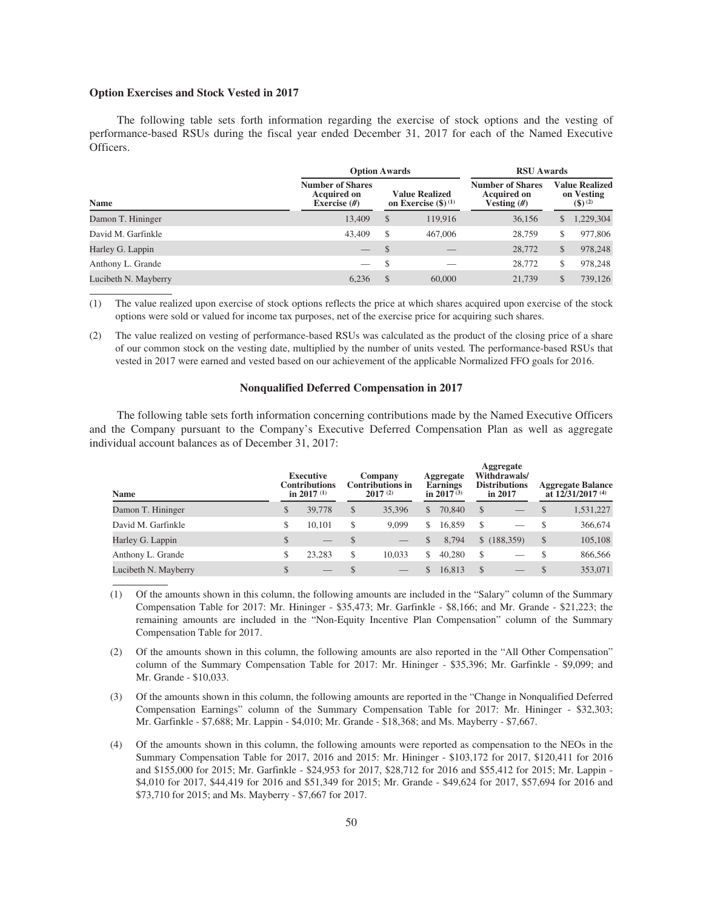## **Option Exercises and Stock Vested in 2017**

The following table sets forth information regarding the exercise of stock options and the vesting of performance-based RSUs during the fiscal year ended December 31, 2017 for each of the Named Executive Officers.

|                               |                                                                 | <b>Option Awards</b>                            |         |                                                         |                                                         |           |  |  |
|-------------------------------|-----------------------------------------------------------------|-------------------------------------------------|---------|---------------------------------------------------------|---------------------------------------------------------|-----------|--|--|
| $\mathbf{a}$ .<br><b>Name</b> | <b>Number of Shares</b><br><b>Acquired on</b><br>Exercise $(H)$ | <b>Value Realized</b><br>on Exercise $(\$)$ (1) |         | <b>Number of Shares</b><br>Acquired on<br>Vesting $(H)$ | <b>Value Realized</b><br>on Vesting<br>$($ \$) $^{(2)}$ |           |  |  |
| Damon T. Hininger             | 13,409                                                          | $\mathcal{S}$                                   | 119,916 | 36,156                                                  | \$                                                      | 1,229,304 |  |  |
| David M. Garfinkle            | 43,409                                                          | <sup>\$</sup>                                   | 467,006 | 28,759                                                  | S                                                       | 977,806   |  |  |
| Harley G. Lappin              |                                                                 | $\mathcal{S}$                                   |         | 28,772                                                  | \$                                                      | 978,248   |  |  |
| Anthony L. Grande             |                                                                 | <sup>\$</sup>                                   |         | 28,772                                                  | \$                                                      | 978,248   |  |  |
| Lucibeth N. Mayberry          | 6.236                                                           | $\mathcal{S}$                                   | 60,000  | 21,739                                                  | \$                                                      | 739,126   |  |  |

(1) The value realized upon exercise of stock options reflects the price at which shares acquired upon exercise of the stock options were sold or valued for income tax purposes, net of the exercise price for acquiring such shares.

(2) The value realized on vesting of performance-based RSUs was calculated as the product of the closing price of a share of our common stock on the vesting date, multiplied by the number of units vested*.* The performance-based RSUs that vested in 2017 were earned and vested based on our achievement of the applicable Normalized FFO goals for 2016.

## **Nonqualified Deferred Compensation in 2017**

The following table sets forth information concerning contributions made by the Named Executive Officers and the Company pursuant to the Company's Executive Deferred Compensation Plan as well as aggregate individual account balances as of December 31, 2017:

| <b>Name</b>          |              | <b>Executive</b><br><b>Contributions</b><br>in 2017 $(1)$ | Company<br><b>Contributions in</b><br>2017(2) |     | Aggregate<br>Earnings<br>in $2017^{(3)}$ |               | Aggregate<br>Withdrawals/<br><b>Distributions</b><br>in 2017 |               | <b>Aggregate Balance</b><br>at $12/31/2017$ <sup>(4)</sup> |
|----------------------|--------------|-----------------------------------------------------------|-----------------------------------------------|-----|------------------------------------------|---------------|--------------------------------------------------------------|---------------|------------------------------------------------------------|
| Damon T. Hininger    | \$           | 39,778                                                    | \$<br>35,396                                  | \$. | 70,840                                   | \$            |                                                              | <sup>\$</sup> | 1,531,227                                                  |
| David M. Garfinkle   | S            | 10.101                                                    | \$<br>9,099                                   | S.  | 16.859                                   | S             |                                                              |               | 366,674                                                    |
| Harley G. Lappin     | \$           |                                                           | \$                                            | \$  | 8.794                                    |               | \$(188,359)                                                  | \$            | 105,108                                                    |
| Anthony L. Grande    | \$           | 23.283                                                    | \$<br>10.033                                  | S   | 40,280                                   | \$.           |                                                              |               | 866,566                                                    |
| Lucibeth N. Mayberry | $\mathbb{S}$ |                                                           |                                               | \$  | 16.813                                   | <sup>\$</sup> |                                                              |               | 353,071                                                    |

(1) Of the amounts shown in this column, the following amounts are included in the "Salary" column of the Summary Compensation Table for 2017: Mr. Hininger - \$35,473; Mr. Garfinkle - \$8,166; and Mr. Grande - \$21,223; the remaining amounts are included in the "Non-Equity Incentive Plan Compensation" column of the Summary Compensation Table for 2017.

(2) Of the amounts shown in this column, the following amounts are also reported in the "All Other Compensation" column of the Summary Compensation Table for 2017: Mr. Hininger - \$35,396; Mr. Garfinkle - \$9,099; and Mr. Grande - \$10,033.

(3) Of the amounts shown in this column, the following amounts are reported in the "Change in Nonqualified Deferred Compensation Earnings" column of the Summary Compensation Table for 2017: Mr. Hininger - \$32,303; Mr. Garfinkle - \$7,688; Mr. Lappin - \$4,010; Mr. Grande - \$18,368; and Ms. Mayberry - \$7,667.

(4) Of the amounts shown in this column, the following amounts were reported as compensation to the NEOs in the Summary Compensation Table for 2017, 2016 and 2015: Mr. Hininger - \$103,172 for 2017, \$120,411 for 2016 and \$155,000 for 2015; Mr. Garfinkle - \$24,953 for 2017, \$28,712 for 2016 and \$55,412 for 2015; Mr. Lappin - \$4,010 for 2017, \$44,419 for 2016 and \$51,349 for 2015; Mr. Grande - \$49,624 for 2017, \$57,694 for 2016 and \$73,710 for 2015; and Ms. Mayberry - \$7,667 for 2017.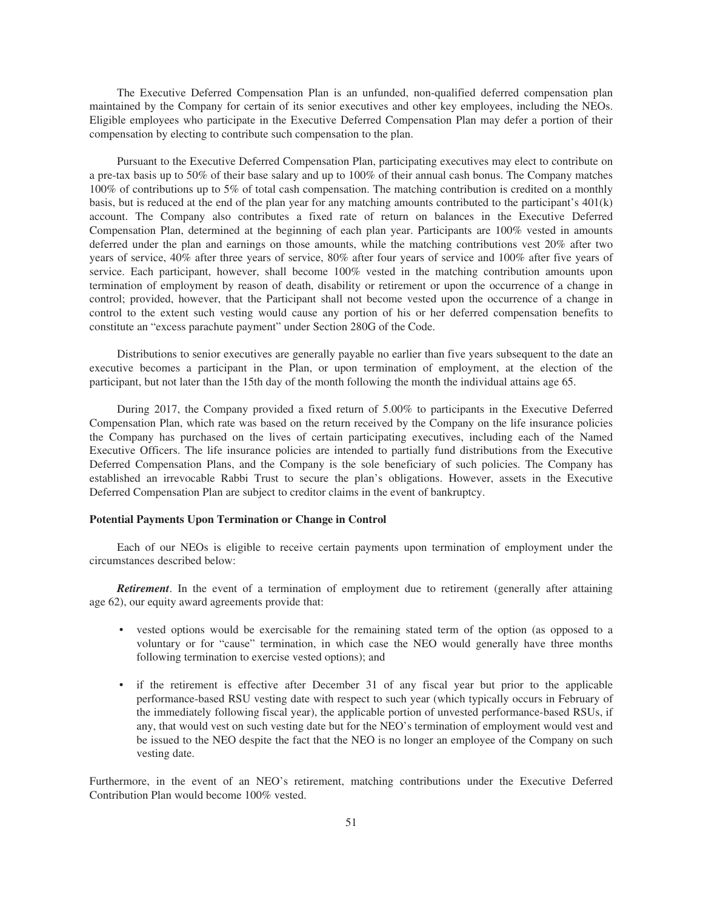The Executive Deferred Compensation Plan is an unfunded, non-qualified deferred compensation plan maintained by the Company for certain of its senior executives and other key employees, including the NEOs. Eligible employees who participate in the Executive Deferred Compensation Plan may defer a portion of their compensation by electing to contribute such compensation to the plan.

Pursuant to the Executive Deferred Compensation Plan, participating executives may elect to contribute on a pre-tax basis up to 50% of their base salary and up to 100% of their annual cash bonus. The Company matches 100% of contributions up to 5% of total cash compensation. The matching contribution is credited on a monthly basis, but is reduced at the end of the plan year for any matching amounts contributed to the participant's 401(k) account. The Company also contributes a fixed rate of return on balances in the Executive Deferred Compensation Plan, determined at the beginning of each plan year. Participants are 100% vested in amounts deferred under the plan and earnings on those amounts, while the matching contributions vest 20% after two years of service, 40% after three years of service, 80% after four years of service and 100% after five years of service. Each participant, however, shall become 100% vested in the matching contribution amounts upon termination of employment by reason of death, disability or retirement or upon the occurrence of a change in control; provided, however, that the Participant shall not become vested upon the occurrence of a change in control to the extent such vesting would cause any portion of his or her deferred compensation benefits to constitute an "excess parachute payment" under Section 280G of the Code.

Distributions to senior executives are generally payable no earlier than five years subsequent to the date an executive becomes a participant in the Plan, or upon termination of employment, at the election of the participant, but not later than the 15th day of the month following the month the individual attains age 65.

During 2017, the Company provided a fixed return of 5.00% to participants in the Executive Deferred Compensation Plan, which rate was based on the return received by the Company on the life insurance policies the Company has purchased on the lives of certain participating executives, including each of the Named Executive Officers. The life insurance policies are intended to partially fund distributions from the Executive Deferred Compensation Plans, and the Company is the sole beneficiary of such policies. The Company has established an irrevocable Rabbi Trust to secure the plan's obligations. However, assets in the Executive Deferred Compensation Plan are subject to creditor claims in the event of bankruptcy.

## **Potential Payments Upon Termination or Change in Control**

Each of our NEOs is eligible to receive certain payments upon termination of employment under the circumstances described below:

*Retirement*. In the event of a termination of employment due to retirement (generally after attaining age 62), our equity award agreements provide that:

- vested options would be exercisable for the remaining stated term of the option (as opposed to a voluntary or for "cause" termination, in which case the NEO would generally have three months following termination to exercise vested options); and
- if the retirement is effective after December 31 of any fiscal year but prior to the applicable performance-based RSU vesting date with respect to such year (which typically occurs in February of the immediately following fiscal year), the applicable portion of unvested performance-based RSUs, if any, that would vest on such vesting date but for the NEO's termination of employment would vest and be issued to the NEO despite the fact that the NEO is no longer an employee of the Company on such vesting date.

Furthermore, in the event of an NEO's retirement, matching contributions under the Executive Deferred Contribution Plan would become 100% vested.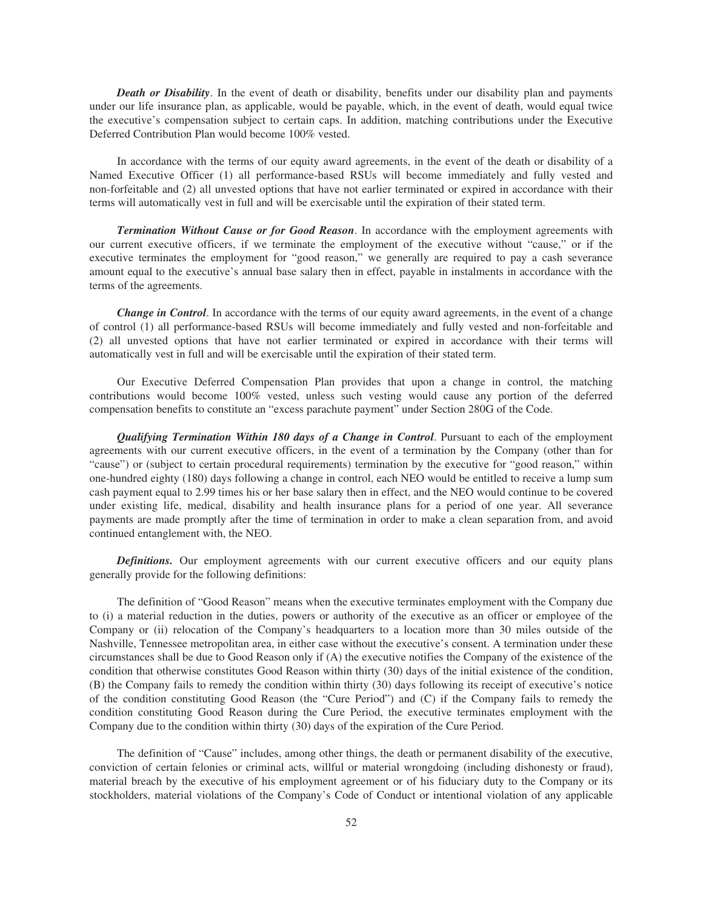*Death or Disability*. In the event of death or disability, benefits under our disability plan and payments under our life insurance plan, as applicable, would be payable, which, in the event of death, would equal twice the executive's compensation subject to certain caps. In addition, matching contributions under the Executive Deferred Contribution Plan would become 100% vested.

In accordance with the terms of our equity award agreements, in the event of the death or disability of a Named Executive Officer (1) all performance-based RSUs will become immediately and fully vested and non-forfeitable and (2) all unvested options that have not earlier terminated or expired in accordance with their terms will automatically vest in full and will be exercisable until the expiration of their stated term.

*Termination Without Cause or for Good Reason*. In accordance with the employment agreements with our current executive officers, if we terminate the employment of the executive without "cause," or if the executive terminates the employment for "good reason," we generally are required to pay a cash severance amount equal to the executive's annual base salary then in effect, payable in instalments in accordance with the terms of the agreements.

*Change in Control*. In accordance with the terms of our equity award agreements, in the event of a change of control (1) all performance-based RSUs will become immediately and fully vested and non-forfeitable and (2) all unvested options that have not earlier terminated or expired in accordance with their terms will automatically vest in full and will be exercisable until the expiration of their stated term.

Our Executive Deferred Compensation Plan provides that upon a change in control, the matching contributions would become 100% vested, unless such vesting would cause any portion of the deferred compensation benefits to constitute an "excess parachute payment" under Section 280G of the Code.

*Qualifying Termination Within 180 days of a Change in Control*. Pursuant to each of the employment agreements with our current executive officers, in the event of a termination by the Company (other than for "cause") or (subject to certain procedural requirements) termination by the executive for "good reason," within one-hundred eighty (180) days following a change in control, each NEO would be entitled to receive a lump sum cash payment equal to 2.99 times his or her base salary then in effect, and the NEO would continue to be covered under existing life, medical, disability and health insurance plans for a period of one year. All severance payments are made promptly after the time of termination in order to make a clean separation from, and avoid continued entanglement with, the NEO.

**Definitions.** Our employment agreements with our current executive officers and our equity plans generally provide for the following definitions:

The definition of "Good Reason" means when the executive terminates employment with the Company due to (i) a material reduction in the duties, powers or authority of the executive as an officer or employee of the Company or (ii) relocation of the Company's headquarters to a location more than 30 miles outside of the Nashville, Tennessee metropolitan area, in either case without the executive's consent. A termination under these circumstances shall be due to Good Reason only if (A) the executive notifies the Company of the existence of the condition that otherwise constitutes Good Reason within thirty (30) days of the initial existence of the condition, (B) the Company fails to remedy the condition within thirty (30) days following its receipt of executive's notice of the condition constituting Good Reason (the "Cure Period") and (C) if the Company fails to remedy the condition constituting Good Reason during the Cure Period, the executive terminates employment with the Company due to the condition within thirty (30) days of the expiration of the Cure Period.

The definition of "Cause" includes, among other things, the death or permanent disability of the executive, conviction of certain felonies or criminal acts, willful or material wrongdoing (including dishonesty or fraud), material breach by the executive of his employment agreement or of his fiduciary duty to the Company or its stockholders, material violations of the Company's Code of Conduct or intentional violation of any applicable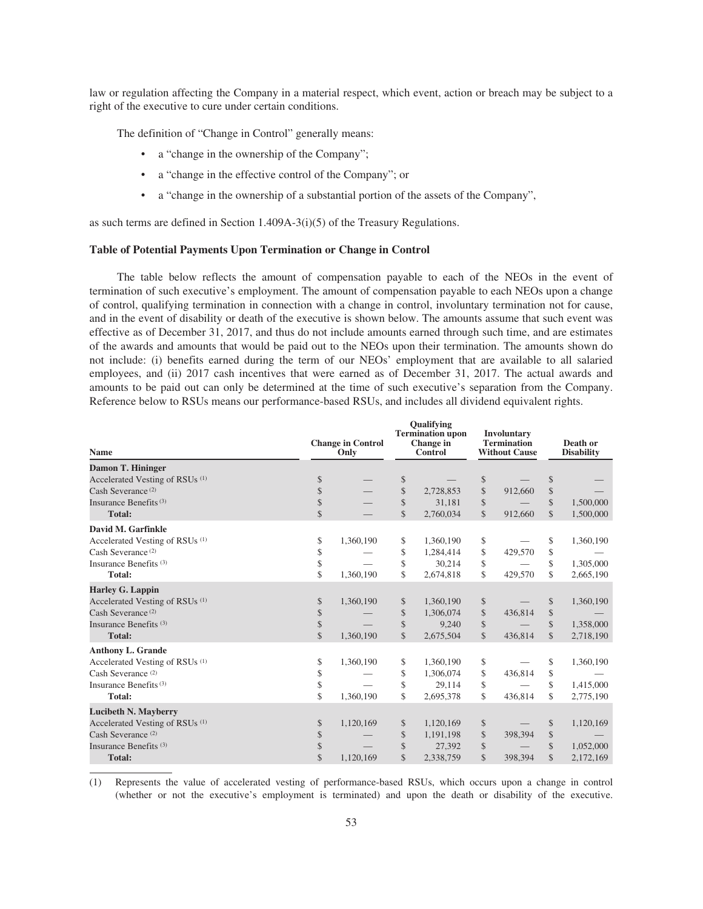law or regulation affecting the Company in a material respect, which event, action or breach may be subject to a right of the executive to cure under certain conditions.

The definition of "Change in Control" generally means:

- a "change in the ownership of the Company";
- a "change in the effective control of the Company"; or
- a "change in the ownership of a substantial portion of the assets of the Company",

as such terms are defined in Section 1.409A-3(i)(5) of the Treasury Regulations.

## **Table of Potential Payments Upon Termination or Change in Control**

The table below reflects the amount of compensation payable to each of the NEOs in the event of termination of such executive's employment. The amount of compensation payable to each NEOs upon a change of control, qualifying termination in connection with a change in control, involuntary termination not for cause, and in the event of disability or death of the executive is shown below. The amounts assume that such event was effective as of December 31, 2017, and thus do not include amounts earned through such time, and are estimates of the awards and amounts that would be paid out to the NEOs upon their termination. The amounts shown do not include: (i) benefits earned during the term of our NEOs' employment that are available to all salaried employees, and (ii) 2017 cash incentives that were earned as of December 31, 2017. The actual awards and amounts to be paid out can only be determined at the time of such executive's separation from the Company. Reference below to RSUs means our performance-based RSUs, and includes all dividend equivalent rights.

| <b>Name</b>                                            |                          | <b>Change in Control</b><br>Only |               | <b>Oualifying</b><br><b>Termination</b> upon<br>Change in<br>Control |               | <b>Involuntary</b><br><b>Termination</b><br><b>Without Cause</b> |               | Death or<br><b>Disability</b> |
|--------------------------------------------------------|--------------------------|----------------------------------|---------------|----------------------------------------------------------------------|---------------|------------------------------------------------------------------|---------------|-------------------------------|
| <b>Damon T. Hininger</b>                               |                          |                                  |               |                                                                      |               |                                                                  |               |                               |
| Accelerated Vesting of RSUs <sup>(1)</sup>             | \$                       |                                  | \$            |                                                                      | $\,$          |                                                                  | \$            |                               |
| Cash Severance <sup>(2)</sup>                          | \$                       |                                  | \$            | 2,728,853                                                            | \$            | 912,660                                                          | \$            |                               |
| Insurance Benefits <sup>(3)</sup>                      | \$                       |                                  | $\mathcal{S}$ | 31,181                                                               | \$            |                                                                  | \$            | 1,500,000                     |
| <b>Total:</b>                                          | \$                       |                                  | $\mathcal{S}$ | 2,760,034                                                            | $\mathcal{S}$ | 912,660                                                          | $\mathcal{S}$ | 1,500,000                     |
| David M. Garfinkle                                     |                          |                                  |               |                                                                      |               |                                                                  |               |                               |
| Accelerated Vesting of RSUs <sup>(1)</sup>             | \$                       | 1,360,190                        | \$            | 1,360,190                                                            | \$            |                                                                  | \$            | 1,360,190                     |
| Cash Severance <sup>(2)</sup>                          | \$                       |                                  | \$            | 1,284,414                                                            | \$            | 429,570                                                          | \$            |                               |
| Insurance Benefits <sup>(3)</sup>                      | \$                       |                                  | \$            | 30,214                                                               | \$            |                                                                  | \$            | 1,305,000                     |
| <b>Total:</b>                                          | \$                       | 1,360,190                        | \$            | 2,674,818                                                            | \$            | 429,570                                                          | \$            | 2,665,190                     |
| <b>Harley G. Lappin</b>                                |                          |                                  |               |                                                                      |               |                                                                  |               |                               |
| Accelerated Vesting of RSUs <sup>(1)</sup>             | \$                       | 1,360,190                        | \$            | 1,360,190                                                            | \$            |                                                                  | \$            | 1,360,190                     |
| Cash Severance <sup>(2)</sup>                          | \$                       |                                  | \$            | 1,306,074                                                            | \$            | 436,814                                                          | \$            |                               |
| Insurance Benefits <sup>(3)</sup>                      | \$                       |                                  | \$            | 9,240                                                                | \$            |                                                                  | \$            | 1,358,000                     |
| <b>Total:</b>                                          | $\overline{\mathcal{S}}$ | 1,360,190                        | \$            | 2,675,504                                                            | \$            | 436,814                                                          | \$            | 2,718,190                     |
| <b>Anthony L. Grande</b>                               |                          |                                  |               |                                                                      |               |                                                                  |               |                               |
| Accelerated Vesting of RSUs <sup>(1)</sup>             | \$                       | 1,360,190                        | \$            | 1,360,190                                                            | \$            |                                                                  | \$            | 1,360,190                     |
| Cash Severance <sup>(2)</sup>                          | \$                       |                                  | \$            | 1,306,074                                                            | \$            | 436,814                                                          | \$            |                               |
| Insurance Benefits <sup>(3)</sup>                      | \$                       |                                  | \$            | 29,114                                                               | \$            |                                                                  | \$            | 1,415,000                     |
| <b>Total:</b>                                          | \$                       | 1,360,190                        | \$            | 2,695,378                                                            | \$            | 436,814                                                          | \$            | 2,775,190                     |
| <b>Lucibeth N. Mayberry</b>                            |                          |                                  |               |                                                                      |               |                                                                  |               |                               |
| Accelerated Vesting of RSU <sub>s</sub> <sup>(1)</sup> | \$                       | 1,120,169                        | \$            | 1,120,169                                                            | \$            |                                                                  | \$            | 1,120,169                     |
| Cash Severance <sup>(2)</sup>                          | \$                       |                                  | \$            | 1,191,198                                                            | \$            | 398,394                                                          | \$            |                               |
| Insurance Benefits <sup>(3)</sup>                      | \$                       |                                  | \$            | 27,392                                                               | \$            |                                                                  | \$            | 1,052,000                     |
| <b>Total:</b>                                          | \$                       | 1,120,169                        | \$            | 2,338,759                                                            | \$            | 398,394                                                          | \$            | 2,172,169                     |
|                                                        |                          |                                  |               |                                                                      |               |                                                                  |               |                               |

(1) Represents the value of accelerated vesting of performance-based RSUs, which occurs upon a change in control (whether or not the executive's employment is terminated) and upon the death or disability of the executive.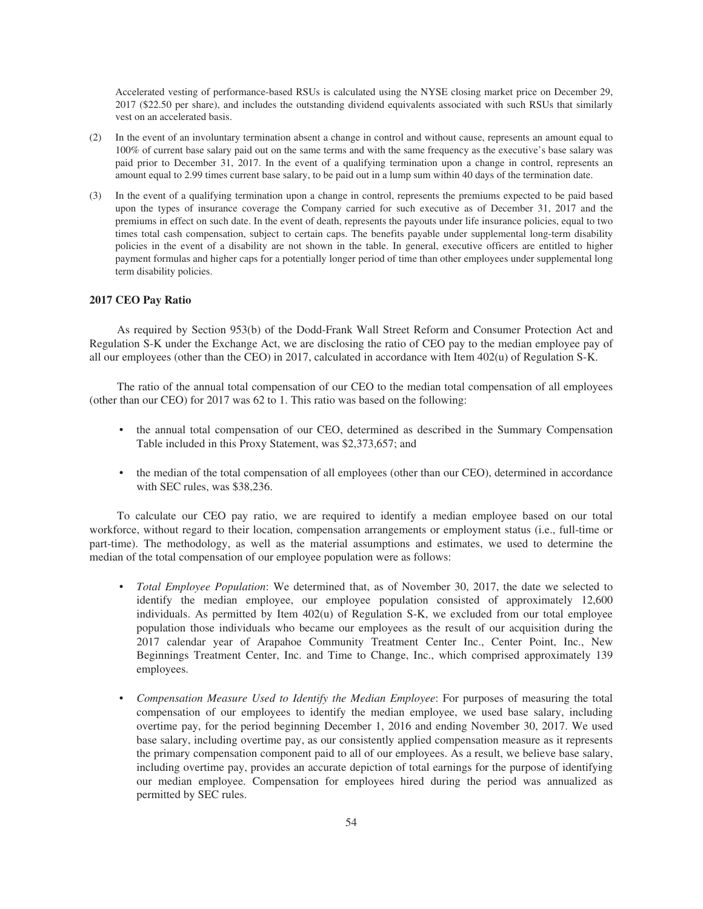Accelerated vesting of performance-based RSUs is calculated using the NYSE closing market price on December 29, 2017 (\$22.50 per share), and includes the outstanding dividend equivalents associated with such RSUs that similarly vest on an accelerated basis.

- (2) In the event of an involuntary termination absent a change in control and without cause, represents an amount equal to 100% of current base salary paid out on the same terms and with the same frequency as the executive's base salary was paid prior to December 31, 2017. In the event of a qualifying termination upon a change in control, represents an amount equal to 2.99 times current base salary, to be paid out in a lump sum within 40 days of the termination date.
- (3) In the event of a qualifying termination upon a change in control, represents the premiums expected to be paid based upon the types of insurance coverage the Company carried for such executive as of December 31, 2017 and the premiums in effect on such date. In the event of death, represents the payouts under life insurance policies, equal to two times total cash compensation, subject to certain caps. The benefits payable under supplemental long-term disability policies in the event of a disability are not shown in the table. In general, executive officers are entitled to higher payment formulas and higher caps for a potentially longer period of time than other employees under supplemental long term disability policies.

## **2017 CEO Pay Ratio**

As required by Section 953(b) of the Dodd-Frank Wall Street Reform and Consumer Protection Act and Regulation S-K under the Exchange Act, we are disclosing the ratio of CEO pay to the median employee pay of all our employees (other than the CEO) in 2017, calculated in accordance with Item 402(u) of Regulation S-K.

The ratio of the annual total compensation of our CEO to the median total compensation of all employees (other than our CEO) for 2017 was 62 to 1. This ratio was based on the following:

- the annual total compensation of our CEO, determined as described in the Summary Compensation Table included in this Proxy Statement, was \$2,373,657; and
- the median of the total compensation of all employees (other than our CEO), determined in accordance with SEC rules, was \$38,236.

To calculate our CEO pay ratio, we are required to identify a median employee based on our total workforce, without regard to their location, compensation arrangements or employment status (i.e., full-time or part-time). The methodology, as well as the material assumptions and estimates, we used to determine the median of the total compensation of our employee population were as follows:

- *Total Employee Population*: We determined that, as of November 30, 2017, the date we selected to identify the median employee, our employee population consisted of approximately 12,600 individuals. As permitted by Item 402(u) of Regulation S-K, we excluded from our total employee population those individuals who became our employees as the result of our acquisition during the 2017 calendar year of Arapahoe Community Treatment Center Inc., Center Point, Inc., New Beginnings Treatment Center, Inc. and Time to Change, Inc., which comprised approximately 139 employees.
- *Compensation Measure Used to Identify the Median Employee*: For purposes of measuring the total compensation of our employees to identify the median employee, we used base salary, including overtime pay, for the period beginning December 1, 2016 and ending November 30, 2017. We used base salary, including overtime pay, as our consistently applied compensation measure as it represents the primary compensation component paid to all of our employees. As a result, we believe base salary, including overtime pay, provides an accurate depiction of total earnings for the purpose of identifying our median employee. Compensation for employees hired during the period was annualized as permitted by SEC rules.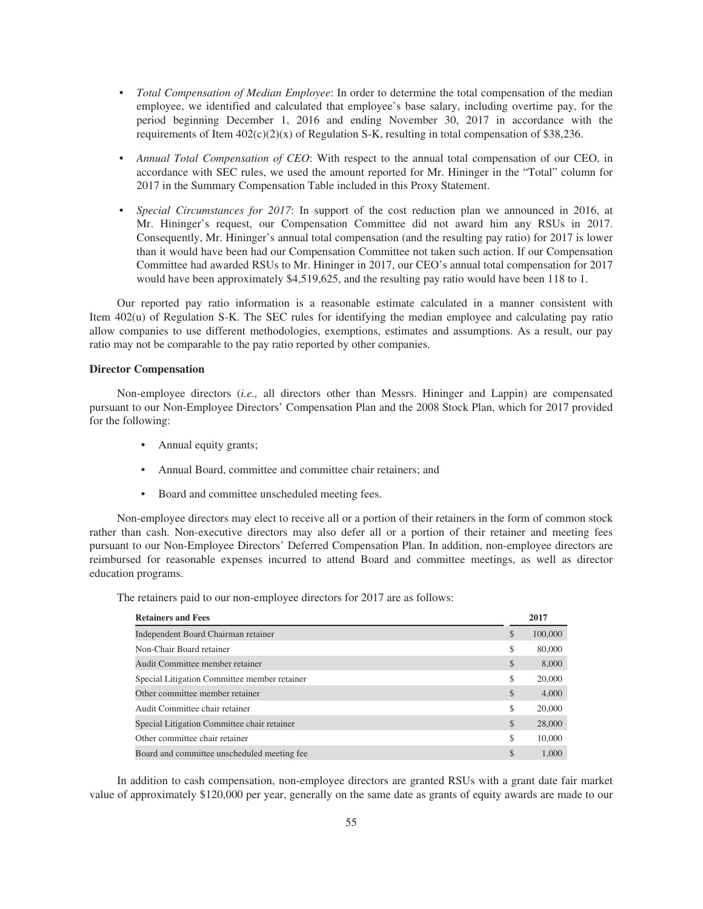- *Total Compensation of Median Employee*: In order to determine the total compensation of the median employee, we identified and calculated that employee's base salary, including overtime pay, for the period beginning December 1, 2016 and ending November 30, 2017 in accordance with the requirements of Item  $402(c)(2)(x)$  of Regulation S-K, resulting in total compensation of \$38,236.
- *Annual Total Compensation of CEO*: With respect to the annual total compensation of our CEO, in accordance with SEC rules, we used the amount reported for Mr. Hininger in the "Total" column for 2017 in the Summary Compensation Table included in this Proxy Statement.
- *Special Circumstances for 2017*: In support of the cost reduction plan we announced in 2016, at Mr. Hininger's request, our Compensation Committee did not award him any RSUs in 2017. Consequently, Mr. Hininger's annual total compensation (and the resulting pay ratio) for 2017 is lower than it would have been had our Compensation Committee not taken such action. If our Compensation Committee had awarded RSUs to Mr. Hininger in 2017, our CEO's annual total compensation for 2017 would have been approximately \$4,519,625, and the resulting pay ratio would have been 118 to 1.

Our reported pay ratio information is a reasonable estimate calculated in a manner consistent with Item 402(u) of Regulation S-K. The SEC rules for identifying the median employee and calculating pay ratio allow companies to use different methodologies, exemptions, estimates and assumptions. As a result, our pay ratio may not be comparable to the pay ratio reported by other companies.

#### **Director Compensation**

Non-employee directors (*i.e.,* all directors other than Messrs. Hininger and Lappin) are compensated pursuant to our Non-Employee Directors' Compensation Plan and the 2008 Stock Plan, which for 2017 provided for the following:

- Annual equity grants;
- Annual Board, committee and committee chair retainers; and
- Board and committee unscheduled meeting fees.

Non-employee directors may elect to receive all or a portion of their retainers in the form of common stock rather than cash. Non-executive directors may also defer all or a portion of their retainer and meeting fees pursuant to our Non-Employee Directors' Deferred Compensation Plan. In addition, non-employee directors are reimbursed for reasonable expenses incurred to attend Board and committee meetings, as well as director education programs.

The retainers paid to our non-employee directors for 2017 are as follows:

| <b>Retainers and Fees</b>                    | 2017          |
|----------------------------------------------|---------------|
| Independent Board Chairman retainer          | \$<br>100,000 |
| Non-Chair Board retainer                     | \$<br>80,000  |
| Audit Committee member retainer              | \$<br>8,000   |
| Special Litigation Committee member retainer | \$<br>20,000  |
| Other committee member retainer              | \$<br>4,000   |
| Audit Committee chair retainer               | \$<br>20,000  |
| Special Litigation Committee chair retainer  | \$<br>28,000  |
| Other committee chair retainer               | \$<br>10,000  |
| Board and committee unscheduled meeting fee  | \$<br>1.000   |

In addition to cash compensation, non-employee directors are granted RSUs with a grant date fair market value of approximately \$120,000 per year, generally on the same date as grants of equity awards are made to our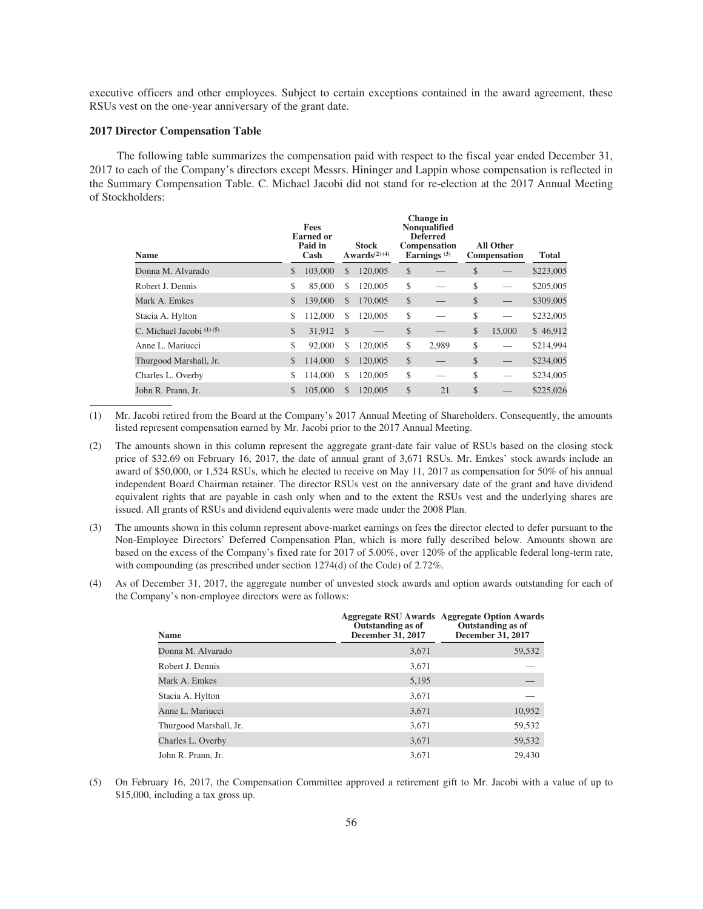executive officers and other employees. Subject to certain exceptions contained in the award agreement, these RSUs vest on the one-year anniversary of the grant date.

## **2017 Director Compensation Table**

The following table summarizes the compensation paid with respect to the fiscal year ended December 31, 2017 to each of the Company's directors except Messrs. Hininger and Lappin whose compensation is reflected in the Summary Compensation Table. C. Michael Jacobi did not stand for re-election at the 2017 Annual Meeting of Stockholders:

| <b>Name</b>                |              | Fees<br><b>Earned or</b><br>Paid in<br>Cash |               | <b>Stock</b><br>Awards $(2)$ $(4)$ |              | Change in<br>Nonqualified<br><b>Deferred</b><br><b>Compensation</b><br>Earnings $(3)$ |               | <b>All Other</b><br>Compensation | <b>Total</b> |
|----------------------------|--------------|---------------------------------------------|---------------|------------------------------------|--------------|---------------------------------------------------------------------------------------|---------------|----------------------------------|--------------|
| Donna M. Alvarado          | \$           | 103,000                                     | <sup>\$</sup> | 120,005                            | $\mathbb{S}$ |                                                                                       | \$            |                                  | \$223,005    |
| Robert J. Dennis           | \$           | 85,000                                      | \$.           | 120,005                            | \$           |                                                                                       | \$            |                                  | \$205,005    |
| Mark A. Emkes              | \$           | 139,000                                     | <sup>\$</sup> | 170,005                            | \$           |                                                                                       | \$            |                                  | \$309,005    |
| Stacia A. Hylton           | \$           | 112,000                                     | S.            | 120,005                            | \$           |                                                                                       | \$            |                                  | \$232,005    |
| C. Michael Jacobi $(1)(5)$ | $\mathbb{S}$ | 31,912                                      | - \$          |                                    | \$           |                                                                                       | $\mathcal{S}$ | 15,000                           | \$46,912     |
| Anne L. Mariucci           | \$           | 92,000                                      | \$.           | 120,005                            | \$           | 2,989                                                                                 | \$            |                                  | \$214,994    |
| Thurgood Marshall, Jr.     | \$           | 114,000                                     | <sup>\$</sup> | 120,005                            | \$           |                                                                                       | \$            |                                  | \$234,005    |
| Charles L. Overby          | \$           | 114,000                                     | S             | 120,005                            | \$           |                                                                                       | \$            |                                  | \$234,005    |
| John R. Prann, Jr.         | \$           | 105,000                                     | S             | 120,005                            | \$           | 21                                                                                    | \$            |                                  | \$225,026    |

(1) Mr. Jacobi retired from the Board at the Company's 2017 Annual Meeting of Shareholders. Consequently, the amounts listed represent compensation earned by Mr. Jacobi prior to the 2017 Annual Meeting.

- (2) The amounts shown in this column represent the aggregate grant-date fair value of RSUs based on the closing stock price of \$32.69 on February 16, 2017, the date of annual grant of 3,671 RSUs. Mr. Emkes' stock awards include an award of \$50,000, or 1,524 RSUs, which he elected to receive on May 11, 2017 as compensation for 50% of his annual independent Board Chairman retainer. The director RSUs vest on the anniversary date of the grant and have dividend equivalent rights that are payable in cash only when and to the extent the RSUs vest and the underlying shares are issued. All grants of RSUs and dividend equivalents were made under the 2008 Plan.
- (3) The amounts shown in this column represent above-market earnings on fees the director elected to defer pursuant to the Non-Employee Directors' Deferred Compensation Plan, which is more fully described below. Amounts shown are based on the excess of the Company's fixed rate for 2017 of 5.00%, over 120% of the applicable federal long-term rate, with compounding (as prescribed under section 1274(d) of the Code) of 2.72%.
- (4) As of December 31, 2017, the aggregate number of unvested stock awards and option awards outstanding for each of the Company's non-employee directors were as follows:

| Name                   | Outstanding as of<br>December 31, 2017 | <b>Aggregate RSU Awards Aggregate Option Awards</b><br>Outstanding as of<br>December 31, 2017 |
|------------------------|----------------------------------------|-----------------------------------------------------------------------------------------------|
| Donna M. Alvarado      | 3,671                                  | 59,532                                                                                        |
| Robert J. Dennis       | 3,671                                  |                                                                                               |
| Mark A. Emkes          | 5,195                                  |                                                                                               |
| Stacia A. Hylton       | 3,671                                  |                                                                                               |
| Anne L. Mariucci       | 3,671                                  | 10,952                                                                                        |
| Thurgood Marshall, Jr. | 3,671                                  | 59,532                                                                                        |
| Charles L. Overby      | 3,671                                  | 59,532                                                                                        |
| John R. Prann, Jr.     | 3.671                                  | 29.430                                                                                        |

(5) On February 16, 2017, the Compensation Committee approved a retirement gift to Mr. Jacobi with a value of up to \$15,000, including a tax gross up.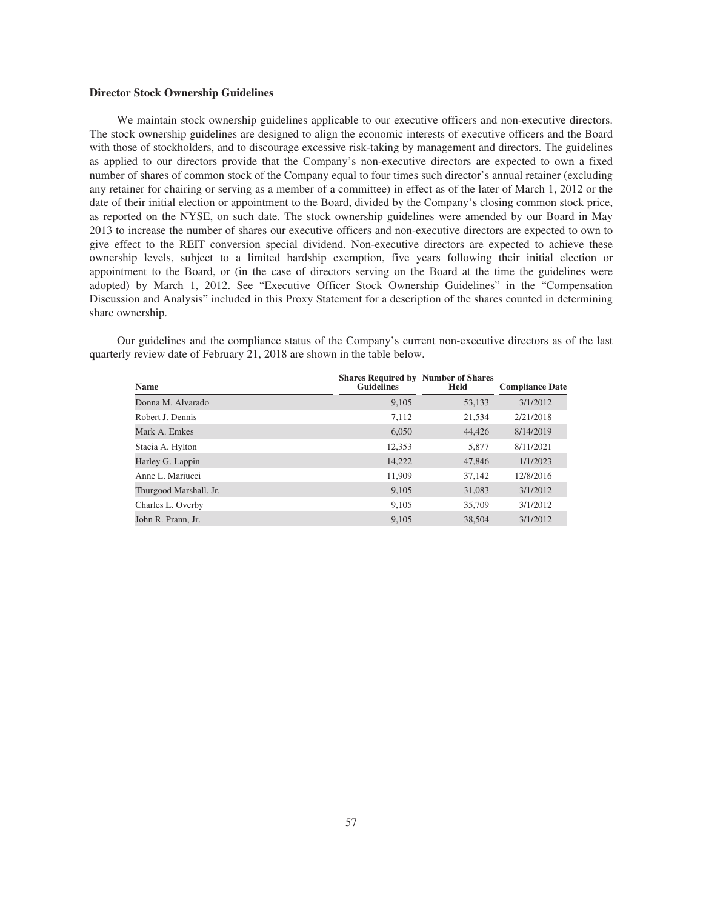## **Director Stock Ownership Guidelines**

We maintain stock ownership guidelines applicable to our executive officers and non-executive directors. The stock ownership guidelines are designed to align the economic interests of executive officers and the Board with those of stockholders, and to discourage excessive risk-taking by management and directors. The guidelines as applied to our directors provide that the Company's non-executive directors are expected to own a fixed number of shares of common stock of the Company equal to four times such director's annual retainer (excluding any retainer for chairing or serving as a member of a committee) in effect as of the later of March 1, 2012 or the date of their initial election or appointment to the Board, divided by the Company's closing common stock price, as reported on the NYSE, on such date. The stock ownership guidelines were amended by our Board in May 2013 to increase the number of shares our executive officers and non-executive directors are expected to own to give effect to the REIT conversion special dividend. Non-executive directors are expected to achieve these ownership levels, subject to a limited hardship exemption, five years following their initial election or appointment to the Board, or (in the case of directors serving on the Board at the time the guidelines were adopted) by March 1, 2012. See "Executive Officer Stock Ownership Guidelines" in the "Compensation Discussion and Analysis" included in this Proxy Statement for a description of the shares counted in determining share ownership.

Our guidelines and the compliance status of the Company's current non-executive directors as of the last quarterly review date of February 21, 2018 are shown in the table below.

| <b>Name</b>            | <b>Shares Required by Number of Shares</b><br><b>Guidelines</b> | Held   | <b>Compliance Date</b> |
|------------------------|-----------------------------------------------------------------|--------|------------------------|
| Donna M. Alvarado      | 9,105                                                           | 53,133 | 3/1/2012               |
| Robert J. Dennis       | 7,112                                                           | 21,534 | 2/21/2018              |
| Mark A. Emkes          | 6,050                                                           | 44,426 | 8/14/2019              |
| Stacia A. Hylton       | 12,353                                                          | 5,877  | 8/11/2021              |
| Harley G. Lappin       | 14,222                                                          | 47,846 | 1/1/2023               |
| Anne L. Mariucci       | 11,909                                                          | 37,142 | 12/8/2016              |
| Thurgood Marshall, Jr. | 9,105                                                           | 31,083 | 3/1/2012               |
| Charles L. Overby      | 9,105                                                           | 35,709 | 3/1/2012               |
| John R. Prann. Jr.     | 9.105                                                           | 38,504 | 3/1/2012               |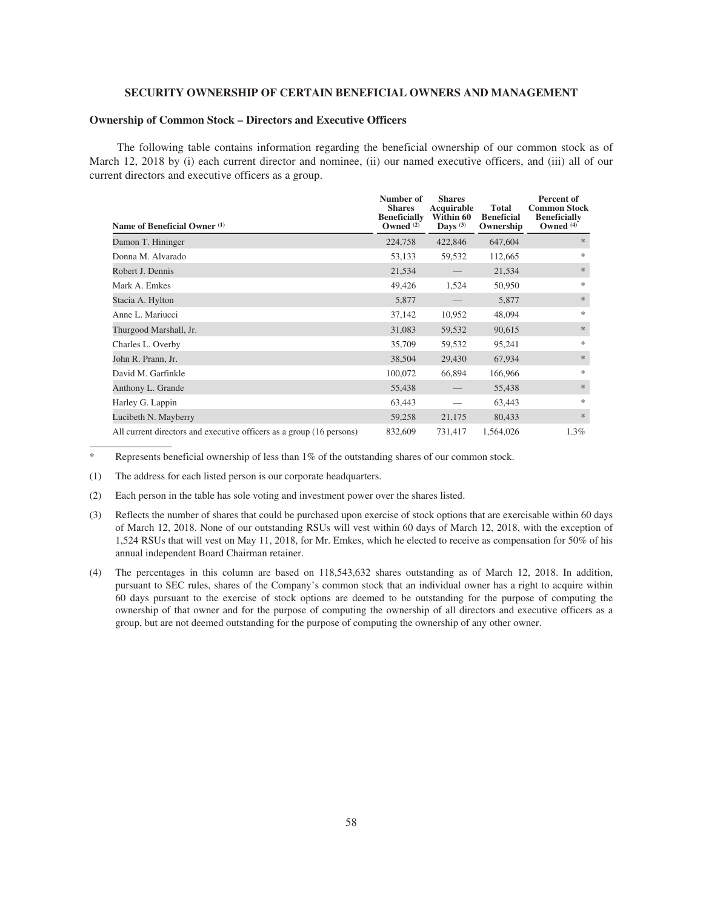## **SECURITY OWNERSHIP OF CERTAIN BENEFICIAL OWNERS AND MANAGEMENT**

## **Ownership of Common Stock – Directors and Executive Officers**

The following table contains information regarding the beneficial ownership of our common stock as of March 12, 2018 by (i) each current director and nominee, (ii) our named executive officers, and (iii) all of our current directors and executive officers as a group.

| Name of Beneficial Owner (1)                                         | Number of<br><b>Shares</b><br><b>Beneficially</b><br>Owned $(2)$ | <b>Shares</b><br>Acquirable<br>Within 60<br>Days $(3)$ | <b>Total</b><br><b>Beneficial</b><br>Ownership | Percent of<br><b>Common Stock</b><br><b>Beneficially</b><br>Owned $(4)$ |
|----------------------------------------------------------------------|------------------------------------------------------------------|--------------------------------------------------------|------------------------------------------------|-------------------------------------------------------------------------|
| Damon T. Hininger                                                    | 224,758                                                          | 422,846                                                | 647,604                                        | $*$                                                                     |
| Donna M. Alvarado                                                    | 53,133                                                           | 59,532                                                 | 112,665                                        | 水                                                                       |
| Robert J. Dennis                                                     | 21,534                                                           |                                                        | 21,534                                         | $\frac{1}{2}$                                                           |
| Mark A. Emkes                                                        | 49,426                                                           | 1,524                                                  | 50,950                                         | *                                                                       |
| Stacia A. Hylton                                                     | 5,877                                                            |                                                        | 5,877                                          | $\frac{1}{2}$                                                           |
| Anne L. Mariucci                                                     | 37,142                                                           | 10,952                                                 | 48,094                                         | *                                                                       |
| Thurgood Marshall, Jr.                                               | 31,083                                                           | 59,532                                                 | 90,615                                         | $\frac{1}{2}$                                                           |
| Charles L. Overby                                                    | 35,709                                                           | 59,532                                                 | 95,241                                         | $\frac{1}{2}$                                                           |
| John R. Prann, Jr.                                                   | 38,504                                                           | 29,430                                                 | 67,934                                         | $\frac{1}{2}$                                                           |
| David M. Garfinkle                                                   | 100,072                                                          | 66,894                                                 | 166,966                                        | *                                                                       |
| Anthony L. Grande                                                    | 55,438                                                           |                                                        | 55,438                                         | $\frac{1}{2}$                                                           |
| Harley G. Lappin                                                     | 63,443                                                           |                                                        | 63,443                                         | $\frac{1}{2}$                                                           |
| Lucibeth N. Mayberry                                                 | 59,258                                                           | 21,175                                                 | 80,433                                         | $\frac{1}{2}$                                                           |
| All current directors and executive officers as a group (16 persons) | 832,609                                                          | 731,417                                                | 1,564,026                                      | 1.3%                                                                    |

Represents beneficial ownership of less than 1% of the outstanding shares of our common stock.

(1) The address for each listed person is our corporate headquarters.

(2) Each person in the table has sole voting and investment power over the shares listed.

- (3) Reflects the number of shares that could be purchased upon exercise of stock options that are exercisable within 60 days of March 12, 2018. None of our outstanding RSUs will vest within 60 days of March 12, 2018, with the exception of 1,524 RSUs that will vest on May 11, 2018, for Mr. Emkes, which he elected to receive as compensation for 50% of his annual independent Board Chairman retainer.
- (4) The percentages in this column are based on 118,543,632 shares outstanding as of March 12, 2018. In addition, pursuant to SEC rules, shares of the Company's common stock that an individual owner has a right to acquire within 60 days pursuant to the exercise of stock options are deemed to be outstanding for the purpose of computing the ownership of that owner and for the purpose of computing the ownership of all directors and executive officers as a group, but are not deemed outstanding for the purpose of computing the ownership of any other owner.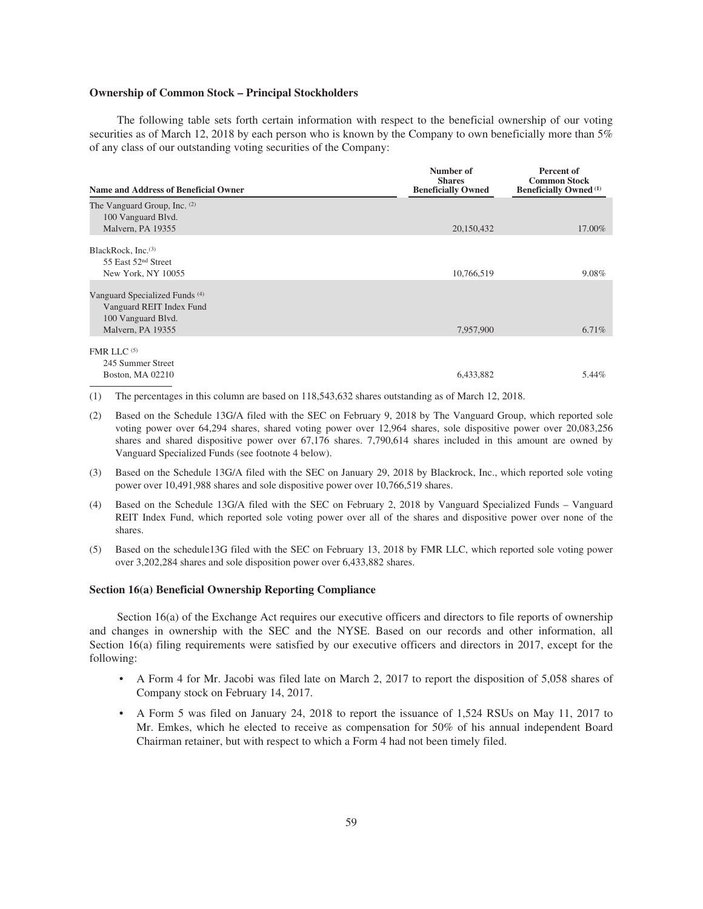## **Ownership of Common Stock – Principal Stockholders**

The following table sets forth certain information with respect to the beneficial ownership of our voting securities as of March 12, 2018 by each person who is known by the Company to own beneficially more than 5% of any class of our outstanding voting securities of the Company:

| <b>Name and Address of Beneficial Owner</b> | Number of<br><b>Shares</b><br><b>Beneficially Owned</b> | Percent of<br><b>Common Stock</b><br><b>Beneficially Owned</b> <sup>(1)</sup> |  |
|---------------------------------------------|---------------------------------------------------------|-------------------------------------------------------------------------------|--|
| The Vanguard Group, Inc. (2)                |                                                         |                                                                               |  |
| 100 Vanguard Blvd.                          |                                                         |                                                                               |  |
| Malvern, PA 19355                           | 20,150,432                                              | 17.00%                                                                        |  |
| BlackRock, Inc. <sup>(3)</sup>              |                                                         |                                                                               |  |
| 55 East 52 <sup>nd</sup> Street             |                                                         |                                                                               |  |
| New York, NY 10055                          | 10,766,519                                              | 9.08%                                                                         |  |
| Vanguard Specialized Funds <sup>(4)</sup>   |                                                         |                                                                               |  |
| Vanguard REIT Index Fund                    |                                                         |                                                                               |  |
| 100 Vanguard Blvd.                          |                                                         |                                                                               |  |
| Malvern, PA 19355                           | 7,957,900                                               | 6.71%                                                                         |  |
| FMR LLC <sup>(5)</sup>                      |                                                         |                                                                               |  |
| 245 Summer Street                           |                                                         |                                                                               |  |
| Boston, MA 02210                            | 6,433,882                                               | 5.44%                                                                         |  |

- (1) The percentages in this column are based on 118,543,632 shares outstanding as of March 12, 2018.
- (2) Based on the Schedule 13G/A filed with the SEC on February 9, 2018 by The Vanguard Group, which reported sole voting power over 64,294 shares, shared voting power over 12,964 shares, sole dispositive power over 20,083,256 shares and shared dispositive power over 67,176 shares. 7,790,614 shares included in this amount are owned by Vanguard Specialized Funds (see footnote 4 below).
- (3) Based on the Schedule 13G/A filed with the SEC on January 29, 2018 by Blackrock, Inc., which reported sole voting power over 10,491,988 shares and sole dispositive power over 10,766,519 shares.
- (4) Based on the Schedule 13G/A filed with the SEC on February 2, 2018 by Vanguard Specialized Funds Vanguard REIT Index Fund, which reported sole voting power over all of the shares and dispositive power over none of the shares.
- (5) Based on the schedule13G filed with the SEC on February 13, 2018 by FMR LLC, which reported sole voting power over 3,202,284 shares and sole disposition power over 6,433,882 shares.

#### **Section 16(a) Beneficial Ownership Reporting Compliance**

Section 16(a) of the Exchange Act requires our executive officers and directors to file reports of ownership and changes in ownership with the SEC and the NYSE. Based on our records and other information, all Section 16(a) filing requirements were satisfied by our executive officers and directors in 2017, except for the following:

- A Form 4 for Mr. Jacobi was filed late on March 2, 2017 to report the disposition of 5,058 shares of Company stock on February 14, 2017.
- A Form 5 was filed on January 24, 2018 to report the issuance of 1,524 RSUs on May 11, 2017 to Mr. Emkes, which he elected to receive as compensation for 50% of his annual independent Board Chairman retainer, but with respect to which a Form 4 had not been timely filed.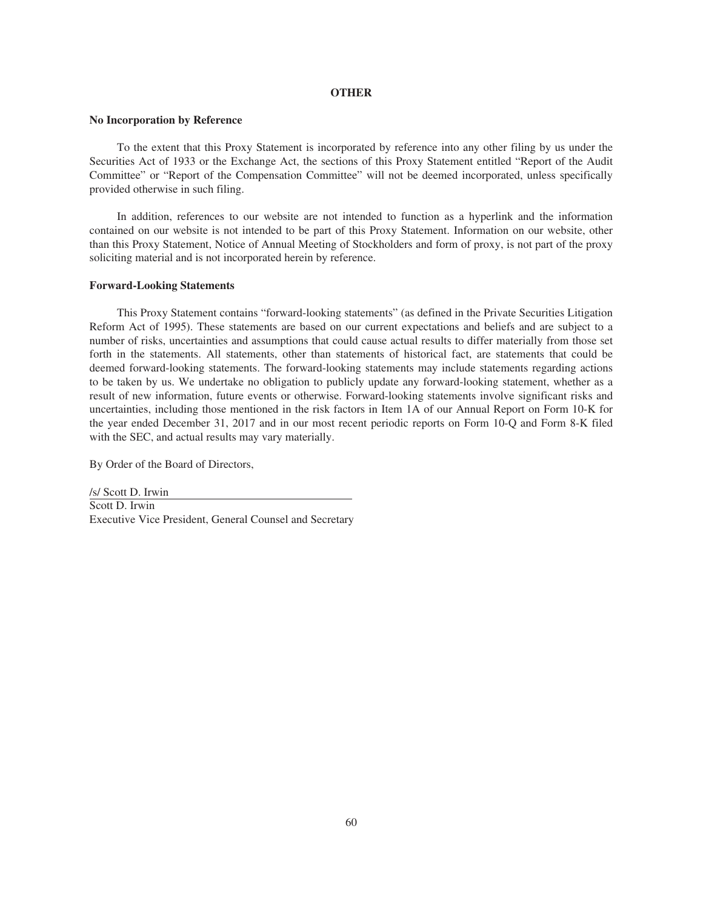#### **OTHER**

### **No Incorporation by Reference**

To the extent that this Proxy Statement is incorporated by reference into any other filing by us under the Securities Act of 1933 or the Exchange Act, the sections of this Proxy Statement entitled "Report of the Audit Committee" or "Report of the Compensation Committee" will not be deemed incorporated, unless specifically provided otherwise in such filing.

In addition, references to our website are not intended to function as a hyperlink and the information contained on our website is not intended to be part of this Proxy Statement. Information on our website, other than this Proxy Statement, Notice of Annual Meeting of Stockholders and form of proxy, is not part of the proxy soliciting material and is not incorporated herein by reference.

## **Forward-Looking Statements**

This Proxy Statement contains "forward-looking statements" (as defined in the Private Securities Litigation Reform Act of 1995). These statements are based on our current expectations and beliefs and are subject to a number of risks, uncertainties and assumptions that could cause actual results to differ materially from those set forth in the statements. All statements, other than statements of historical fact, are statements that could be deemed forward-looking statements. The forward-looking statements may include statements regarding actions to be taken by us. We undertake no obligation to publicly update any forward-looking statement, whether as a result of new information, future events or otherwise. Forward-looking statements involve significant risks and uncertainties, including those mentioned in the risk factors in Item 1A of our Annual Report on Form 10-K for the year ended December 31, 2017 and in our most recent periodic reports on Form 10-Q and Form 8-K filed with the SEC, and actual results may vary materially.

By Order of the Board of Directors,

/s/ Scott D. Irwin Scott D. Irwin Executive Vice President, General Counsel and Secretary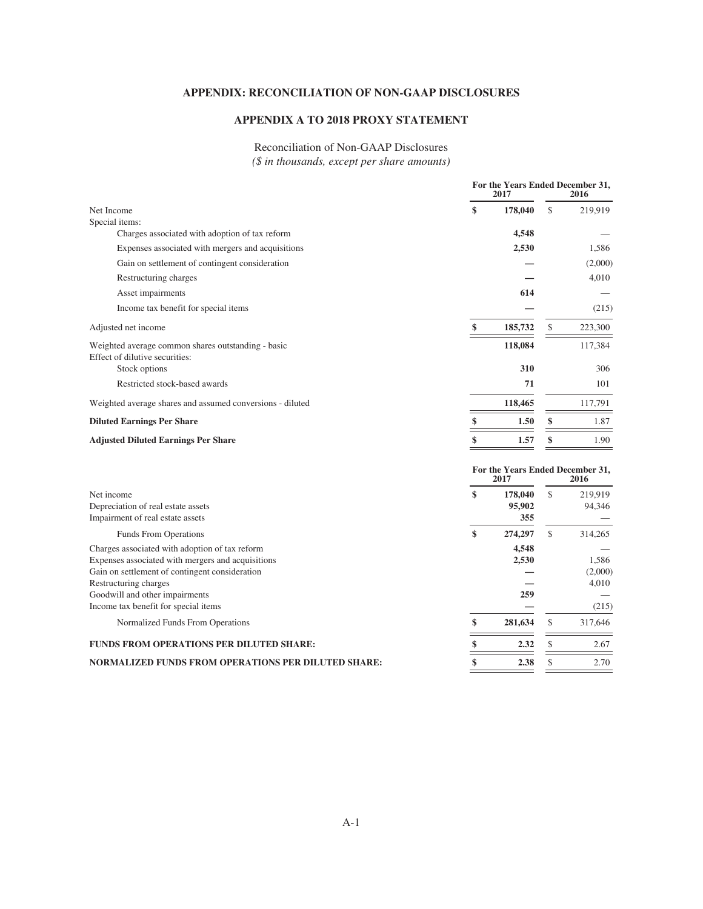# **APPENDIX: RECONCILIATION OF NON-GAAP DISCLOSURES**

# **APPENDIX A TO 2018 PROXY STATEMENT**

# Reconciliation of Non-GAAP Disclosures *(\$ in thousands, except per share amounts)*

|                                                                                                                                                                                                                                                          |    | For the Years Ended December 31,<br>2017<br>2016 |    |                                    |
|----------------------------------------------------------------------------------------------------------------------------------------------------------------------------------------------------------------------------------------------------------|----|--------------------------------------------------|----|------------------------------------|
| Net Income                                                                                                                                                                                                                                               | \$ | 178,040                                          | \$ | 219,919                            |
| Special items:                                                                                                                                                                                                                                           |    |                                                  |    |                                    |
| Charges associated with adoption of tax reform                                                                                                                                                                                                           |    | 4,548                                            |    |                                    |
| Expenses associated with mergers and acquisitions                                                                                                                                                                                                        |    | 2,530                                            |    | 1,586                              |
| Gain on settlement of contingent consideration                                                                                                                                                                                                           |    |                                                  |    | (2,000)                            |
| Restructuring charges                                                                                                                                                                                                                                    |    |                                                  |    | 4,010                              |
| Asset impairments                                                                                                                                                                                                                                        |    | 614                                              |    |                                    |
| Income tax benefit for special items                                                                                                                                                                                                                     |    |                                                  |    | (215)                              |
| Adjusted net income                                                                                                                                                                                                                                      | \$ | 185,732                                          | \$ | 223,300                            |
| Weighted average common shares outstanding - basic<br>Effect of dilutive securities:<br>Stock options                                                                                                                                                    |    | 118,084<br>310                                   |    | 117,384<br>306                     |
|                                                                                                                                                                                                                                                          |    |                                                  |    |                                    |
| Restricted stock-based awards                                                                                                                                                                                                                            |    | 71                                               |    | 101                                |
| Weighted average shares and assumed conversions - diluted                                                                                                                                                                                                |    | 118,465                                          |    | 117,791                            |
| <b>Diluted Earnings Per Share</b>                                                                                                                                                                                                                        | \$ | 1.50                                             | \$ | 1.87                               |
| <b>Adjusted Diluted Earnings Per Share</b>                                                                                                                                                                                                               | \$ | 1.57                                             | \$ | 1.90                               |
|                                                                                                                                                                                                                                                          |    | For the Years Ended December 31,<br>2017         |    | 2016                               |
| Net income<br>Depreciation of real estate assets<br>Impairment of real estate assets                                                                                                                                                                     | \$ | 178,040<br>95,902<br>355                         | \$ | 219,919<br>94,346                  |
| Funds From Operations                                                                                                                                                                                                                                    | \$ | 274,297                                          | \$ | 314,265                            |
| Charges associated with adoption of tax reform<br>Expenses associated with mergers and acquisitions<br>Gain on settlement of contingent consideration<br>Restructuring charges<br>Goodwill and other impairments<br>Income tax benefit for special items |    | 4,548<br>2,530<br>259                            |    | 1.586<br>(2,000)<br>4,010<br>(215) |
| Normalized Funds From Operations                                                                                                                                                                                                                         | \$ | 281,634                                          | \$ | 317,646                            |
| FUNDS FROM OPERATIONS PER DILUTED SHARE:                                                                                                                                                                                                                 | \$ | 2.32                                             | \$ | 2.67                               |
| NORMALIZED FUNDS FROM OPERATIONS PER DILUTED SHARE:                                                                                                                                                                                                      | \$ | 2.38                                             | \$ | 2.70                               |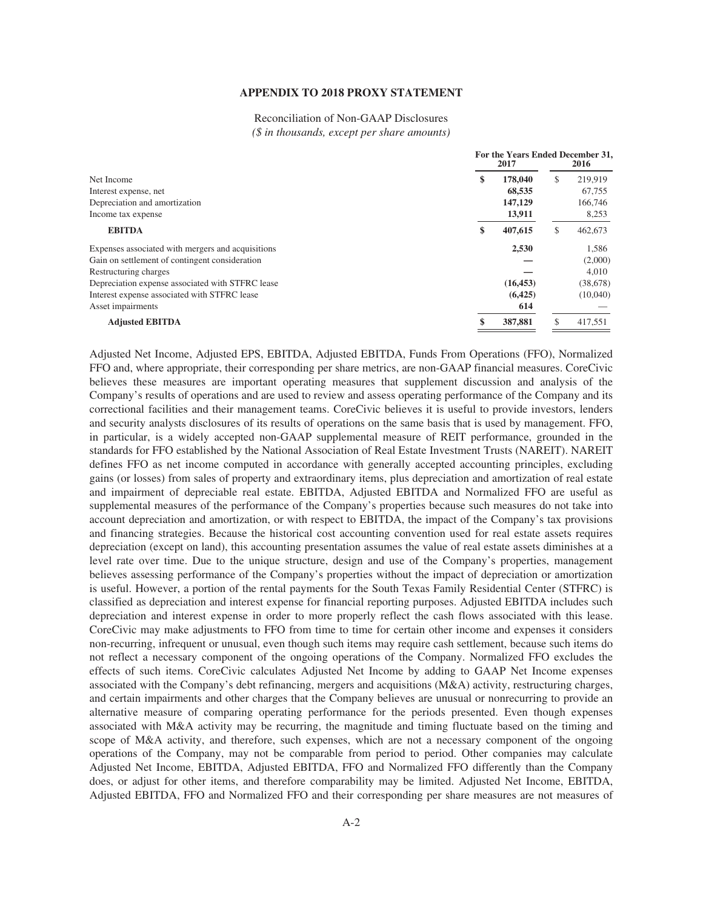## **APPENDIX TO 2018 PROXY STATEMENT**

Reconciliation of Non-GAAP Disclosures *(\$ in thousands, except per share amounts)*

|                                                   | For the Years Ended December 31,<br>2017 |    | 2016      |
|---------------------------------------------------|------------------------------------------|----|-----------|
| Net Income                                        | \$<br>178,040                            | S  | 219,919   |
| Interest expense, net                             | 68,535                                   |    | 67,755    |
| Depreciation and amortization                     | 147,129                                  |    | 166,746   |
| Income tax expense                                | 13,911                                   |    | 8,253     |
| <b>EBITDA</b>                                     | \$<br>407,615                            | £. | 462,673   |
| Expenses associated with mergers and acquisitions | 2,530                                    |    | 1,586     |
| Gain on settlement of contingent consideration    |                                          |    | (2,000)   |
| Restructuring charges                             |                                          |    | 4.010     |
| Depreciation expense associated with STFRC lease  | (16, 453)                                |    | (38, 678) |
| Interest expense associated with STFRC lease      | (6,425)                                  |    | (10,040)  |
| Asset impairments                                 | 614                                      |    |           |
| <b>Adjusted EBITDA</b>                            | 387,881                                  |    | 417,551   |
|                                                   |                                          |    |           |

Adjusted Net Income, Adjusted EPS, EBITDA, Adjusted EBITDA, Funds From Operations (FFO), Normalized FFO and, where appropriate, their corresponding per share metrics, are non-GAAP financial measures. CoreCivic believes these measures are important operating measures that supplement discussion and analysis of the Company's results of operations and are used to review and assess operating performance of the Company and its correctional facilities and their management teams. CoreCivic believes it is useful to provide investors, lenders and security analysts disclosures of its results of operations on the same basis that is used by management. FFO, in particular, is a widely accepted non-GAAP supplemental measure of REIT performance, grounded in the standards for FFO established by the National Association of Real Estate Investment Trusts (NAREIT). NAREIT defines FFO as net income computed in accordance with generally accepted accounting principles, excluding gains (or losses) from sales of property and extraordinary items, plus depreciation and amortization of real estate and impairment of depreciable real estate. EBITDA, Adjusted EBITDA and Normalized FFO are useful as supplemental measures of the performance of the Company's properties because such measures do not take into account depreciation and amortization, or with respect to EBITDA, the impact of the Company's tax provisions and financing strategies. Because the historical cost accounting convention used for real estate assets requires depreciation (except on land), this accounting presentation assumes the value of real estate assets diminishes at a level rate over time. Due to the unique structure, design and use of the Company's properties, management believes assessing performance of the Company's properties without the impact of depreciation or amortization is useful. However, a portion of the rental payments for the South Texas Family Residential Center (STFRC) is classified as depreciation and interest expense for financial reporting purposes. Adjusted EBITDA includes such depreciation and interest expense in order to more properly reflect the cash flows associated with this lease. CoreCivic may make adjustments to FFO from time to time for certain other income and expenses it considers non-recurring, infrequent or unusual, even though such items may require cash settlement, because such items do not reflect a necessary component of the ongoing operations of the Company. Normalized FFO excludes the effects of such items. CoreCivic calculates Adjusted Net Income by adding to GAAP Net Income expenses associated with the Company's debt refinancing, mergers and acquisitions (M&A) activity, restructuring charges, and certain impairments and other charges that the Company believes are unusual or nonrecurring to provide an alternative measure of comparing operating performance for the periods presented. Even though expenses associated with M&A activity may be recurring, the magnitude and timing fluctuate based on the timing and scope of M&A activity, and therefore, such expenses, which are not a necessary component of the ongoing operations of the Company, may not be comparable from period to period. Other companies may calculate Adjusted Net Income, EBITDA, Adjusted EBITDA, FFO and Normalized FFO differently than the Company does, or adjust for other items, and therefore comparability may be limited. Adjusted Net Income, EBITDA, Adjusted EBITDA, FFO and Normalized FFO and their corresponding per share measures are not measures of